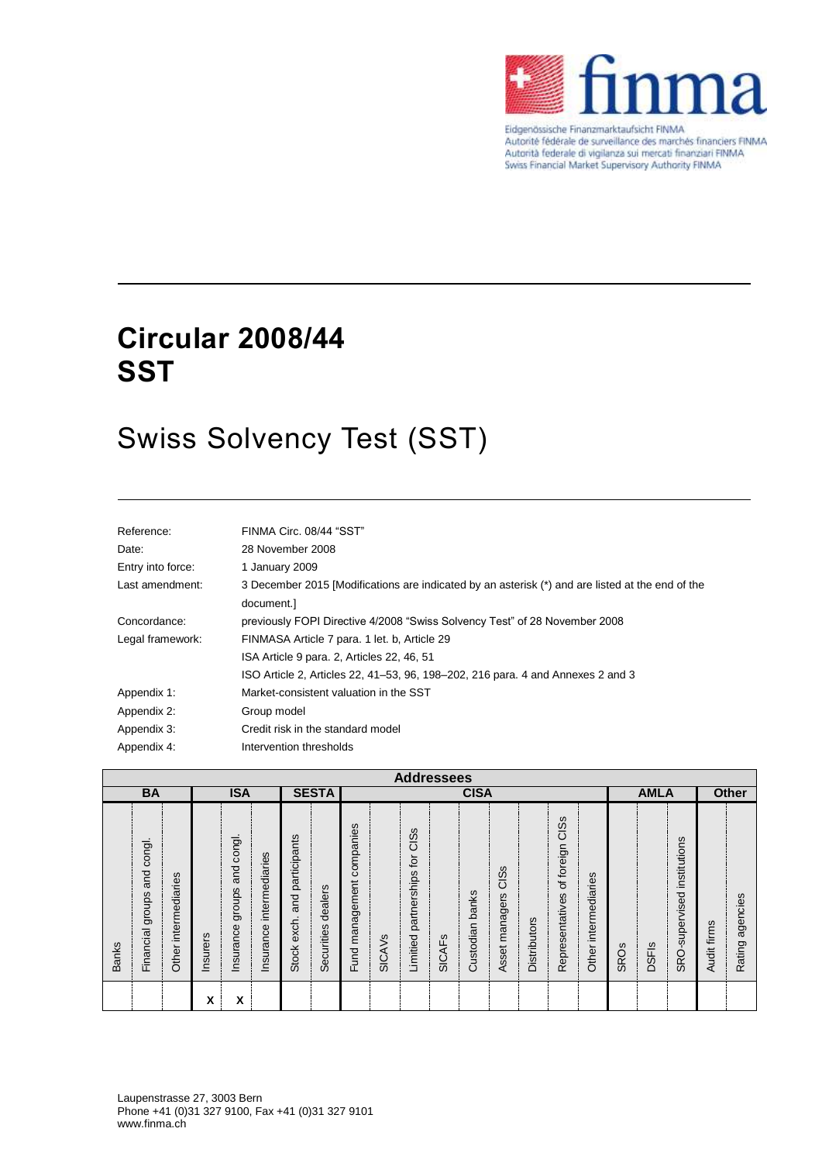

Eidgenössische Finanzmarktaufsicht FINMA Autorité fédérale de surveillance des marchés financiers FINMA Autorità federale di vigilanza sui mercati finanziari FINMA<br>Swiss Financial Market Supervisory Authority FINMA

# **Circular 2008/44 SST**

# Swiss Solvency Test (SST)

| Reference:        | FINMA Circ. 08/44 "SST"                                                                                        |
|-------------------|----------------------------------------------------------------------------------------------------------------|
| Date:             | 28 November 2008                                                                                               |
| Entry into force: | 1 January 2009                                                                                                 |
| Last amendment:   | 3 December 2015 [Modifications are indicated by an asterisk (*) and are listed at the end of the<br>document.] |
| Concordance:      | previously FOPI Directive 4/2008 "Swiss Solvency Test" of 28 November 2008                                     |
| Legal framework:  | FINMASA Article 7 para. 1 let. b, Article 29                                                                   |
|                   | ISA Article 9 para. 2, Articles 22, 46, 51                                                                     |
|                   | ISO Article 2, Articles 22, 41–53, 96, 198–202, 216 para. 4 and Annexes 2 and 3                                |
| Appendix 1:       | Market-consistent valuation in the SST                                                                         |
| Appendix 2:       | Group model                                                                                                    |
| Appendix 3:       | Credit risk in the standard model                                                                              |
| Appendix 4:       | Intervention thresholds                                                                                        |

|              | <b>Addressees</b>                    |                         |          |                                      |                             |                                              |                            |                                 |               |                                         |                          |                    |                                               |              |                                    |                         |             |              |                             |             |                    |  |
|--------------|--------------------------------------|-------------------------|----------|--------------------------------------|-----------------------------|----------------------------------------------|----------------------------|---------------------------------|---------------|-----------------------------------------|--------------------------|--------------------|-----------------------------------------------|--------------|------------------------------------|-------------------------|-------------|--------------|-----------------------------|-------------|--------------------|--|
|              | <b>BA</b>                            |                         |          | <b>ISA</b>                           |                             |                                              | <b>SESTA</b>               |                                 |               |                                         |                          | <b>CISA</b>        |                                               |              |                                    |                         |             | <b>AMLA</b>  |                             |             | <b>Other</b>       |  |
| <b>Banks</b> | congl.<br>and<br>groups<br>Financial | intermediaries<br>Other | Insurers | congl.<br>and<br>groups<br>Insurance | intermediaries<br>Insurance | participants<br>and<br>exch.<br><b>Stock</b> | dealers<br>ဖာ<br>Securitie | companies<br>management<br>Fund | <b>SICAVS</b> | CISS<br>tor<br>partnerships<br>Limitied | ပ<br>ட<br>⋖<br><u>င်</u> | banks<br>Custodian | ဖ<br><u>ທ</u><br>$\circ$<br>managers<br>Asset | Distributors | CISS<br>Representatives of foreign | intermediaries<br>Other | <b>SROs</b> | <b>DSFIs</b> | SRO-supervised institutions | Audit firms | agencies<br>Rating |  |
|              |                                      |                         | x        | x                                    |                             |                                              |                            |                                 |               |                                         |                          |                    |                                               |              |                                    |                         |             |              |                             |             |                    |  |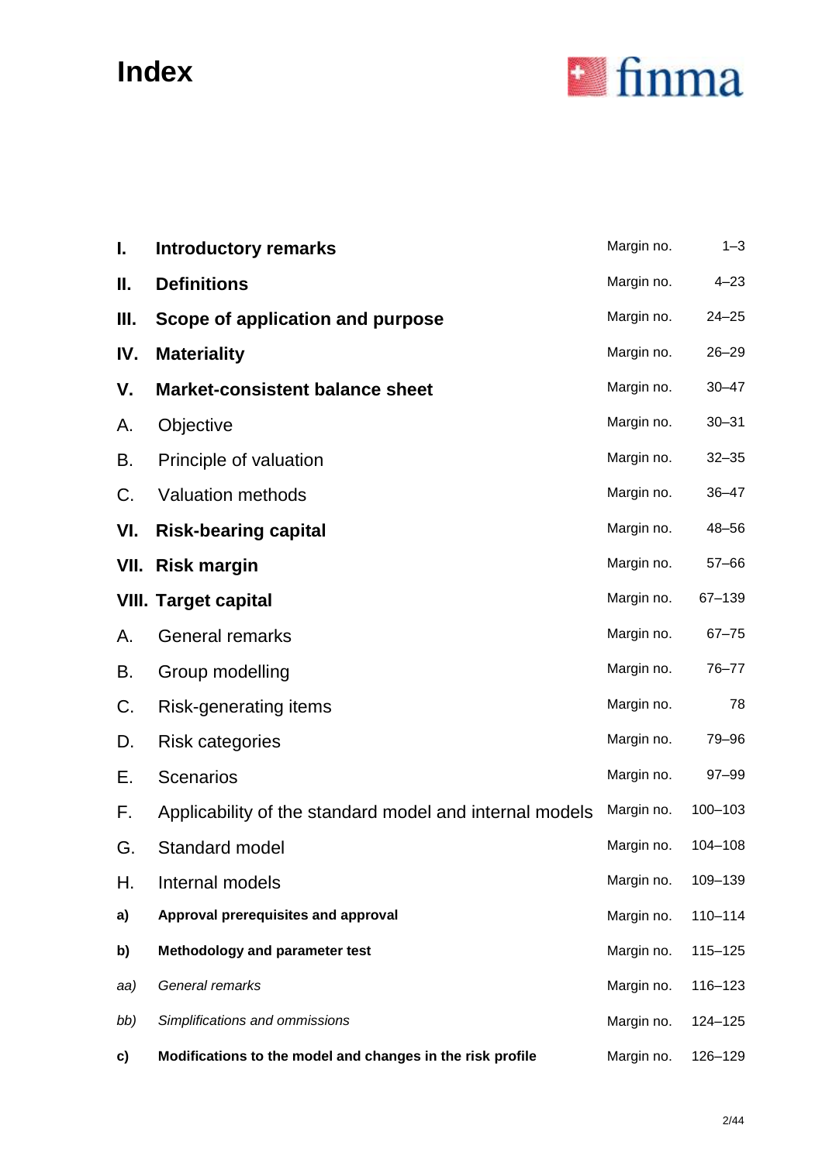# **Index**



| I.   | <b>Introductory remarks</b>                                | Margin no. | $1 - 3$     |
|------|------------------------------------------------------------|------------|-------------|
| П.   | <b>Definitions</b>                                         | Margin no. | $4 - 23$    |
| Ш.   | Scope of application and purpose                           | Margin no. | $24 - 25$   |
| IV.  | <b>Materiality</b>                                         | Margin no. | $26 - 29$   |
| V.   | <b>Market-consistent balance sheet</b>                     | Margin no. | $30 - 47$   |
| А.   | Objective                                                  | Margin no. | $30 - 31$   |
| В.   | Principle of valuation                                     | Margin no. | $32 - 35$   |
| C.   | <b>Valuation methods</b>                                   | Margin no. | $36 - 47$   |
| VI.  | <b>Risk-bearing capital</b>                                | Margin no. | 48-56       |
| VII. | <b>Risk margin</b>                                         | Margin no. | $57 - 66$   |
|      | <b>VIII. Target capital</b>                                | Margin no. | 67-139      |
| А.   | <b>General remarks</b>                                     | Margin no. | $67 - 75$   |
| В.   | Group modelling                                            | Margin no. | 76-77       |
| C.   | Risk-generating items                                      | Margin no. | 78          |
| D.   | <b>Risk categories</b>                                     | Margin no. | 79-96       |
| Е.   | <b>Scenarios</b>                                           | Margin no. | 97-99       |
| F.   | Applicability of the standard model and internal models    | Margin no. | 100-103     |
| G.   | Standard model                                             | Margin no. | 104-108     |
| Н.   | Internal models                                            | Margin no. | 109-139     |
| a)   | Approval prerequisites and approval                        | Margin no. | $110 - 114$ |
| b)   | Methodology and parameter test                             | Margin no. | 115-125     |
| aa)  | General remarks                                            | Margin no. | 116-123     |
| bb)  | Simplifications and ommissions                             | Margin no. | 124-125     |
| c)   | Modifications to the model and changes in the risk profile | Margin no. | 126-129     |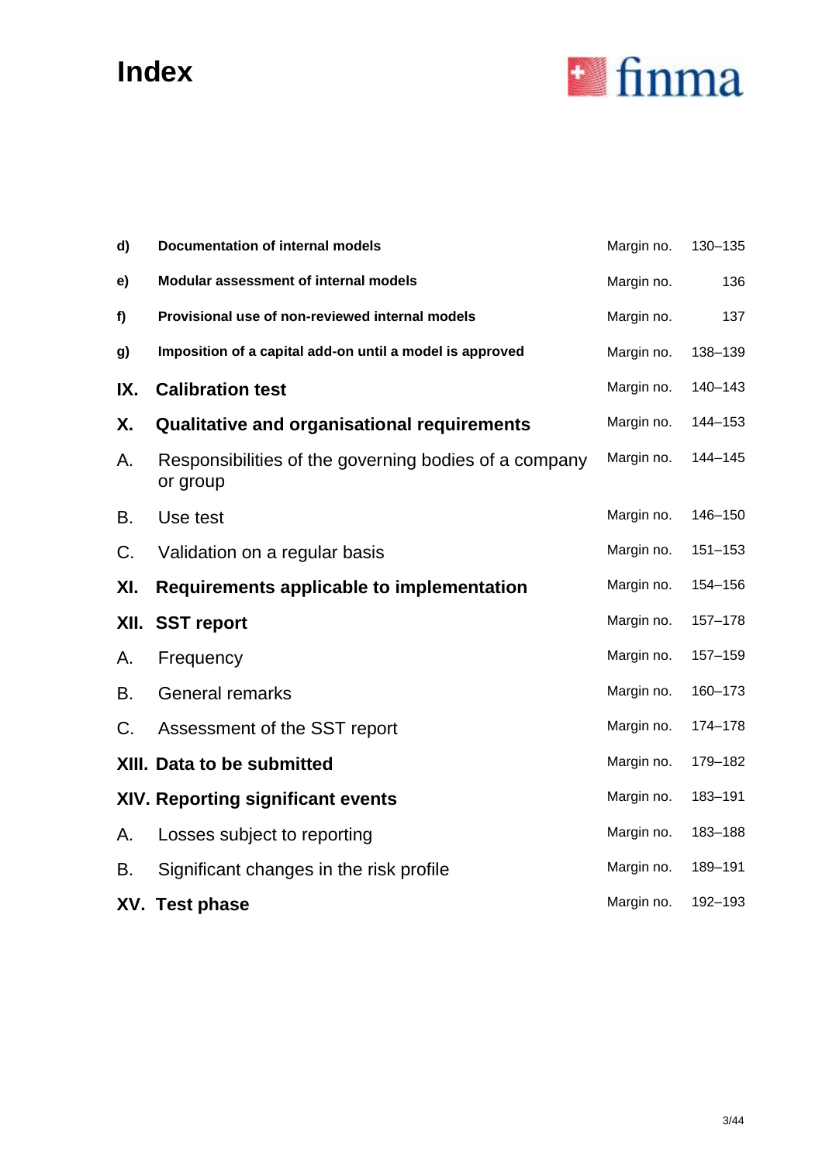# **Index**



| d)   | <b>Documentation of internal models</b>                           | Margin no. | 130-135 |
|------|-------------------------------------------------------------------|------------|---------|
| e)   | Modular assessment of internal models                             | Margin no. | 136     |
| f)   | Provisional use of non-reviewed internal models                   | Margin no. | 137     |
| g)   | Imposition of a capital add-on until a model is approved          | Margin no. | 138-139 |
| IX.  | <b>Calibration test</b>                                           | Margin no. | 140-143 |
| Χ.   | <b>Qualitative and organisational requirements</b>                | Margin no. | 144-153 |
| А.   | Responsibilities of the governing bodies of a company<br>or group | Margin no. | 144-145 |
| В.   | Use test                                                          | Margin no. | 146-150 |
| C.   | Validation on a regular basis                                     | Margin no. | 151-153 |
| XI.  | Requirements applicable to implementation                         | Margin no. | 154-156 |
| XII. | <b>SST report</b>                                                 | Margin no. | 157-178 |
| А.   | Frequency                                                         | Margin no. | 157-159 |
| В.   | <b>General remarks</b>                                            | Margin no. | 160-173 |
| C.   | Assessment of the SST report                                      | Margin no. | 174-178 |
|      | XIII. Data to be submitted                                        | Margin no. | 179-182 |
|      | <b>XIV. Reporting significant events</b>                          | Margin no. | 183-191 |
| A.   | Losses subject to reporting                                       | Margin no. | 183-188 |
| В.   | Significant changes in the risk profile                           | Margin no. | 189-191 |
|      | XV. Test phase                                                    | Margin no. | 192-193 |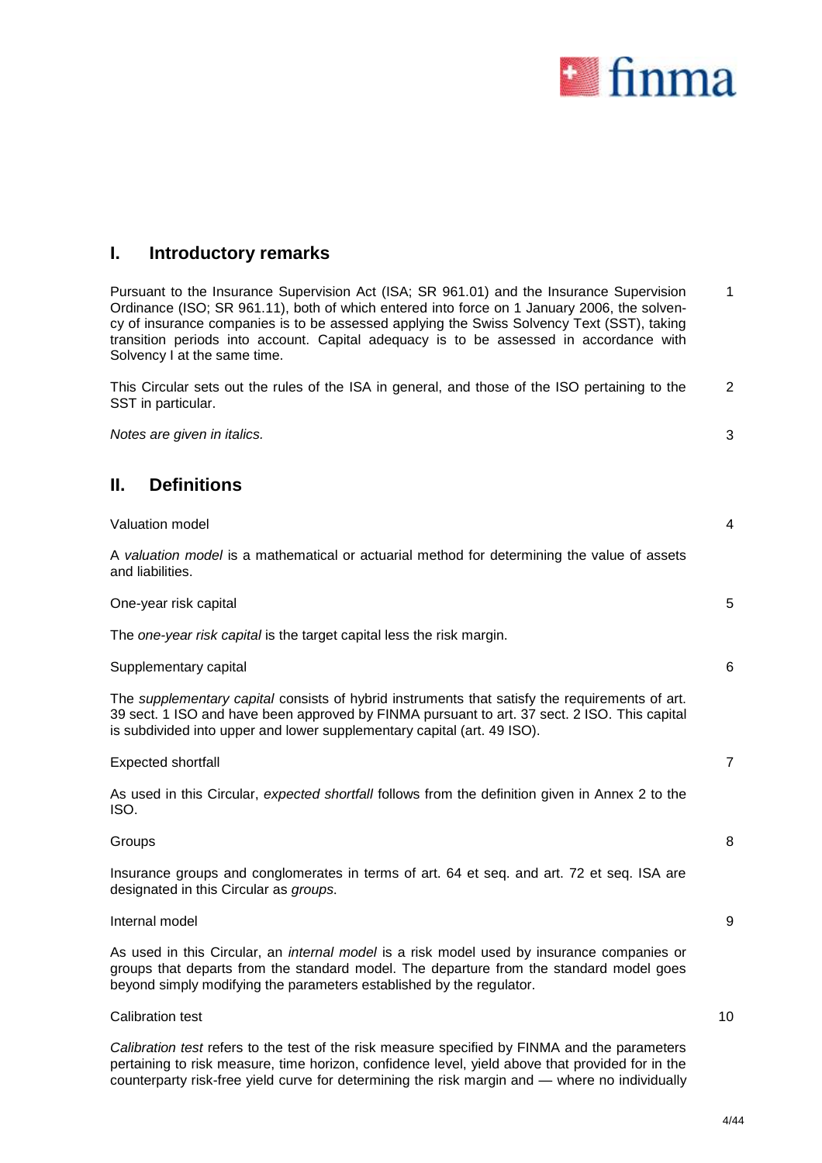

### **I. Introductory remarks**

Pursuant to the Insurance Supervision Act (ISA; SR 961.01) and the Insurance Supervision Ordinance (ISO; SR 961.11), both of which entered into force on 1 January 2006, the solvency of insurance companies is to be assessed applying the Swiss Solvency Text (SST), taking transition periods into account. Capital adequacy is to be assessed in accordance with Solvency I at the same time. 1

This Circular sets out the rules of the ISA in general, and those of the ISO pertaining to the SST in particular. 2

*Notes are given in italics.* 3

**II. Definitions**

| Valuation model                                                                                                                                                                                                                                                           | 4 |
|---------------------------------------------------------------------------------------------------------------------------------------------------------------------------------------------------------------------------------------------------------------------------|---|
| A valuation model is a mathematical or actuarial method for determining the value of assets<br>and liabilities.                                                                                                                                                           |   |
| One-year risk capital                                                                                                                                                                                                                                                     | 5 |
| The one-year risk capital is the target capital less the risk margin.                                                                                                                                                                                                     |   |
| Supplementary capital                                                                                                                                                                                                                                                     | 6 |
| The supplementary capital consists of hybrid instruments that satisfy the requirements of art.<br>39 sect. 1 ISO and have been approved by FINMA pursuant to art. 37 sect. 2 ISO. This capital<br>is subdivided into upper and lower supplementary capital (art. 49 ISO). |   |
| Expected shortfall                                                                                                                                                                                                                                                        | 7 |
| As used in this Circular, expected shortfall follows from the definition given in Annex 2 to the<br>ISO.                                                                                                                                                                  |   |
| Groups                                                                                                                                                                                                                                                                    | 8 |
| Insurance groups and conglomerates in terms of art. 64 et seq. and art. 72 et seq. ISA are<br>designated in this Circular as groups.                                                                                                                                      |   |
| Internal model                                                                                                                                                                                                                                                            | 9 |

As used in this Circular, an *internal model* is a risk model used by insurance companies or groups that departs from the standard model. The departure from the standard model goes beyond simply modifying the parameters established by the regulator.

### Calibration test

10

*Calibration test* refers to the test of the risk measure specified by FINMA and the parameters pertaining to risk measure, time horizon, confidence level, yield above that provided for in the counterparty risk-free yield curve for determining the risk margin and — where no individually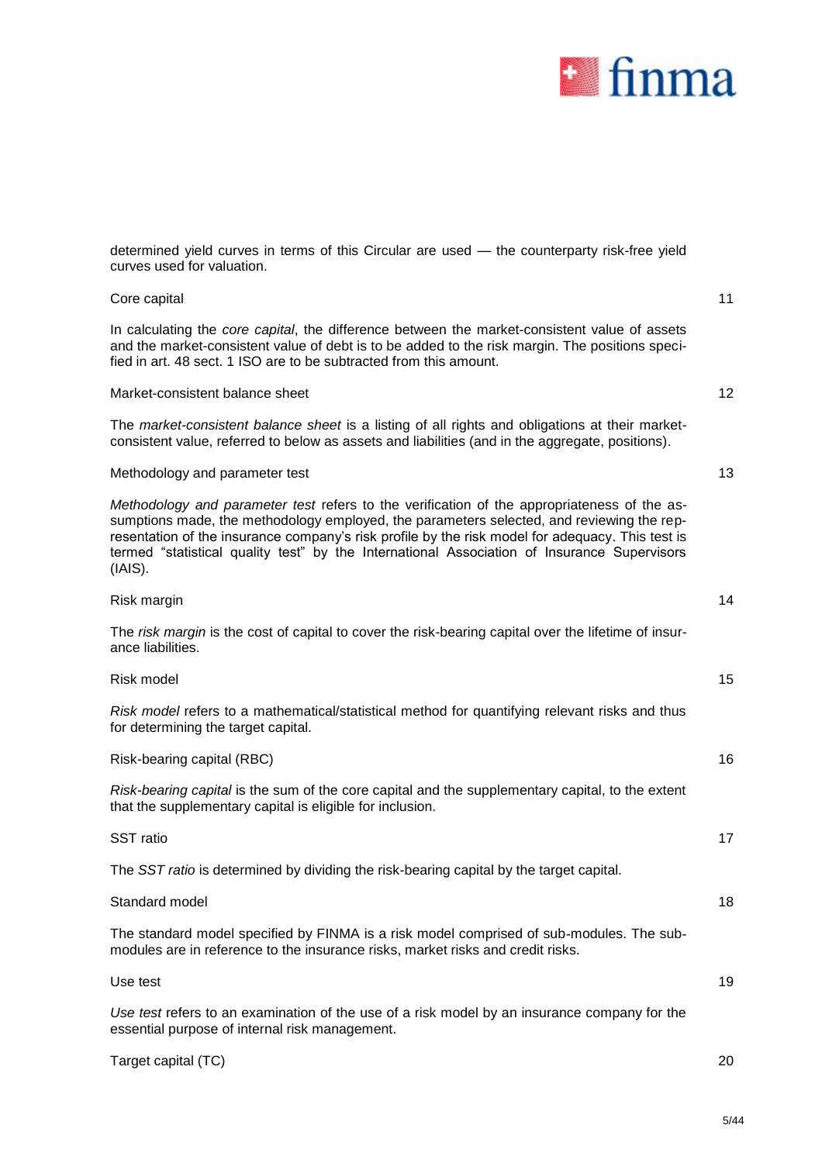

| determined yield curves in terms of this Circular are used - the counterparty risk-free yield<br>curves used for valuation.                                                                                                                                                                                                                                                                            |    |
|--------------------------------------------------------------------------------------------------------------------------------------------------------------------------------------------------------------------------------------------------------------------------------------------------------------------------------------------------------------------------------------------------------|----|
| Core capital                                                                                                                                                                                                                                                                                                                                                                                           | 11 |
| In calculating the core capital, the difference between the market-consistent value of assets<br>and the market-consistent value of debt is to be added to the risk margin. The positions speci-<br>fied in art. 48 sect. 1 ISO are to be subtracted from this amount.                                                                                                                                 |    |
| Market-consistent balance sheet                                                                                                                                                                                                                                                                                                                                                                        | 12 |
| The market-consistent balance sheet is a listing of all rights and obligations at their market-<br>consistent value, referred to below as assets and liabilities (and in the aggregate, positions).                                                                                                                                                                                                    |    |
| Methodology and parameter test                                                                                                                                                                                                                                                                                                                                                                         | 13 |
| Methodology and parameter test refers to the verification of the appropriateness of the as-<br>sumptions made, the methodology employed, the parameters selected, and reviewing the rep-<br>resentation of the insurance company's risk profile by the risk model for adequacy. This test is<br>termed "statistical quality test" by the International Association of Insurance Supervisors<br>(IAIS). |    |
| Risk margin                                                                                                                                                                                                                                                                                                                                                                                            | 14 |
| The risk margin is the cost of capital to cover the risk-bearing capital over the lifetime of insur-<br>ance liabilities.                                                                                                                                                                                                                                                                              |    |
| Risk model                                                                                                                                                                                                                                                                                                                                                                                             | 15 |
| Risk model refers to a mathematical/statistical method for quantifying relevant risks and thus<br>for determining the target capital.                                                                                                                                                                                                                                                                  |    |
| Risk-bearing capital (RBC)                                                                                                                                                                                                                                                                                                                                                                             | 16 |
| Risk-bearing capital is the sum of the core capital and the supplementary capital, to the extent<br>that the supplementary capital is eligible for inclusion.                                                                                                                                                                                                                                          |    |
| SST ratio                                                                                                                                                                                                                                                                                                                                                                                              | 17 |
| The SST ratio is determined by dividing the risk-bearing capital by the target capital.                                                                                                                                                                                                                                                                                                                |    |
| Standard model                                                                                                                                                                                                                                                                                                                                                                                         | 18 |
| The standard model specified by FINMA is a risk model comprised of sub-modules. The sub-<br>modules are in reference to the insurance risks, market risks and credit risks.                                                                                                                                                                                                                            |    |
| Use test                                                                                                                                                                                                                                                                                                                                                                                               | 19 |
| Use test refers to an examination of the use of a risk model by an insurance company for the<br>essential purpose of internal risk management.                                                                                                                                                                                                                                                         |    |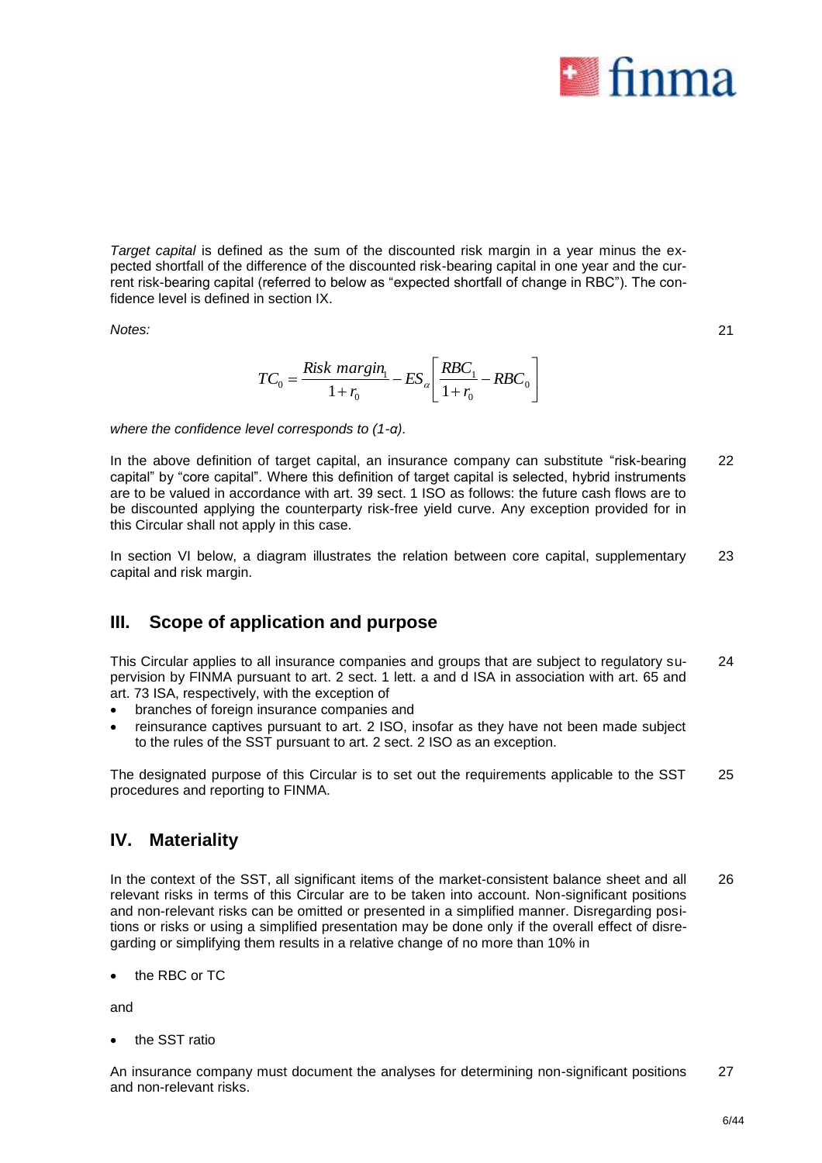

21

*Target capital* is defined as the sum of the discounted risk margin in a year minus the expected shortfall of the difference of the discounted risk-bearing capital in one year and the current risk-bearing capital (referred to below as "expected shortfall of change in RBC"). The confidence level is defined in section IX.

*Notes:*

 $\overline{\phantom{a}}$  $\frac{1}{2}$  $\overline{\phantom{a}}$  $\mathsf{L}$  $\overline{\mathsf{L}}$  $\mathbf{r}$ - $\ddot{}$ - $=\frac{R_{\rm LSR}^2}{1+r_0}-ES_{\alpha}\left(\frac{R_{\rm DC_1}}{1+r_0}-RBC_{0}\right)$  $\boldsymbol{0}$ 1  $\boldsymbol{0}$  $\int_0^\infty = \frac{R_s^2 R_s^2}{1 + r_0^2} - ES_\alpha \left| \frac{R_s^2}{1 - R_s^2} \right|$ *RBC r*  $ES_{\alpha}$ <sup>*RBC*</sup> *r*  $TC_0 = \frac{Risk~margin_1}{1} - ES_{\alpha}$ 

*where the confidence level corresponds to (1-α).*

In the above definition of target capital, an insurance company can substitute "risk-bearing capital" by "core capital". Where this definition of target capital is selected, hybrid instruments are to be valued in accordance with art. 39 sect. 1 ISO as follows: the future cash flows are to be discounted applying the counterparty risk-free yield curve. Any exception provided for in this Circular shall not apply in this case. 22

In section VI below, a diagram illustrates the relation between core capital, supplementary capital and risk margin. 23

## **III. Scope of application and purpose**

This Circular applies to all insurance companies and groups that are subject to regulatory supervision by FINMA pursuant to art. 2 sect. 1 lett. a and d ISA in association with art. 65 and art. 73 ISA, respectively, with the exception of  $24$ 

- branches of foreign insurance companies and
- reinsurance captives pursuant to art. 2 ISO, insofar as they have not been made subject to the rules of the SST pursuant to art. 2 sect. 2 ISO as an exception.

The designated purpose of this Circular is to set out the requirements applicable to the SST procedures and reporting to FINMA. 25

### **IV. Materiality**

In the context of the SST, all significant items of the market-consistent balance sheet and all relevant risks in terms of this Circular are to be taken into account. Non-significant positions and non-relevant risks can be omitted or presented in a simplified manner. Disregarding positions or risks or using a simplified presentation may be done only if the overall effect of disregarding or simplifying them results in a relative change of no more than 10% in 26

the RBC or TC

and

• the SST ratio

An insurance company must document the analyses for determining non-significant positions and non-relevant risks. 27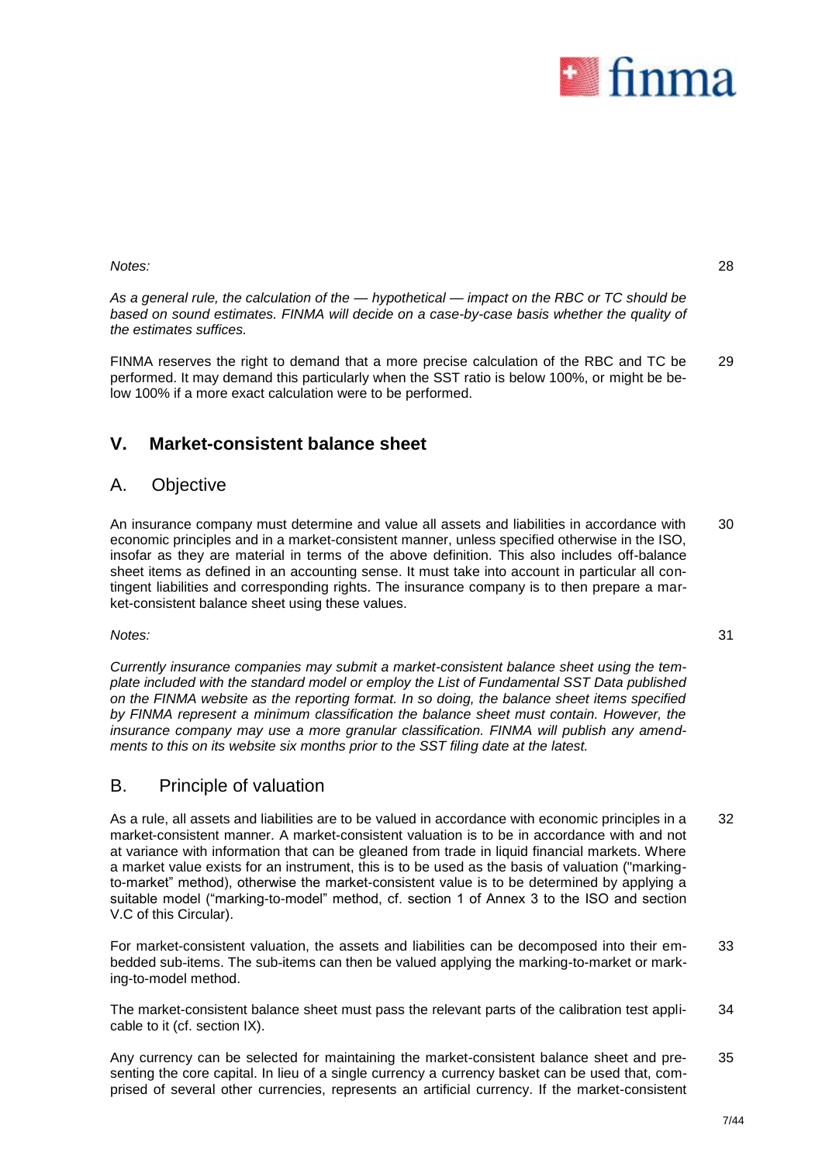

28

31

*Notes:*

*As a general rule, the calculation of the — hypothetical — impact on the RBC or TC should be based on sound estimates. FINMA will decide on a case-by-case basis whether the quality of the estimates suffices.*

FINMA reserves the right to demand that a more precise calculation of the RBC and TC be performed. It may demand this particularly when the SST ratio is below 100%, or might be below 100% if a more exact calculation were to be performed. 29

# **V. Market-consistent balance sheet**

### A. Objective

An insurance company must determine and value all assets and liabilities in accordance with economic principles and in a market-consistent manner, unless specified otherwise in the ISO, insofar as they are material in terms of the above definition. This also includes off-balance sheet items as defined in an accounting sense. It must take into account in particular all contingent liabilities and corresponding rights. The insurance company is to then prepare a market-consistent balance sheet using these values. 30

### *Notes:*

*Currently insurance companies may submit a market-consistent balance sheet using the template included with the standard model or employ the List of Fundamental SST Data published on the FINMA website as the reporting format. In so doing, the balance sheet items specified by FINMA represent a minimum classification the balance sheet must contain. However, the insurance company may use a more granular classification. FINMA will publish any amendments to this on its website six months prior to the SST filing date at the latest.*

## B. Principle of valuation

As a rule, all assets and liabilities are to be valued in accordance with economic principles in a market-consistent manner. A market-consistent valuation is to be in accordance with and not at variance with information that can be gleaned from trade in liquid financial markets. Where a market value exists for an instrument, this is to be used as the basis of valuation ("markingto-market" method), otherwise the market-consistent value is to be determined by applying a suitable model ("marking-to-model" method, cf. section 1 of Annex 3 to the ISO and section V.C of this Circular). 32

For market-consistent valuation, the assets and liabilities can be decomposed into their embedded sub-items. The sub-items can then be valued applying the marking-to-market or marking-to-model method. 33

The market-consistent balance sheet must pass the relevant parts of the calibration test applicable to it (cf. section IX). 34

Any currency can be selected for maintaining the market-consistent balance sheet and presenting the core capital. In lieu of a single currency a currency basket can be used that, comprised of several other currencies, represents an artificial currency. If the market-consistent 35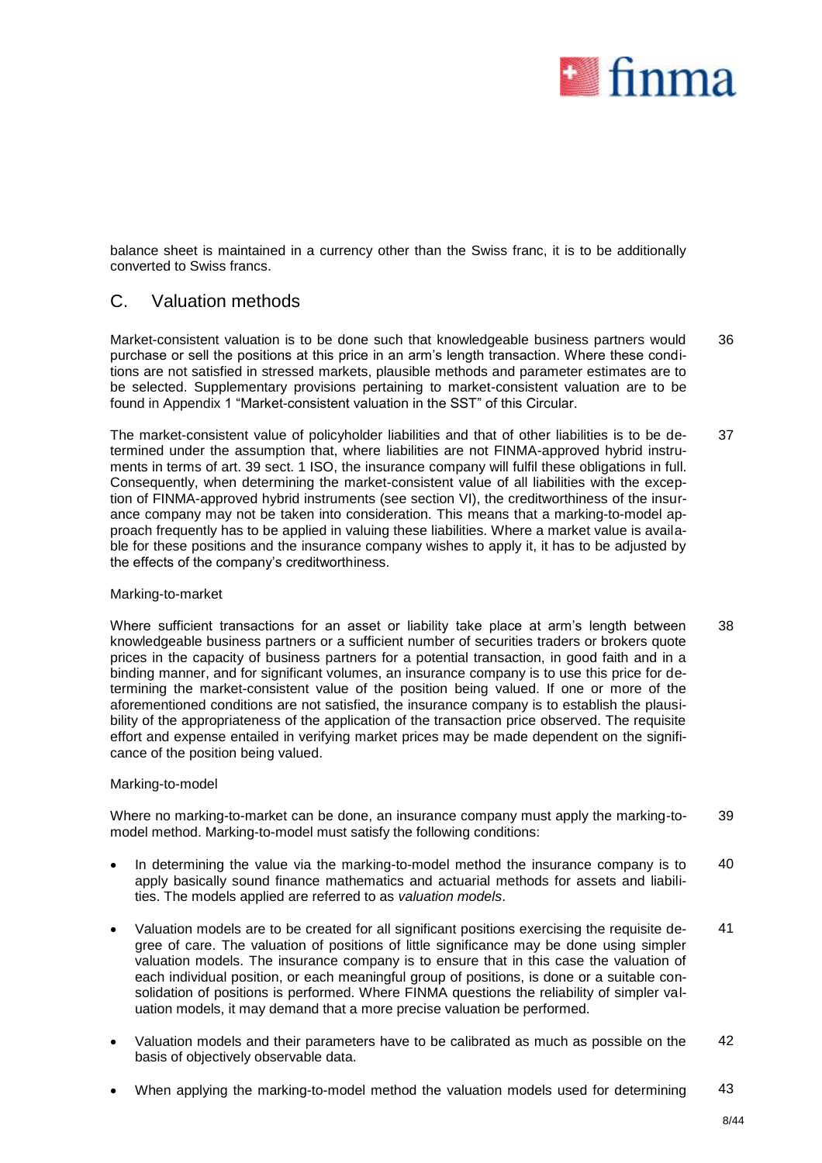

balance sheet is maintained in a currency other than the Swiss franc, it is to be additionally converted to Swiss francs.

### C. Valuation methods

Market-consistent valuation is to be done such that knowledgeable business partners would purchase or sell the positions at this price in an arm's length transaction. Where these conditions are not satisfied in stressed markets, plausible methods and parameter estimates are to be selected. Supplementary provisions pertaining to market-consistent valuation are to be found in Appendix 1 "Market-consistent valuation in the SST" of this Circular. 36

The market-consistent value of policyholder liabilities and that of other liabilities is to be determined under the assumption that, where liabilities are not FINMA-approved hybrid instruments in terms of art. 39 sect. 1 ISO, the insurance company will fulfil these obligations in full. Consequently, when determining the market-consistent value of all liabilities with the exception of FINMA-approved hybrid instruments (see section VI), the creditworthiness of the insurance company may not be taken into consideration. This means that a marking-to-model approach frequently has to be applied in valuing these liabilities. Where a market value is available for these positions and the insurance company wishes to apply it, it has to be adjusted by the effects of the company's creditworthiness. 37

### Marking-to-market

Where sufficient transactions for an asset or liability take place at arm's length between knowledgeable business partners or a sufficient number of securities traders or brokers quote prices in the capacity of business partners for a potential transaction, in good faith and in a binding manner, and for significant volumes, an insurance company is to use this price for determining the market-consistent value of the position being valued. If one or more of the aforementioned conditions are not satisfied, the insurance company is to establish the plausibility of the appropriateness of the application of the transaction price observed. The requisite effort and expense entailed in verifying market prices may be made dependent on the significance of the position being valued. 38

### Marking-to-model

Where no marking-to-market can be done, an insurance company must apply the marking-tomodel method. Marking-to-model must satisfy the following conditions: 39

- In determining the value via the marking-to-model method the insurance company is to apply basically sound finance mathematics and actuarial methods for assets and liabilities. The models applied are referred to as *valuation models*. 40
- Valuation models are to be created for all significant positions exercising the requisite degree of care. The valuation of positions of little significance may be done using simpler valuation models. The insurance company is to ensure that in this case the valuation of each individual position, or each meaningful group of positions, is done or a suitable consolidation of positions is performed. Where FINMA questions the reliability of simpler valuation models, it may demand that a more precise valuation be performed. 41
- Valuation models and their parameters have to be calibrated as much as possible on the basis of objectively observable data. 42
- When applying the marking-to-model method the valuation models used for determining 43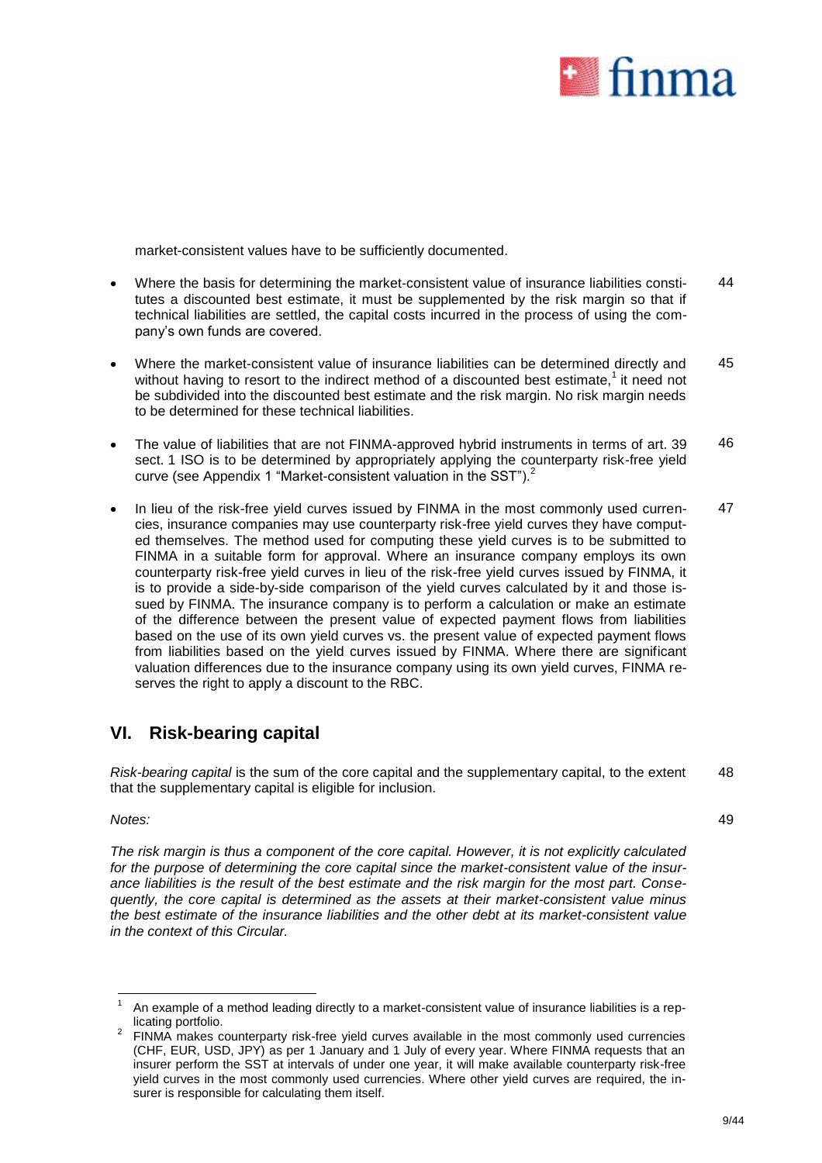

market-consistent values have to be sufficiently documented.

- Where the basis for determining the market-consistent value of insurance liabilities constitutes a discounted best estimate, it must be supplemented by the risk margin so that if technical liabilities are settled, the capital costs incurred in the process of using the company's own funds are covered. 44
- Where the market-consistent value of insurance liabilities can be determined directly and without having to resort to the indirect method of a discounted best estimate,<sup>1</sup> it need not be subdivided into the discounted best estimate and the risk margin. No risk margin needs to be determined for these technical liabilities. 45
- The value of liabilities that are not FINMA-approved hybrid instruments in terms of art. 39 sect. 1 ISO is to be determined by appropriately applying the counterparty risk-free yield curve (see Appendix 1 "Market-consistent valuation in the SST").<sup>2</sup> 46
- In lieu of the risk-free yield curves issued by FINMA in the most commonly used currencies, insurance companies may use counterparty risk-free yield curves they have computed themselves. The method used for computing these yield curves is to be submitted to FINMA in a suitable form for approval. Where an insurance company employs its own counterparty risk-free yield curves in lieu of the risk-free yield curves issued by FINMA, it is to provide a side-by-side comparison of the yield curves calculated by it and those issued by FINMA. The insurance company is to perform a calculation or make an estimate of the difference between the present value of expected payment flows from liabilities based on the use of its own yield curves vs. the present value of expected payment flows from liabilities based on the yield curves issued by FINMA. Where there are significant valuation differences due to the insurance company using its own yield curves, FINMA reserves the right to apply a discount to the RBC. 47

# **VI. Risk-bearing capital**

*Risk-bearing capital* is the sum of the core capital and the supplementary capital, to the extent that the supplementary capital is eligible for inclusion. 48

*Notes:*

*The risk margin is thus a component of the core capital. However, it is not explicitly calculated for the purpose of determining the core capital since the market-consistent value of the insurance liabilities is the result of the best estimate and the risk margin for the most part. Consequently, the core capital is determined as the assets at their market-consistent value minus the best estimate of the insurance liabilities and the other debt at its market-consistent value in the context of this Circular.*

<sup>1</sup> 1 An example of a method leading directly to a market-consistent value of insurance liabilities is a replicating portfolio.

<sup>2</sup> FINMA makes counterparty risk-free yield curves available in the most commonly used currencies (CHF, EUR, USD, JPY) as per 1 January and 1 July of every year. Where FINMA requests that an insurer perform the SST at intervals of under one year, it will make available counterparty risk-free yield curves in the most commonly used currencies. Where other yield curves are required, the insurer is responsible for calculating them itself.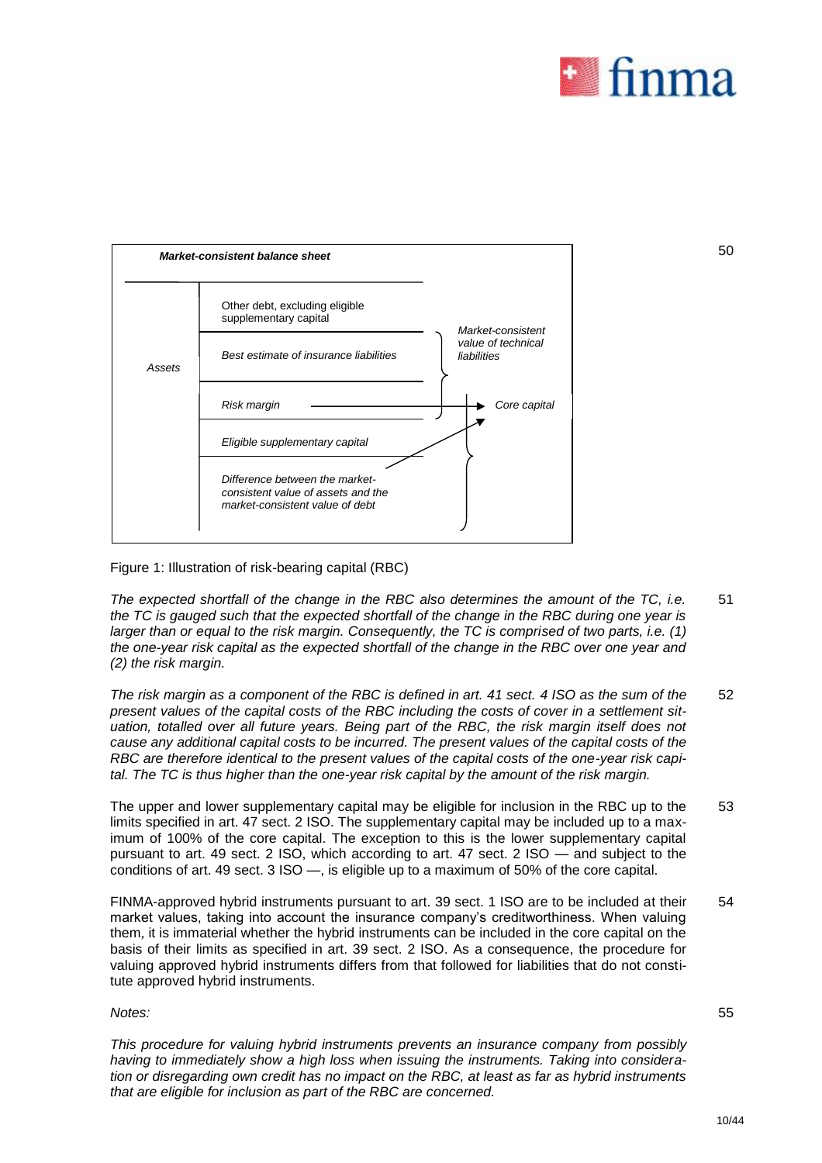

50



Figure 1: Illustration of risk-bearing capital (RBC)

*The expected shortfall of the change in the RBC also determines the amount of the TC, i.e. the TC is gauged such that the expected shortfall of the change in the RBC during one year is larger than or equal to the risk margin. Consequently, the TC is comprised of two parts, i.e. (1) the one-year risk capital as the expected shortfall of the change in the RBC over one year and (2) the risk margin.*  51

*The risk margin as a component of the RBC is defined in art. 41 sect. 4 ISO as the sum of the present values of the capital costs of the RBC including the costs of cover in a settlement situation, totalled over all future years. Being part of the RBC, the risk margin itself does not cause any additional capital costs to be incurred. The present values of the capital costs of the RBC are therefore identical to the present values of the capital costs of the one-year risk capital. The TC is thus higher than the one-year risk capital by the amount of the risk margin.* 52

The upper and lower supplementary capital may be eligible for inclusion in the RBC up to the limits specified in art. 47 sect. 2 ISO. The supplementary capital may be included up to a maximum of 100% of the core capital. The exception to this is the lower supplementary capital pursuant to art. 49 sect. 2 ISO, which according to art. 47 sect. 2 ISO — and subject to the conditions of art. 49 sect. 3 ISO —, is eligible up to a maximum of 50% of the core capital. 53

FINMA-approved hybrid instruments pursuant to art. 39 sect. 1 ISO are to be included at their market values, taking into account the insurance company's creditworthiness. When valuing them, it is immaterial whether the hybrid instruments can be included in the core capital on the basis of their limits as specified in art. 39 sect. 2 ISO. As a consequence, the procedure for valuing approved hybrid instruments differs from that followed for liabilities that do not constitute approved hybrid instruments. 54

### *Notes:*

55

*This procedure for valuing hybrid instruments prevents an insurance company from possibly having to immediately show a high loss when issuing the instruments. Taking into consideration or disregarding own credit has no impact on the RBC, at least as far as hybrid instruments that are eligible for inclusion as part of the RBC are concerned.*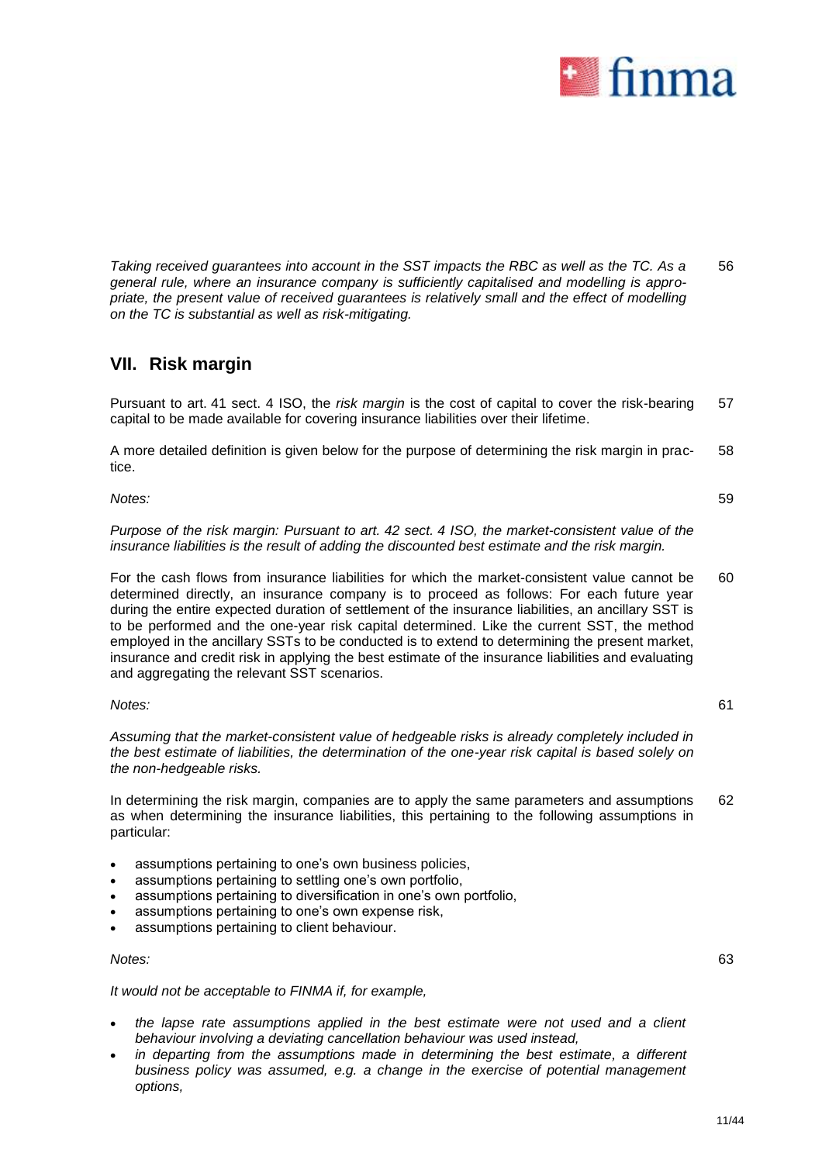

*Taking received guarantees into account in the SST impacts the RBC as well as the TC. As a general rule, where an insurance company is sufficiently capitalised and modelling is appropriate, the present value of received guarantees is relatively small and the effect of modelling on the TC is substantial as well as risk-mitigating.*  56

## **VII. Risk margin**

Pursuant to art. 41 sect. 4 ISO, the *risk margin* is the cost of capital to cover the risk-bearing capital to be made available for covering insurance liabilities over their lifetime. 57

A more detailed definition is given below for the purpose of determining the risk margin in practice. 58

*Notes:*

59

61

*Purpose of the risk margin: Pursuant to art. 42 sect. 4 ISO, the market-consistent value of the insurance liabilities is the result of adding the discounted best estimate and the risk margin.*

For the cash flows from insurance liabilities for which the market-consistent value cannot be determined directly, an insurance company is to proceed as follows: For each future year during the entire expected duration of settlement of the insurance liabilities, an ancillary SST is to be performed and the one-year risk capital determined. Like the current SST, the method employed in the ancillary SSTs to be conducted is to extend to determining the present market, insurance and credit risk in applying the best estimate of the insurance liabilities and evaluating and aggregating the relevant SST scenarios. 60

### *Notes:*

*Assuming that the market-consistent value of hedgeable risks is already completely included in the best estimate of liabilities, the determination of the one-year risk capital is based solely on the non-hedgeable risks.*

In determining the risk margin, companies are to apply the same parameters and assumptions as when determining the insurance liabilities, this pertaining to the following assumptions in particular: 62

- assumptions pertaining to one's own business policies,
- assumptions pertaining to settling one's own portfolio,
- assumptions pertaining to diversification in one's own portfolio,
- assumptions pertaining to one's own expense risk,
- assumptions pertaining to client behaviour.

### *Notes:*

*It would not be acceptable to FINMA if, for example,*

- *the lapse rate assumptions applied in the best estimate were not used and a client behaviour involving a deviating cancellation behaviour was used instead,*
- *in departing from the assumptions made in determining the best estimate, a different business policy was assumed, e.g. a change in the exercise of potential management options,*

63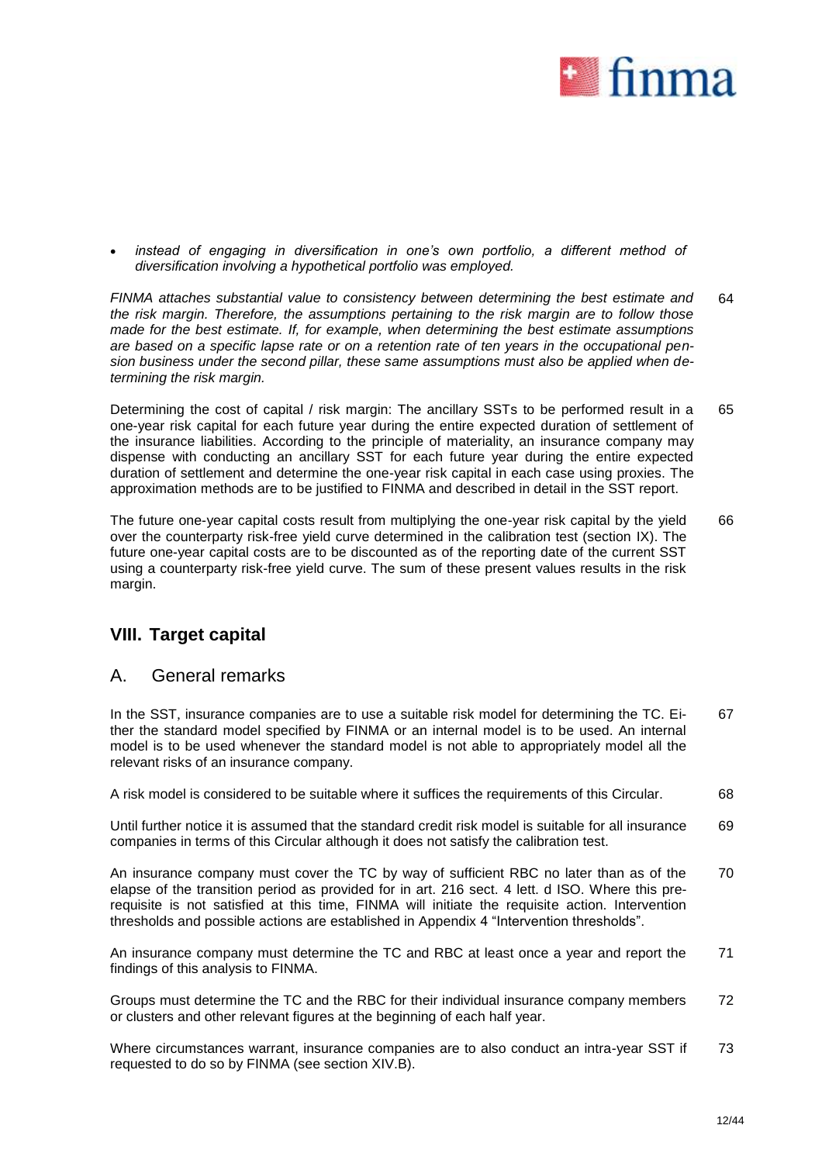

instead of engaging in diversification in one's own portfolio, a different method of *diversification involving a hypothetical portfolio was employed.*

*FINMA attaches substantial value to consistency between determining the best estimate and the risk margin. Therefore, the assumptions pertaining to the risk margin are to follow those made for the best estimate. If, for example, when determining the best estimate assumptions are based on a specific lapse rate or on a retention rate of ten years in the occupational pension business under the second pillar, these same assumptions must also be applied when determining the risk margin.* 64

Determining the cost of capital / risk margin: The ancillary SSTs to be performed result in a one-year risk capital for each future year during the entire expected duration of settlement of the insurance liabilities. According to the principle of materiality, an insurance company may dispense with conducting an ancillary SST for each future year during the entire expected duration of settlement and determine the one-year risk capital in each case using proxies. The approximation methods are to be justified to FINMA and described in detail in the SST report. 65

The future one-year capital costs result from multiplying the one-year risk capital by the yield over the counterparty risk-free yield curve determined in the calibration test (section IX). The future one-year capital costs are to be discounted as of the reporting date of the current SST using a counterparty risk-free yield curve. The sum of these present values results in the risk margin. 66

# **VIII. Target capital**

## A. General remarks

In the SST, insurance companies are to use a suitable risk model for determining the TC. Either the standard model specified by FINMA or an internal model is to be used. An internal model is to be used whenever the standard model is not able to appropriately model all the relevant risks of an insurance company. 67

A risk model is considered to be suitable where it suffices the requirements of this Circular. 68

Until further notice it is assumed that the standard credit risk model is suitable for all insurance companies in terms of this Circular although it does not satisfy the calibration test. 69

An insurance company must cover the TC by way of sufficient RBC no later than as of the elapse of the transition period as provided for in art. 216 sect. 4 lett. d ISO. Where this prerequisite is not satisfied at this time, FINMA will initiate the requisite action. Intervention thresholds and possible actions are established in Appendix 4 "Intervention thresholds". 70

An insurance company must determine the TC and RBC at least once a year and report the findings of this analysis to FINMA. 71

Groups must determine the TC and the RBC for their individual insurance company members or clusters and other relevant figures at the beginning of each half year. 72

Where circumstances warrant, insurance companies are to also conduct an intra-year SST if requested to do so by FINMA (see section XIV.B). 73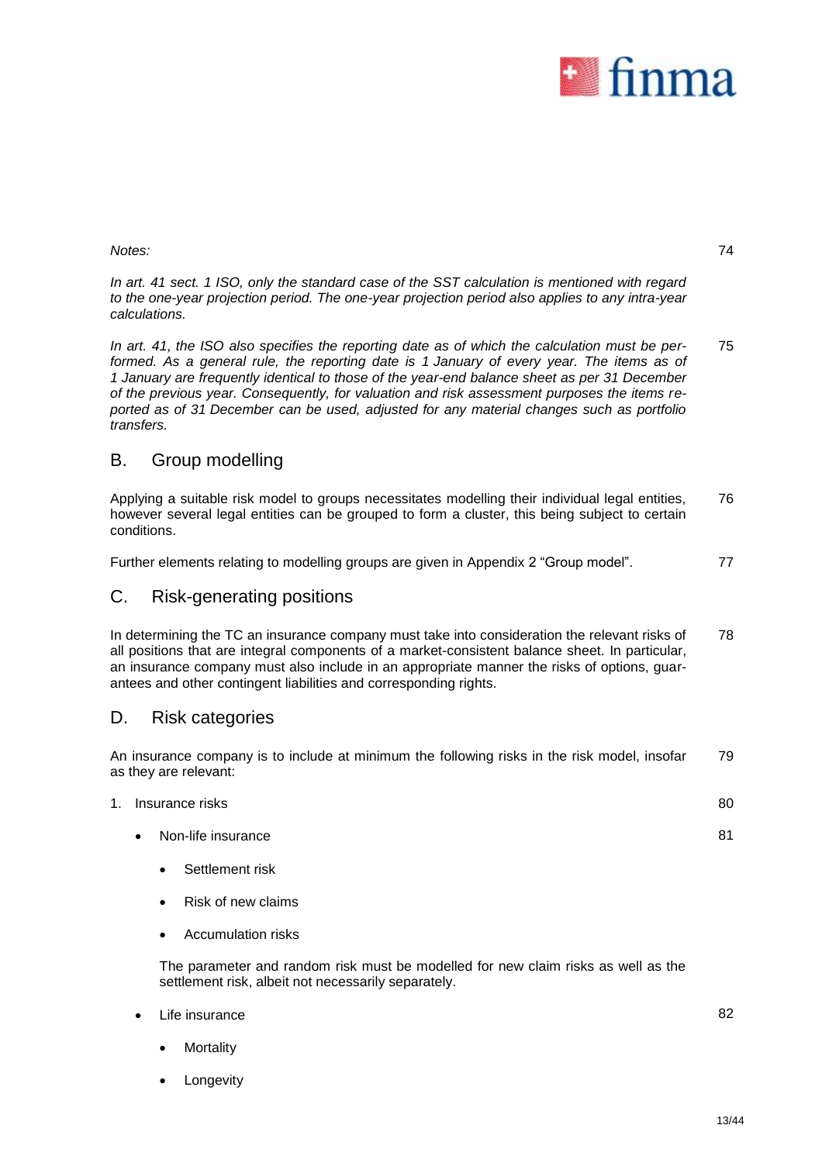

74

### *Notes:*

*In art. 41 sect. 1 ISO, only the standard case of the SST calculation is mentioned with regard to the one-year projection period. The one-year projection period also applies to any intra-year calculations.*

*In art. 41, the ISO also specifies the reporting date as of which the calculation must be performed. As a general rule, the reporting date is 1 January of every year. The items as of 1 January are frequently identical to those of the year-end balance sheet as per 31 December of the previous year. Consequently, for valuation and risk assessment purposes the items reported as of 31 December can be used, adjusted for any material changes such as portfolio transfers.* 75

# B. Group modelling

Applying a suitable risk model to groups necessitates modelling their individual legal entities, however several legal entities can be grouped to form a cluster, this being subject to certain conditions. 76

Further elements relating to modelling groups are given in Appendix 2 "Group model". 77

# C. Risk-generating positions

In determining the TC an insurance company must take into consideration the relevant risks of all positions that are integral components of a market-consistent balance sheet. In particular, an insurance company must also include in an appropriate manner the risks of options, guarantees and other contingent liabilities and corresponding rights. 78

# D. Risk categories

An insurance company is to include at minimum the following risks in the risk model, insofar as they are relevant: 79

| 1. Insurance risks              | 80 |
|---------------------------------|----|
| Non-life insurance<br>$\bullet$ | 81 |
| Settlement risk<br>$\bullet$    |    |

- Risk of new claims
- Accumulation risks

The parameter and random risk must be modelled for new claim risks as well as the settlement risk, albeit not necessarily separately.

- Life insurance
	- **Mortality**
	- Longevity

82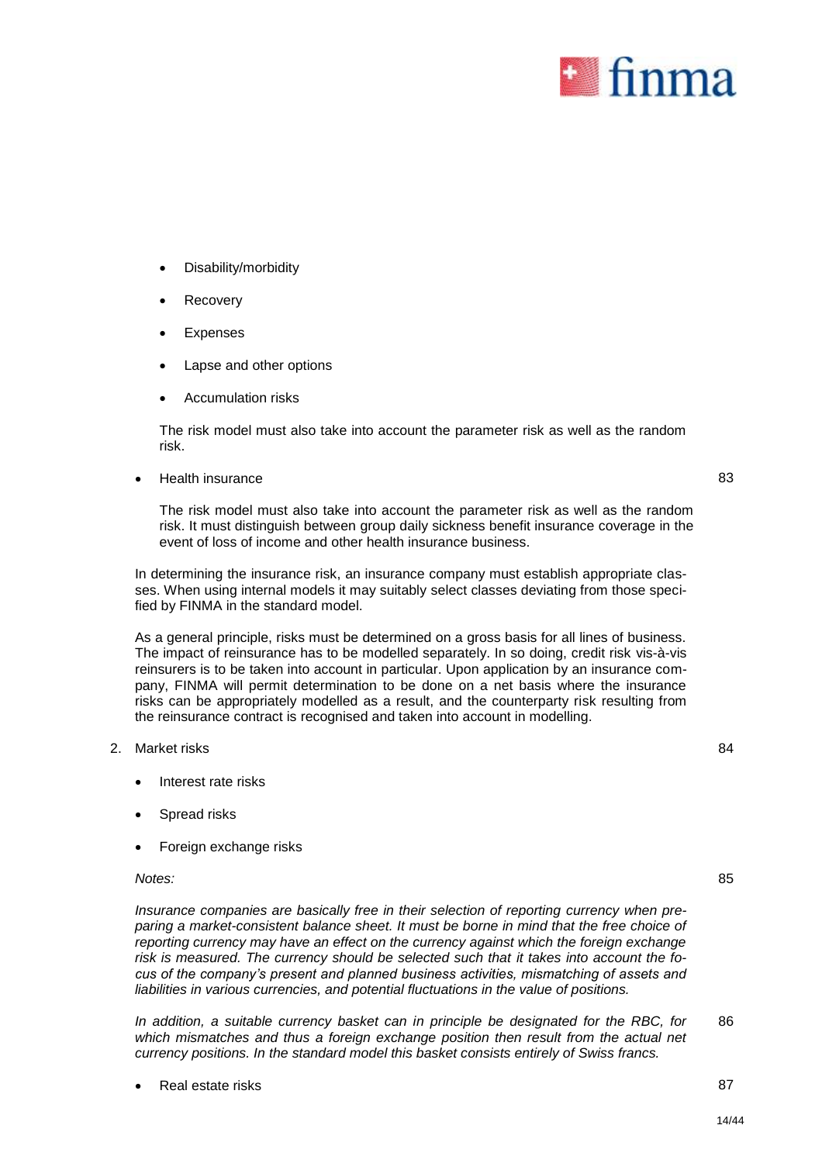

- Disability/morbidity
- Recovery
- Expenses
- Lapse and other options
- Accumulation risks

The risk model must also take into account the parameter risk as well as the random risk.

Health insurance

83

84

85

The risk model must also take into account the parameter risk as well as the random risk. It must distinguish between group daily sickness benefit insurance coverage in the event of loss of income and other health insurance business.

In determining the insurance risk, an insurance company must establish appropriate classes. When using internal models it may suitably select classes deviating from those specified by FINMA in the standard model.

As a general principle, risks must be determined on a gross basis for all lines of business. The impact of reinsurance has to be modelled separately. In so doing, credit risk vis-à-vis reinsurers is to be taken into account in particular. Upon application by an insurance company, FINMA will permit determination to be done on a net basis where the insurance risks can be appropriately modelled as a result, and the counterparty risk resulting from the reinsurance contract is recognised and taken into account in modelling.

### 2. Market risks

- Interest rate risks
- Spread risks
- Foreign exchange risks

### *Notes:*

*Insurance companies are basically free in their selection of reporting currency when preparing a market-consistent balance sheet. It must be borne in mind that the free choice of reporting currency may have an effect on the currency against which the foreign exchange risk is measured. The currency should be selected such that it takes into account the focus of the company's present and planned business activities, mismatching of assets and liabilities in various currencies, and potential fluctuations in the value of positions.*

*In addition, a suitable currency basket can in principle be designated for the RBC, for*  which mismatches and thus a foreign exchange position then result from the actual net *currency positions. In the standard model this basket consists entirely of Swiss francs.* 86

Real estate risks 87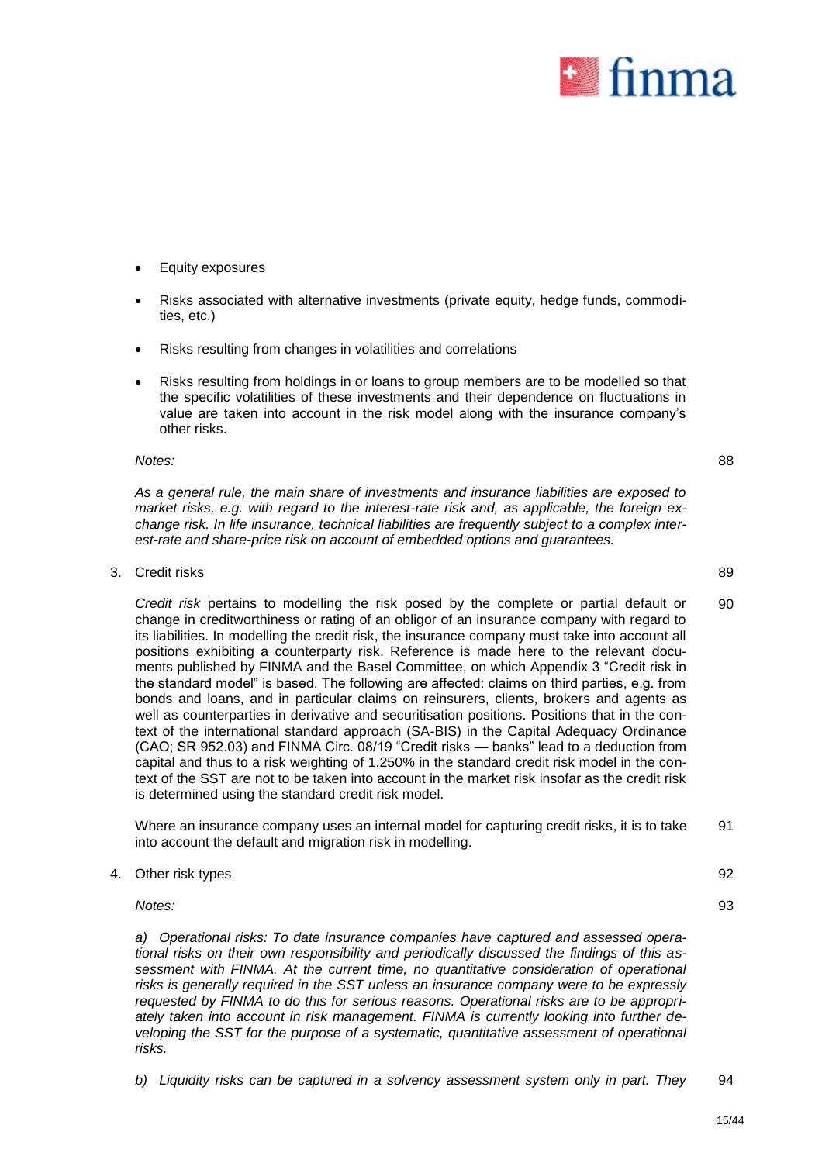

- Equity exposures
- Risks associated with alternative investments (private equity, hedge funds, commodities, etc.)
- Risks resulting from changes in volatilities and correlations
- Risks resulting from holdings in or loans to group members are to be modelled so that the specific volatilities of these investments and their dependence on fluctuations in value are taken into account in the risk model along with the insurance company's other risks.

#### *Notes:*

88

90

*As a general rule, the main share of investments and insurance liabilities are exposed to market risks, e.g. with regard to the interest-rate risk and, as applicable, the foreign exchange risk. In life insurance, technical liabilities are frequently subject to a complex interest-rate and share-price risk on account of embedded options and guarantees.*

3. Credit risks 89

*Credit risk* pertains to modelling the risk posed by the complete or partial default or change in creditworthiness or rating of an obligor of an insurance company with regard to its liabilities. In modelling the credit risk, the insurance company must take into account all positions exhibiting a counterparty risk. Reference is made here to the relevant documents published by FINMA and the Basel Committee, on which Appendix 3 "Credit risk in the standard model" is based. The following are affected: claims on third parties, e.g. from bonds and loans, and in particular claims on reinsurers, clients, brokers and agents as well as counterparties in derivative and securitisation positions. Positions that in the context of the international standard approach (SA-BIS) in the Capital Adequacy Ordinance (CAO; SR 952.03) and FINMA Circ. 08/19 "Credit risks — banks" lead to a deduction from capital and thus to a risk weighting of 1,250% in the standard credit risk model in the context of the SST are not to be taken into account in the market risk insofar as the credit risk is determined using the standard credit risk model.

Where an insurance company uses an internal model for capturing credit risks, it is to take into account the default and migration risk in modelling. 91

4. Other risk types 92

*Notes:*

93

*a) Operational risks: To date insurance companies have captured and assessed operational risks on their own responsibility and periodically discussed the findings of this assessment with FINMA. At the current time, no quantitative consideration of operational risks is generally required in the SST unless an insurance company were to be expressly requested by FINMA to do this for serious reasons. Operational risks are to be appropriately taken into account in risk management. FINMA is currently looking into further developing the SST for the purpose of a systematic, quantitative assessment of operational risks.*

*b) Liquidity risks can be captured in a solvency assessment system only in part. They* 94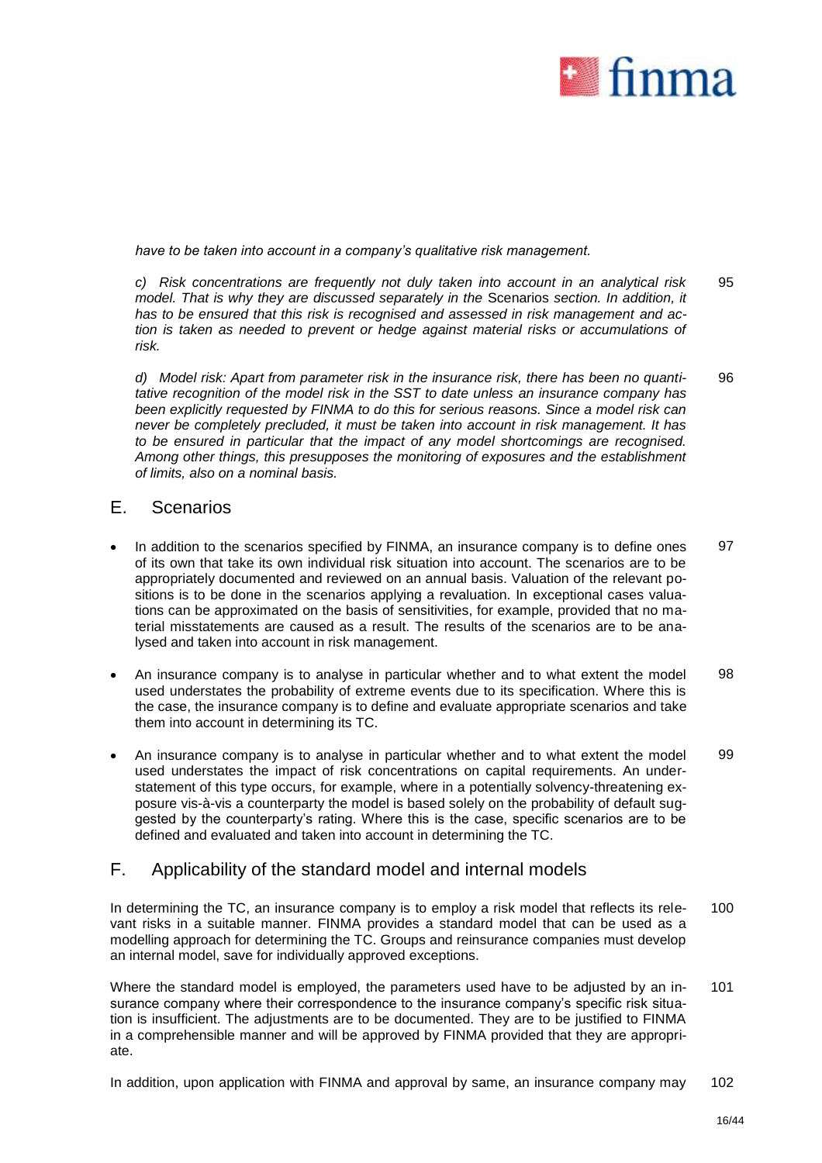

*have to be taken into account in a company's qualitative risk management.* 

*c) Risk concentrations are frequently not duly taken into account in an analytical risk model. That is why they are discussed separately in the* Scenarios *section. In addition, it has to be ensured that this risk is recognised and assessed in risk management and action is taken as needed to prevent or hedge against material risks or accumulations of risk.*  95

*d) Model risk: Apart from parameter risk in the insurance risk, there has been no quantitative recognition of the model risk in the SST to date unless an insurance company has been explicitly requested by FINMA to do this for serious reasons. Since a model risk can never be completely precluded, it must be taken into account in risk management. It has to be ensured in particular that the impact of any model shortcomings are recognised. Among other things, this presupposes the monitoring of exposures and the establishment of limits, also on a nominal basis.* 96

### E. Scenarios

- In addition to the scenarios specified by FINMA, an insurance company is to define ones of its own that take its own individual risk situation into account. The scenarios are to be appropriately documented and reviewed on an annual basis. Valuation of the relevant positions is to be done in the scenarios applying a revaluation. In exceptional cases valuations can be approximated on the basis of sensitivities, for example, provided that no material misstatements are caused as a result. The results of the scenarios are to be analysed and taken into account in risk management. 97
- An insurance company is to analyse in particular whether and to what extent the model used understates the probability of extreme events due to its specification. Where this is the case, the insurance company is to define and evaluate appropriate scenarios and take them into account in determining its TC. 98
- An insurance company is to analyse in particular whether and to what extent the model used understates the impact of risk concentrations on capital requirements. An understatement of this type occurs, for example, where in a potentially solvency-threatening exposure vis-à-vis a counterparty the model is based solely on the probability of default suggested by the counterparty's rating. Where this is the case, specific scenarios are to be defined and evaluated and taken into account in determining the TC. 99

### F. Applicability of the standard model and internal models

In determining the TC, an insurance company is to employ a risk model that reflects its relevant risks in a suitable manner. FINMA provides a standard model that can be used as a modelling approach for determining the TC. Groups and reinsurance companies must develop an internal model, save for individually approved exceptions. 100

Where the standard model is employed, the parameters used have to be adjusted by an insurance company where their correspondence to the insurance company's specific risk situation is insufficient. The adjustments are to be documented. They are to be justified to FINMA in a comprehensible manner and will be approved by FINMA provided that they are appropriate. 101

In addition, upon application with FINMA and approval by same, an insurance company may 102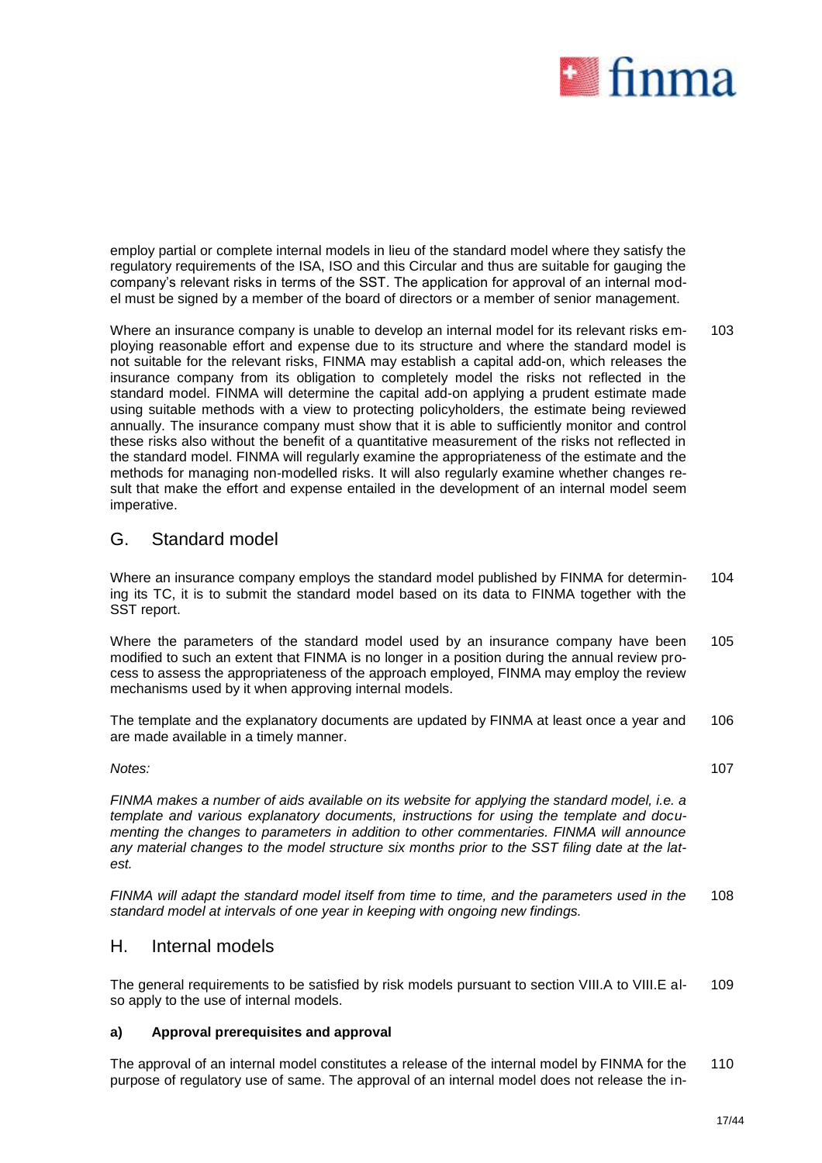

employ partial or complete internal models in lieu of the standard model where they satisfy the regulatory requirements of the ISA, ISO and this Circular and thus are suitable for gauging the company's relevant risks in terms of the SST. The application for approval of an internal model must be signed by a member of the board of directors or a member of senior management.

Where an insurance company is unable to develop an internal model for its relevant risks employing reasonable effort and expense due to its structure and where the standard model is not suitable for the relevant risks, FINMA may establish a capital add-on, which releases the insurance company from its obligation to completely model the risks not reflected in the standard model. FINMA will determine the capital add-on applying a prudent estimate made using suitable methods with a view to protecting policyholders, the estimate being reviewed annually. The insurance company must show that it is able to sufficiently monitor and control these risks also without the benefit of a quantitative measurement of the risks not reflected in the standard model. FINMA will regularly examine the appropriateness of the estimate and the methods for managing non-modelled risks. It will also regularly examine whether changes result that make the effort and expense entailed in the development of an internal model seem imperative. 103

## G. Standard model

Where an insurance company employs the standard model published by FINMA for determining its TC, it is to submit the standard model based on its data to FINMA together with the SST report. 104

Where the parameters of the standard model used by an insurance company have been modified to such an extent that FINMA is no longer in a position during the annual review process to assess the appropriateness of the approach employed, FINMA may employ the review mechanisms used by it when approving internal models. 105

The template and the explanatory documents are updated by FINMA at least once a year and are made available in a timely manner. 106

### *Notes:*

*FINMA makes a number of aids available on its website for applying the standard model, i.e. a template and various explanatory documents, instructions for using the template and documenting the changes to parameters in addition to other commentaries. FINMA will announce any material changes to the model structure six months prior to the SST filing date at the latest.* 

*FINMA will adapt the standard model itself from time to time, and the parameters used in the standard model at intervals of one year in keeping with ongoing new findings.* 108

### H. Internal models

The general requirements to be satisfied by risk models pursuant to section VIII.A to VIII.E also apply to the use of internal models. 109

### **a) Approval prerequisites and approval**

The approval of an internal model constitutes a release of the internal model by FINMA for the purpose of regulatory use of same. The approval of an internal model does not release the in-110

107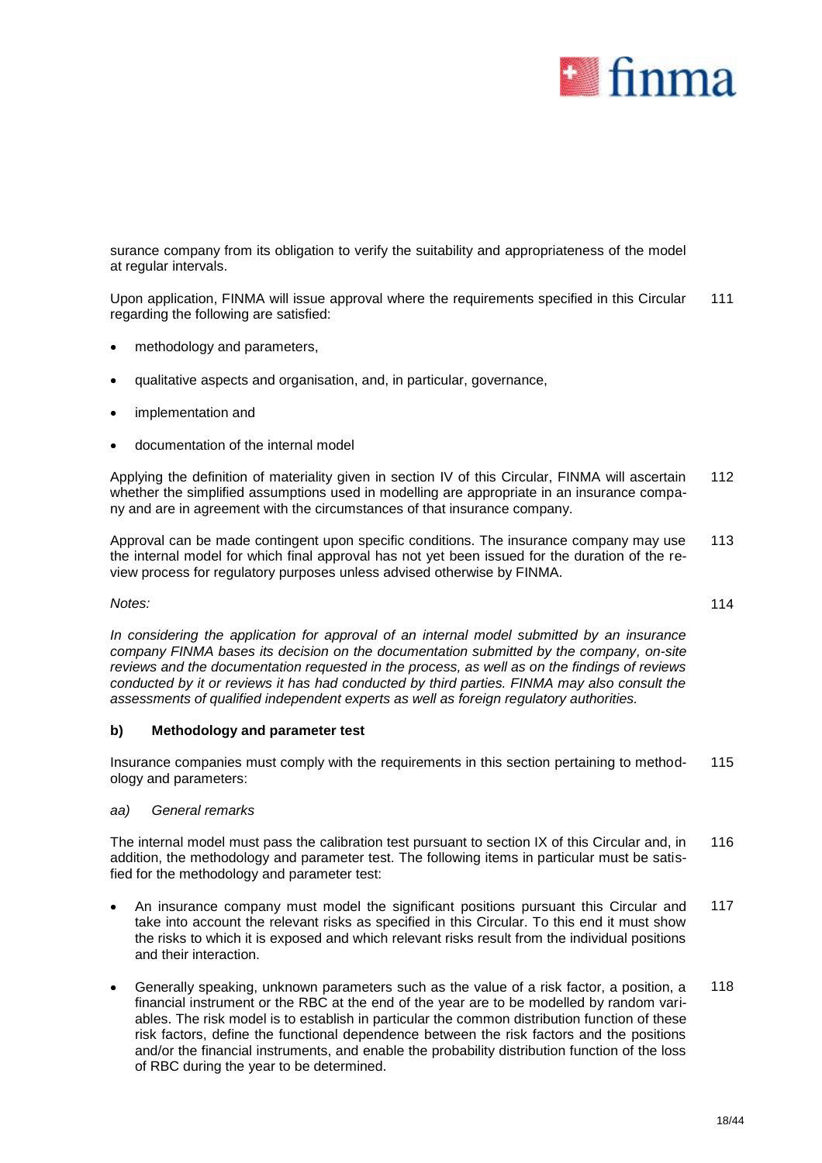

surance company from its obligation to verify the suitability and appropriateness of the model at regular intervals.

Upon application, FINMA will issue approval where the requirements specified in this Circular regarding the following are satisfied: 111

- methodology and parameters,
- qualitative aspects and organisation, and, in particular, governance,
- implementation and
- documentation of the internal model

Applying the definition of materiality given in section IV of this Circular, FINMA will ascertain whether the simplified assumptions used in modelling are appropriate in an insurance company and are in agreement with the circumstances of that insurance company. 112

Approval can be made contingent upon specific conditions. The insurance company may use the internal model for which final approval has not yet been issued for the duration of the review process for regulatory purposes unless advised otherwise by FINMA. 113

### *Notes:*

*In considering the application for approval of an internal model submitted by an insurance company FINMA bases its decision on the documentation submitted by the company, on-site reviews and the documentation requested in the process, as well as on the findings of reviews conducted by it or reviews it has had conducted by third parties. FINMA may also consult the assessments of qualified independent experts as well as foreign regulatory authorities.* 

### **b) Methodology and parameter test**

Insurance companies must comply with the requirements in this section pertaining to methodology and parameters: 115

### *aa) General remarks*

The internal model must pass the calibration test pursuant to section IX of this Circular and, in addition, the methodology and parameter test. The following items in particular must be satisfied for the methodology and parameter test: 116

- An insurance company must model the significant positions pursuant this Circular and take into account the relevant risks as specified in this Circular. To this end it must show the risks to which it is exposed and which relevant risks result from the individual positions and their interaction. 117
- Generally speaking, unknown parameters such as the value of a risk factor, a position, a financial instrument or the RBC at the end of the year are to be modelled by random variables. The risk model is to establish in particular the common distribution function of these risk factors, define the functional dependence between the risk factors and the positions and/or the financial instruments, and enable the probability distribution function of the loss of RBC during the year to be determined. 118

114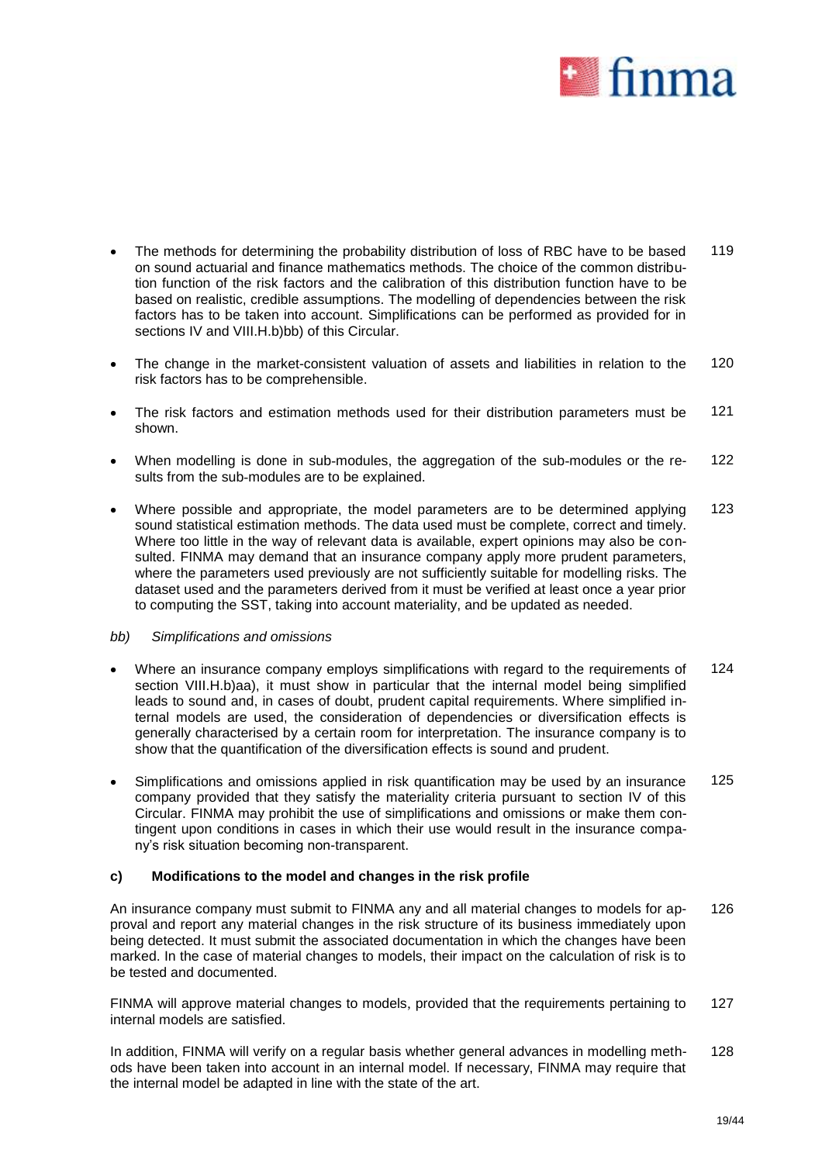

- The methods for determining the probability distribution of loss of RBC have to be based on sound actuarial and finance mathematics methods. The choice of the common distribution function of the risk factors and the calibration of this distribution function have to be based on realistic, credible assumptions. The modelling of dependencies between the risk factors has to be taken into account. Simplifications can be performed as provided for in sections IV and VIII.H.b)bb) of this Circular. 119
- The change in the market-consistent valuation of assets and liabilities in relation to the risk factors has to be comprehensible. 120
- The risk factors and estimation methods used for their distribution parameters must be shown. 121
- When modelling is done in sub-modules, the aggregation of the sub-modules or the results from the sub-modules are to be explained. 122
- Where possible and appropriate, the model parameters are to be determined applying sound statistical estimation methods. The data used must be complete, correct and timely. Where too little in the way of relevant data is available, expert opinions may also be consulted. FINMA may demand that an insurance company apply more prudent parameters, where the parameters used previously are not sufficiently suitable for modelling risks. The dataset used and the parameters derived from it must be verified at least once a year prior to computing the SST, taking into account materiality, and be updated as needed. 123

### *bb) Simplifications and omissions*

- Where an insurance company employs simplifications with regard to the requirements of section VIII.H.b)aa), it must show in particular that the internal model being simplified leads to sound and, in cases of doubt, prudent capital requirements. Where simplified internal models are used, the consideration of dependencies or diversification effects is generally characterised by a certain room for interpretation. The insurance company is to show that the quantification of the diversification effects is sound and prudent. 124
- Simplifications and omissions applied in risk quantification may be used by an insurance company provided that they satisfy the materiality criteria pursuant to section IV of this Circular. FINMA may prohibit the use of simplifications and omissions or make them contingent upon conditions in cases in which their use would result in the insurance company's risk situation becoming non-transparent. 125

### **c) Modifications to the model and changes in the risk profile**

An insurance company must submit to FINMA any and all material changes to models for approval and report any material changes in the risk structure of its business immediately upon being detected. It must submit the associated documentation in which the changes have been marked. In the case of material changes to models, their impact on the calculation of risk is to be tested and documented. 126

FINMA will approve material changes to models, provided that the requirements pertaining to internal models are satisfied. 127

In addition, FINMA will verify on a regular basis whether general advances in modelling methods have been taken into account in an internal model. If necessary, FINMA may require that the internal model be adapted in line with the state of the art. 128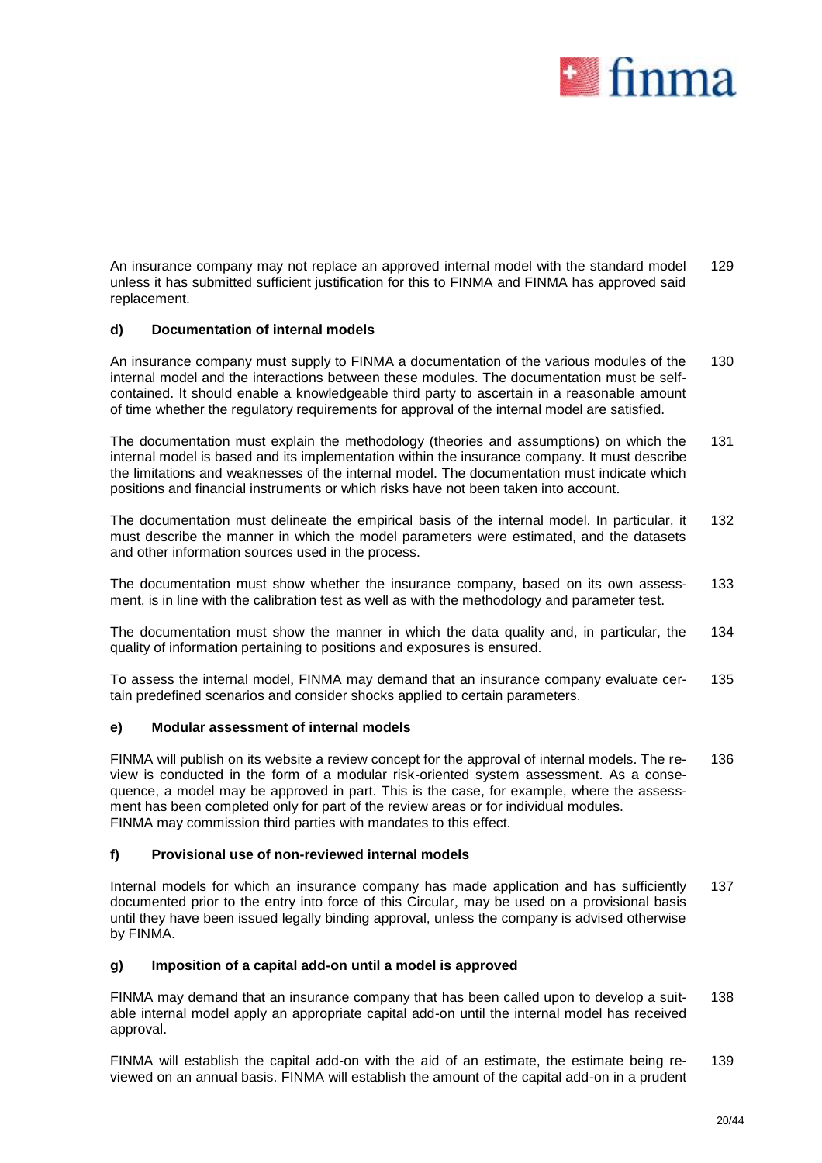

An insurance company may not replace an approved internal model with the standard model unless it has submitted sufficient justification for this to FINMA and FINMA has approved said replacement. 129

### **d) Documentation of internal models**

An insurance company must supply to FINMA a documentation of the various modules of the internal model and the interactions between these modules. The documentation must be selfcontained. It should enable a knowledgeable third party to ascertain in a reasonable amount of time whether the regulatory requirements for approval of the internal model are satisfied. 130

The documentation must explain the methodology (theories and assumptions) on which the internal model is based and its implementation within the insurance company. It must describe the limitations and weaknesses of the internal model. The documentation must indicate which positions and financial instruments or which risks have not been taken into account. 131

The documentation must delineate the empirical basis of the internal model. In particular, it must describe the manner in which the model parameters were estimated, and the datasets and other information sources used in the process. 132

The documentation must show whether the insurance company, based on its own assessment, is in line with the calibration test as well as with the methodology and parameter test. 133

The documentation must show the manner in which the data quality and, in particular, the quality of information pertaining to positions and exposures is ensured. 134

To assess the internal model, FINMA may demand that an insurance company evaluate certain predefined scenarios and consider shocks applied to certain parameters. 135

### **e) Modular assessment of internal models**

FINMA will publish on its website a review concept for the approval of internal models. The review is conducted in the form of a modular risk-oriented system assessment. As a consequence, a model may be approved in part. This is the case, for example, where the assessment has been completed only for part of the review areas or for individual modules. FINMA may commission third parties with mandates to this effect. 136

### **f) Provisional use of non-reviewed internal models**

Internal models for which an insurance company has made application and has sufficiently documented prior to the entry into force of this Circular, may be used on a provisional basis until they have been issued legally binding approval, unless the company is advised otherwise by FINMA. 137

### **g) Imposition of a capital add-on until a model is approved**

FINMA may demand that an insurance company that has been called upon to develop a suitable internal model apply an appropriate capital add-on until the internal model has received approval. 138

FINMA will establish the capital add-on with the aid of an estimate, the estimate being reviewed on an annual basis. FINMA will establish the amount of the capital add-on in a prudent 139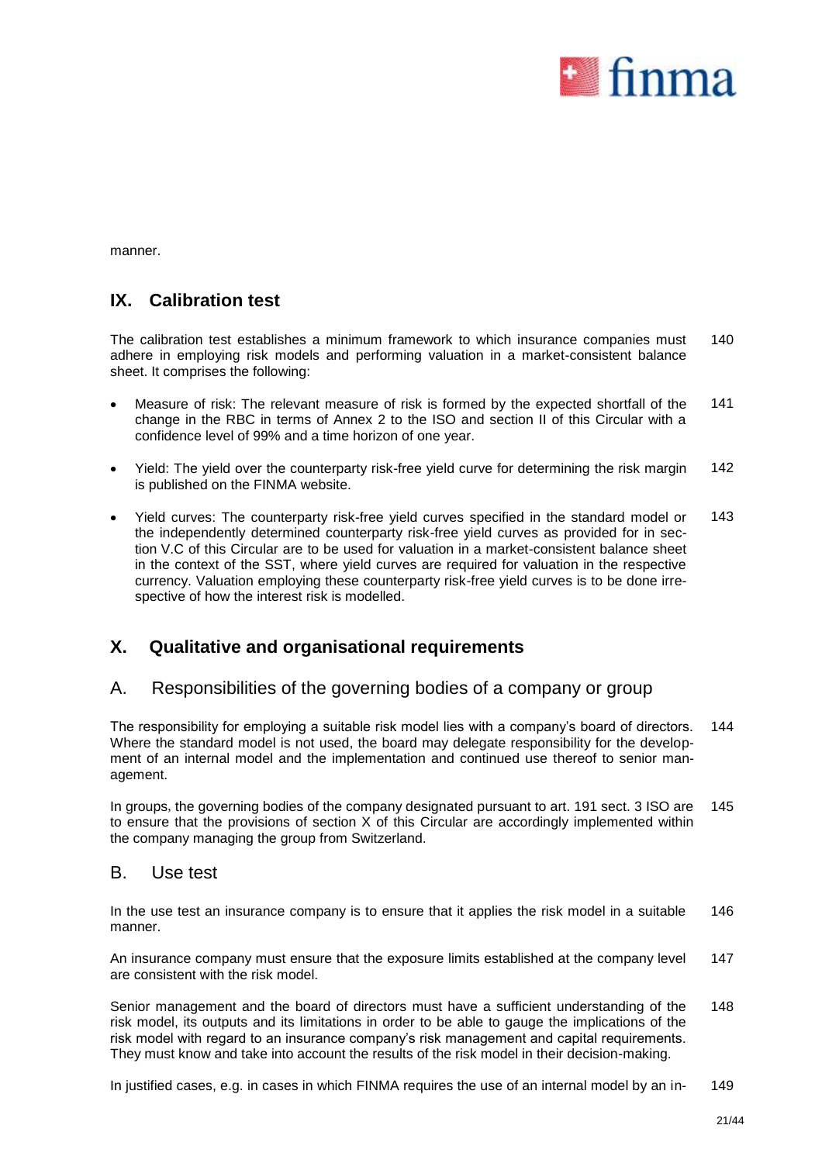

manner.

## **IX. Calibration test**

The calibration test establishes a minimum framework to which insurance companies must adhere in employing risk models and performing valuation in a market-consistent balance sheet. It comprises the following: 140

- Measure of risk: The relevant measure of risk is formed by the expected shortfall of the change in the RBC in terms of Annex 2 to the ISO and section II of this Circular with a confidence level of 99% and a time horizon of one year. 141
- Yield: The yield over the counterparty risk-free yield curve for determining the risk margin is published on the FINMA website. 142
- Yield curves: The counterparty risk-free yield curves specified in the standard model or the independently determined counterparty risk-free yield curves as provided for in section V.C of this Circular are to be used for valuation in a market-consistent balance sheet in the context of the SST, where yield curves are required for valuation in the respective currency. Valuation employing these counterparty risk-free yield curves is to be done irrespective of how the interest risk is modelled. 143

# **X. Qualitative and organisational requirements**

## A. Responsibilities of the governing bodies of a company or group

The responsibility for employing a suitable risk model lies with a company's board of directors. Where the standard model is not used, the board may delegate responsibility for the development of an internal model and the implementation and continued use thereof to senior management. 144

In groups, the governing bodies of the company designated pursuant to art. 191 sect. 3 ISO are to ensure that the provisions of section X of this Circular are accordingly implemented within the company managing the group from Switzerland. 145

### B. Use test

In the use test an insurance company is to ensure that it applies the risk model in a suitable manner. 146

An insurance company must ensure that the exposure limits established at the company level are consistent with the risk model. 147

Senior management and the board of directors must have a sufficient understanding of the risk model, its outputs and its limitations in order to be able to gauge the implications of the risk model with regard to an insurance company's risk management and capital requirements. They must know and take into account the results of the risk model in their decision-making. 148

In justified cases, e.g. in cases in which FINMA requires the use of an internal model by an in- 149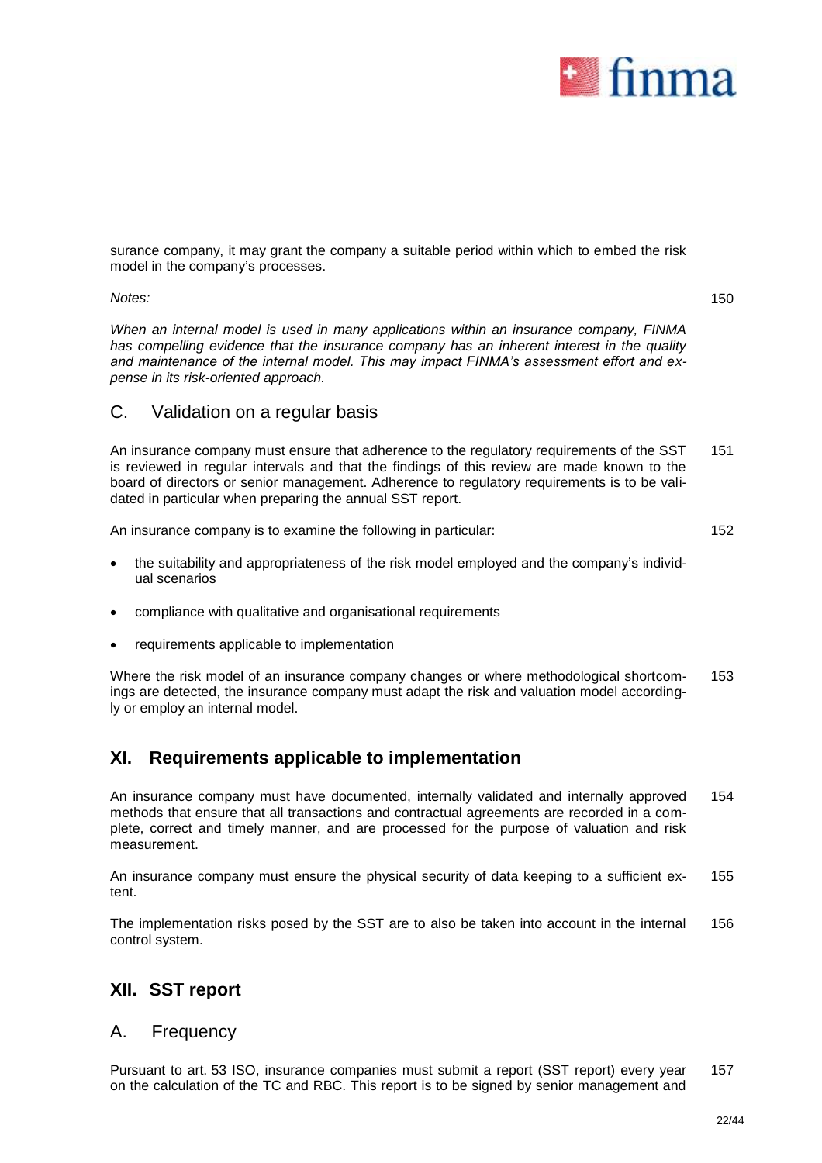

surance company, it may grant the company a suitable period within which to embed the risk model in the company's processes.

*Notes:*

150

*When an internal model is used in many applications within an insurance company, FINMA has compelling evidence that the insurance company has an inherent interest in the quality and maintenance of the internal model. This may impact FINMA's assessment effort and expense in its risk-oriented approach.* 

### C. Validation on a regular basis

An insurance company must ensure that adherence to the regulatory requirements of the SST is reviewed in regular intervals and that the findings of this review are made known to the board of directors or senior management. Adherence to regulatory requirements is to be validated in particular when preparing the annual SST report. 151

An insurance company is to examine the following in particular:

152

- the suitability and appropriateness of the risk model employed and the company's individual scenarios
- compliance with qualitative and organisational requirements
- requirements applicable to implementation

Where the risk model of an insurance company changes or where methodological shortcomings are detected, the insurance company must adapt the risk and valuation model accordingly or employ an internal model. 153

# **XI. Requirements applicable to implementation**

An insurance company must have documented, internally validated and internally approved methods that ensure that all transactions and contractual agreements are recorded in a complete, correct and timely manner, and are processed for the purpose of valuation and risk measurement. 154

An insurance company must ensure the physical security of data keeping to a sufficient extent. 155

The implementation risks posed by the SST are to also be taken into account in the internal control system. 156

# **XII. SST report**

### A. Frequency

Pursuant to art. 53 ISO, insurance companies must submit a report (SST report) every year on the calculation of the TC and RBC. This report is to be signed by senior management and 157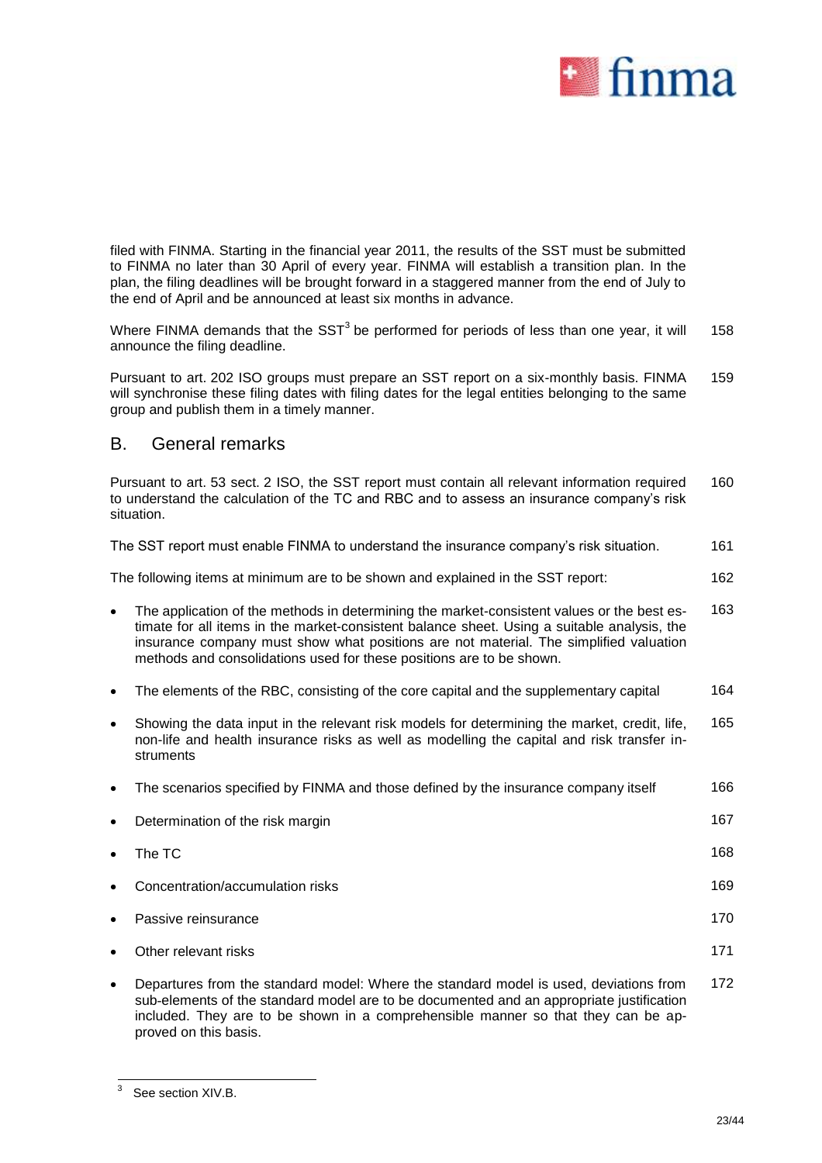

filed with FINMA. Starting in the financial year 2011, the results of the SST must be submitted to FINMA no later than 30 April of every year. FINMA will establish a transition plan. In the plan, the filing deadlines will be brought forward in a staggered manner from the end of July to the end of April and be announced at least six months in advance.

Where FINMA demands that the SST<sup>3</sup> be performed for periods of less than one year, it will announce the filing deadline. 158

Pursuant to art. 202 ISO groups must prepare an SST report on a six-monthly basis. FINMA will synchronise these filing dates with filing dates for the legal entities belonging to the same group and publish them in a timely manner. 159

### B. General remarks

Pursuant to art. 53 sect. 2 ISO, the SST report must contain all relevant information required to understand the calculation of the TC and RBC and to assess an insurance company's risk situation. 160

The SST report must enable FINMA to understand the insurance company's risk situation. 161

The following items at minimum are to be shown and explained in the SST report: 162

- The application of the methods in determining the market-consistent values or the best estimate for all items in the market-consistent balance sheet. Using a suitable analysis, the insurance company must show what positions are not material. The simplified valuation methods and consolidations used for these positions are to be shown. 163
- The elements of the RBC, consisting of the core capital and the supplementary capital 164
- Showing the data input in the relevant risk models for determining the market, credit, life, non-life and health insurance risks as well as modelling the capital and risk transfer instruments 165

| $\bullet$ | The scenarios specified by FINMA and those defined by the insurance company itself | 166 |
|-----------|------------------------------------------------------------------------------------|-----|
| $\bullet$ | Determination of the risk margin                                                   | 167 |
| $\bullet$ | The TC                                                                             | 168 |
| $\bullet$ | Concentration/accumulation risks                                                   | 169 |
| $\bullet$ | Passive reinsurance                                                                | 170 |
| $\bullet$ | Other relevant risks                                                               | 171 |
|           |                                                                                    |     |

 Departures from the standard model: Where the standard model is used, deviations from sub-elements of the standard model are to be documented and an appropriate justification included. They are to be shown in a comprehensible manner so that they can be approved on this basis. 172

 $\frac{1}{3}$ See section XIV.B.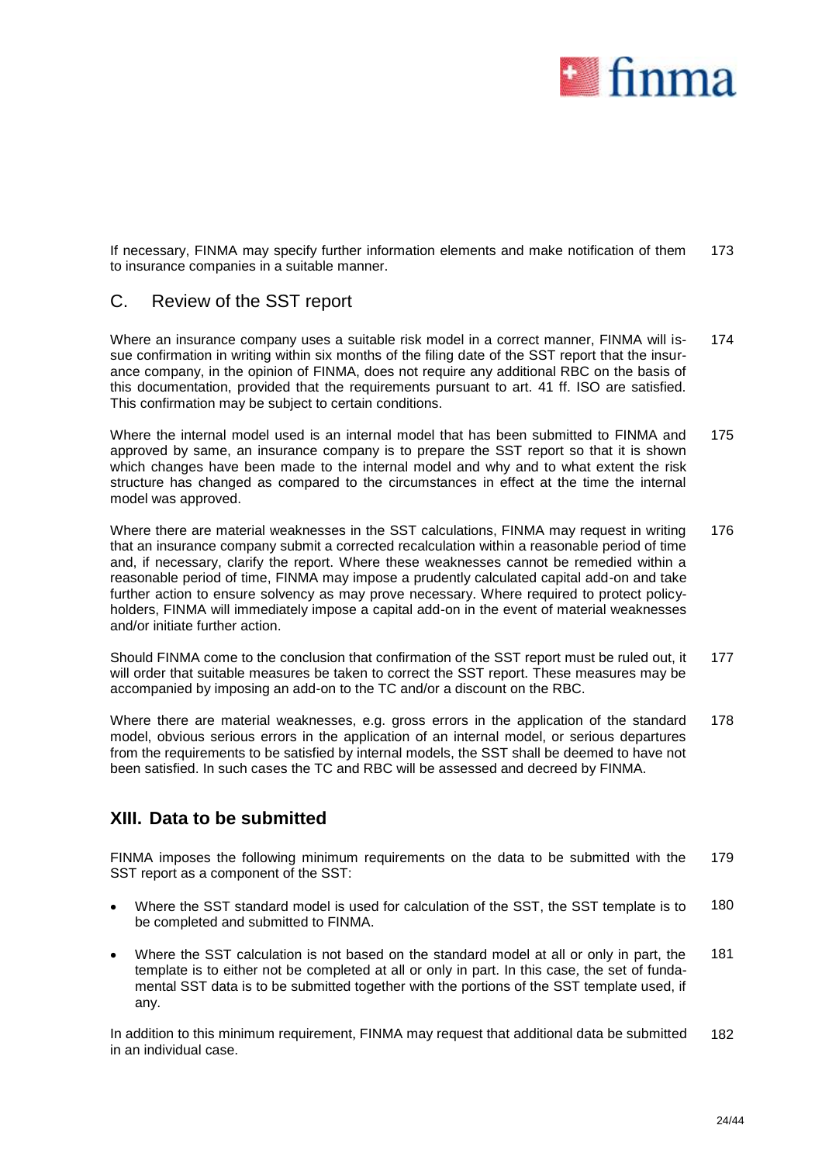

If necessary, FINMA may specify further information elements and make notification of them to insurance companies in a suitable manner. 173

## C. Review of the SST report

Where an insurance company uses a suitable risk model in a correct manner, FINMA will issue confirmation in writing within six months of the filing date of the SST report that the insurance company, in the opinion of FINMA, does not require any additional RBC on the basis of this documentation, provided that the requirements pursuant to art. 41 ff. ISO are satisfied. This confirmation may be subject to certain conditions. 174

Where the internal model used is an internal model that has been submitted to FINMA and approved by same, an insurance company is to prepare the SST report so that it is shown which changes have been made to the internal model and why and to what extent the risk structure has changed as compared to the circumstances in effect at the time the internal model was approved. 175

Where there are material weaknesses in the SST calculations, FINMA may request in writing that an insurance company submit a corrected recalculation within a reasonable period of time and, if necessary, clarify the report. Where these weaknesses cannot be remedied within a reasonable period of time, FINMA may impose a prudently calculated capital add-on and take further action to ensure solvency as may prove necessary. Where required to protect policyholders, FINMA will immediately impose a capital add-on in the event of material weaknesses and/or initiate further action. 176

Should FINMA come to the conclusion that confirmation of the SST report must be ruled out, it will order that suitable measures be taken to correct the SST report. These measures may be accompanied by imposing an add-on to the TC and/or a discount on the RBC. 177

Where there are material weaknesses, e.g. gross errors in the application of the standard model, obvious serious errors in the application of an internal model, or serious departures from the requirements to be satisfied by internal models, the SST shall be deemed to have not been satisfied. In such cases the TC and RBC will be assessed and decreed by FINMA. 178

# **XIII. Data to be submitted**

FINMA imposes the following minimum requirements on the data to be submitted with the SST report as a component of the SST: 179

- Where the SST standard model is used for calculation of the SST, the SST template is to be completed and submitted to FINMA. 180
- Where the SST calculation is not based on the standard model at all or only in part, the template is to either not be completed at all or only in part. In this case, the set of fundamental SST data is to be submitted together with the portions of the SST template used, if any. 181

In addition to this minimum requirement, FINMA may request that additional data be submitted in an individual case. 182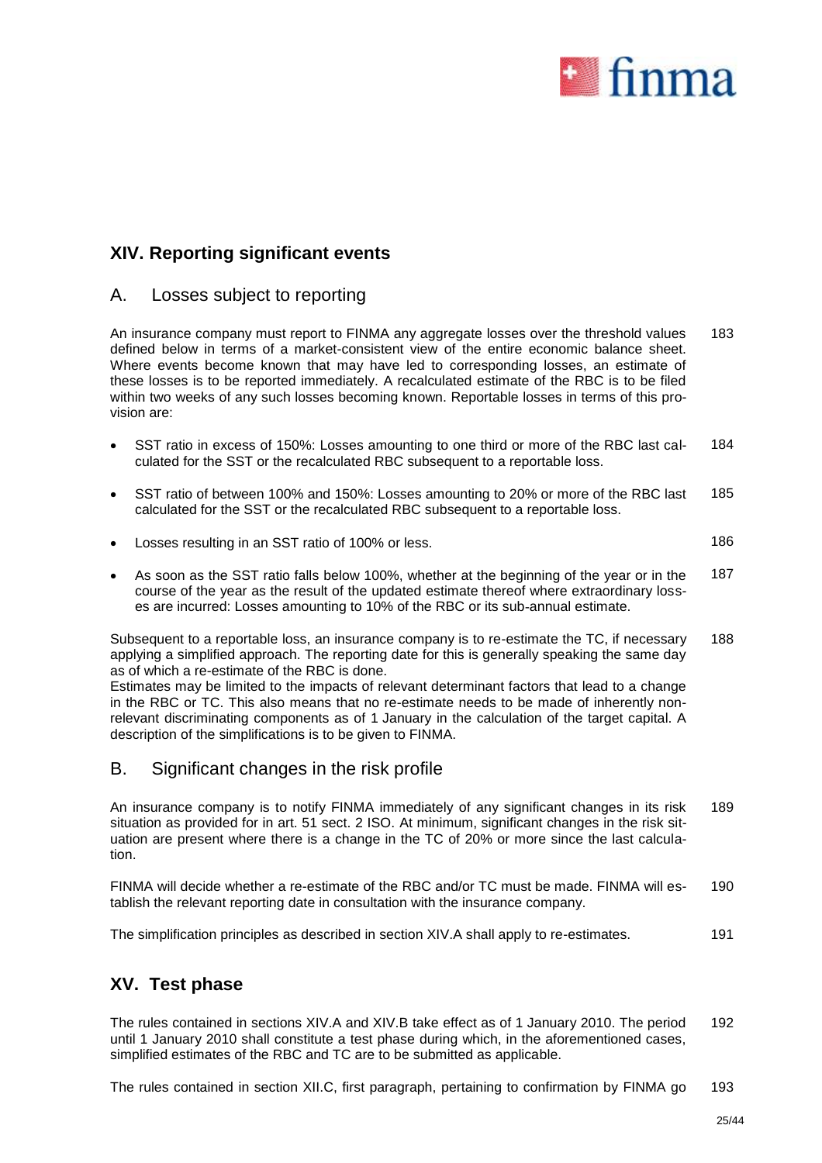

# **XIV. Reporting significant events**

## A. Losses subject to reporting

An insurance company must report to FINMA any aggregate losses over the threshold values defined below in terms of a market-consistent view of the entire economic balance sheet. Where events become known that may have led to corresponding losses, an estimate of these losses is to be reported immediately. A recalculated estimate of the RBC is to be filed within two weeks of any such losses becoming known. Reportable losses in terms of this provision are: 183

- SST ratio in excess of 150%: Losses amounting to one third or more of the RBC last calculated for the SST or the recalculated RBC subsequent to a reportable loss. 184
- SST ratio of between 100% and 150%: Losses amounting to 20% or more of the RBC last calculated for the SST or the recalculated RBC subsequent to a reportable loss. 185
- Losses resulting in an SST ratio of 100% or less. 186

 As soon as the SST ratio falls below 100%, whether at the beginning of the year or in the course of the year as the result of the updated estimate thereof where extraordinary losses are incurred: Losses amounting to 10% of the RBC or its sub-annual estimate. 187

Subsequent to a reportable loss, an insurance company is to re-estimate the TC, if necessary applying a simplified approach. The reporting date for this is generally speaking the same day as of which a re-estimate of the RBC is done. 188

Estimates may be limited to the impacts of relevant determinant factors that lead to a change in the RBC or TC. This also means that no re-estimate needs to be made of inherently nonrelevant discriminating components as of 1 January in the calculation of the target capital. A description of the simplifications is to be given to FINMA.

## B. Significant changes in the risk profile

An insurance company is to notify FINMA immediately of any significant changes in its risk situation as provided for in art. 51 sect. 2 ISO. At minimum, significant changes in the risk situation are present where there is a change in the TC of 20% or more since the last calculation. 189

FINMA will decide whether a re-estimate of the RBC and/or TC must be made. FINMA will establish the relevant reporting date in consultation with the insurance company. 190

The simplification principles as described in section XIV.A shall apply to re-estimates. 191

# **XV. Test phase**

The rules contained in sections XIV.A and XIV.B take effect as of 1 January 2010. The period until 1 January 2010 shall constitute a test phase during which, in the aforementioned cases, simplified estimates of the RBC and TC are to be submitted as applicable. 192

The rules contained in section XII.C, first paragraph, pertaining to confirmation by FINMA go 193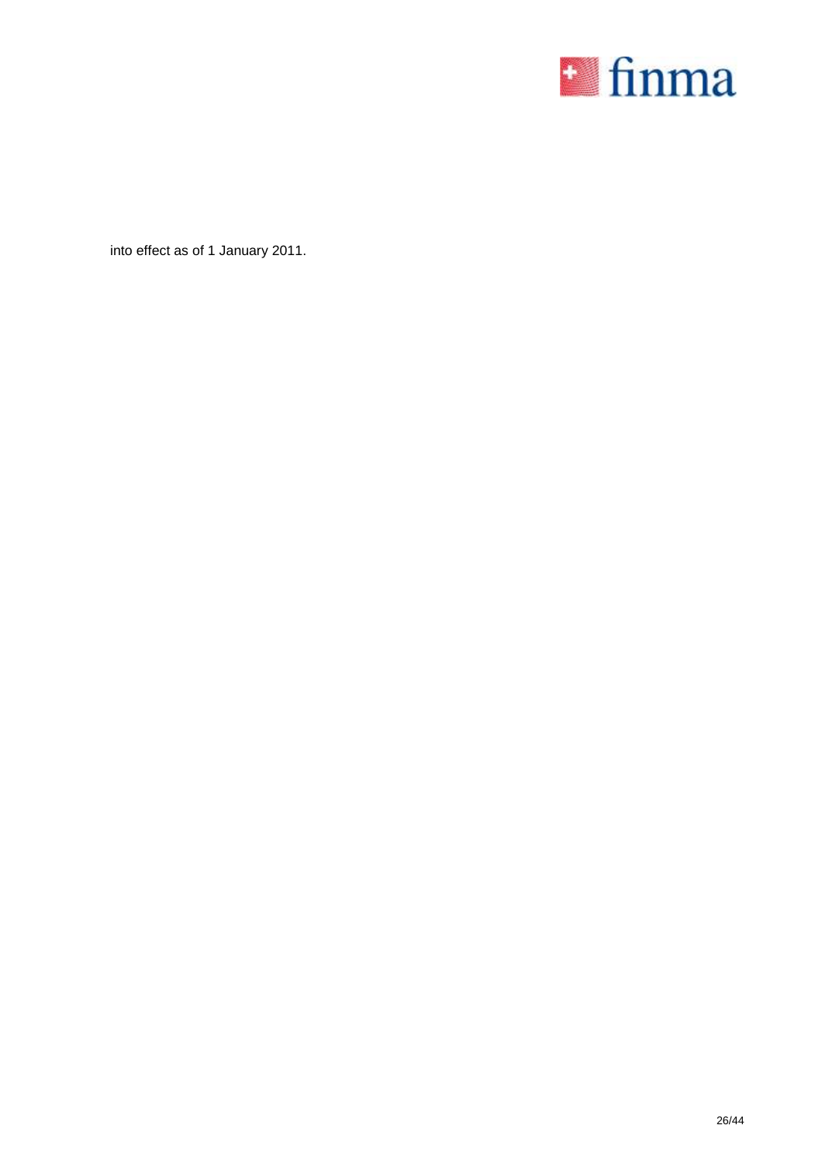

into effect as of 1 January 2011.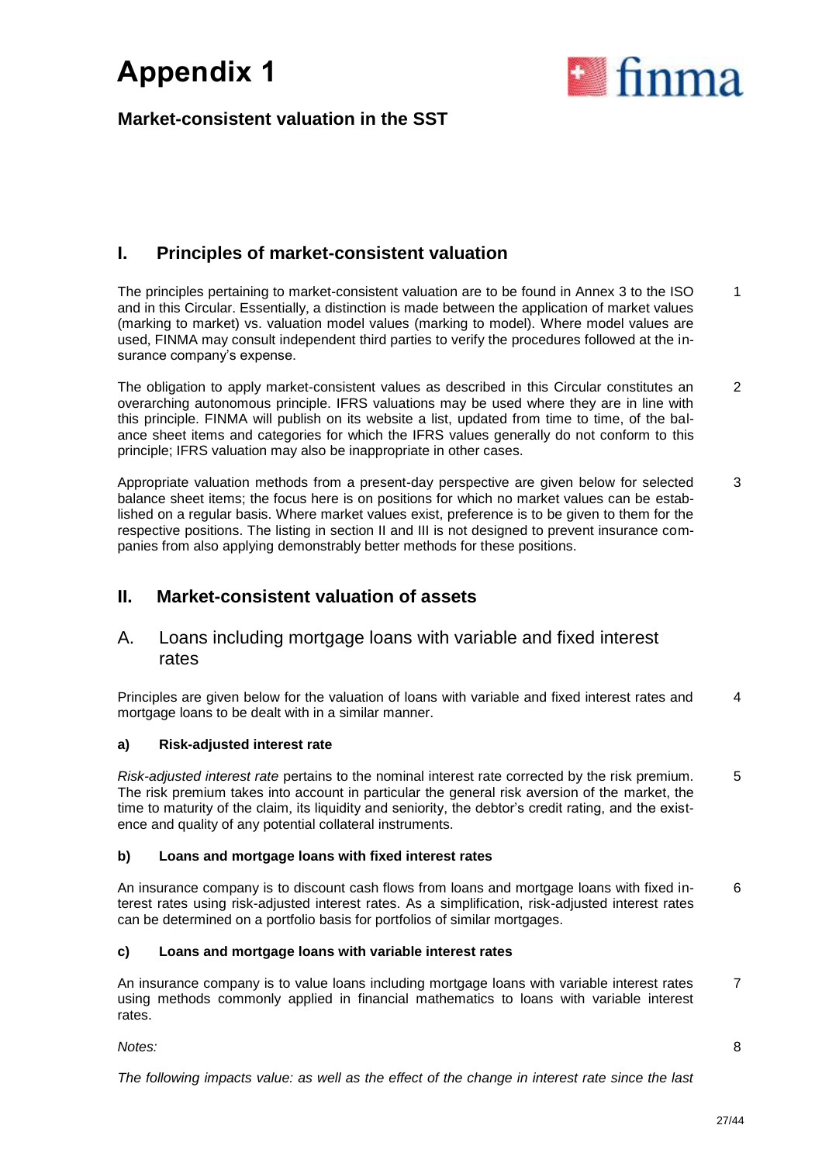

# **Market-consistent valuation in the SST**

# **I. Principles of market-consistent valuation**

The principles pertaining to market-consistent valuation are to be found in Annex 3 to the ISO and in this Circular. Essentially, a distinction is made between the application of market values (marking to market) vs. valuation model values (marking to model). Where model values are used, FINMA may consult independent third parties to verify the procedures followed at the insurance company's expense. 1

The obligation to apply market-consistent values as described in this Circular constitutes an overarching autonomous principle. IFRS valuations may be used where they are in line with this principle. FINMA will publish on its website a list, updated from time to time, of the balance sheet items and categories for which the IFRS values generally do not conform to this principle; IFRS valuation may also be inappropriate in other cases. 2

Appropriate valuation methods from a present-day perspective are given below for selected balance sheet items; the focus here is on positions for which no market values can be established on a regular basis. Where market values exist, preference is to be given to them for the respective positions. The listing in section II and III is not designed to prevent insurance companies from also applying demonstrably better methods for these positions. 3

# **II. Market-consistent valuation of assets**

## A. Loans including mortgage loans with variable and fixed interest rates

Principles are given below for the valuation of loans with variable and fixed interest rates and mortgage loans to be dealt with in a similar manner. 4

### **a) Risk-adjusted interest rate**

*Risk-adjusted interest rate* pertains to the nominal interest rate corrected by the risk premium. The risk premium takes into account in particular the general risk aversion of the market, the time to maturity of the claim, its liquidity and seniority, the debtor's credit rating, and the existence and quality of any potential collateral instruments. 5

### **b) Loans and mortgage loans with fixed interest rates**

An insurance company is to discount cash flows from loans and mortgage loans with fixed interest rates using risk-adjusted interest rates. As a simplification, risk-adjusted interest rates can be determined on a portfolio basis for portfolios of similar mortgages. 6

### **c) Loans and mortgage loans with variable interest rates**

An insurance company is to value loans including mortgage loans with variable interest rates using methods commonly applied in financial mathematics to loans with variable interest rates. 7

*Notes:*

8

*The following impacts value: as well as the effect of the change in interest rate since the last*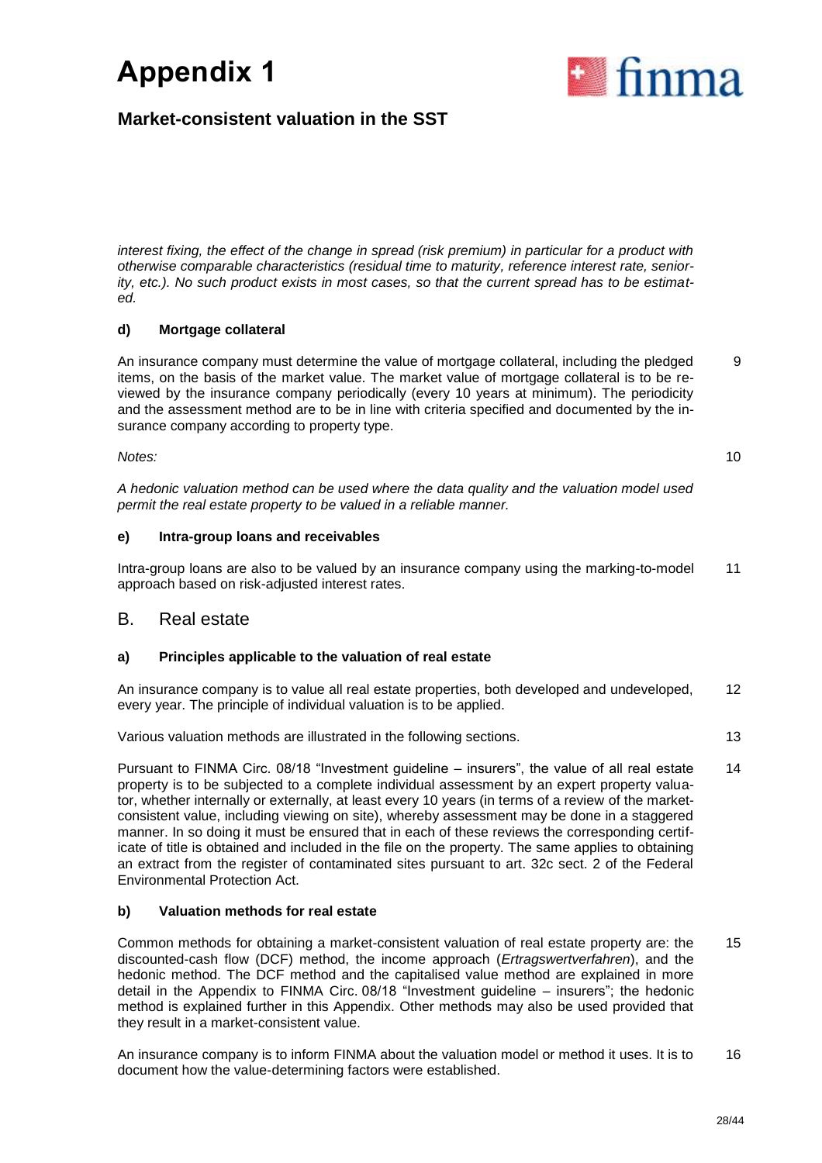

# **Market-consistent valuation in the SST**

*interest fixing, the effect of the change in spread (risk premium) in particular for a product with otherwise comparable characteristics (residual time to maturity, reference interest rate, seniority, etc.). No such product exists in most cases, so that the current spread has to be estimated.* 

### **d) Mortgage collateral**

An insurance company must determine the value of mortgage collateral, including the pledged items, on the basis of the market value. The market value of mortgage collateral is to be reviewed by the insurance company periodically (every 10 years at minimum). The periodicity and the assessment method are to be in line with criteria specified and documented by the insurance company according to property type. 9

*Notes:*

10

*A hedonic valuation method can be used where the data quality and the valuation model used permit the real estate property to be valued in a reliable manner.* 

### **e) Intra-group loans and receivables**

Intra-group loans are also to be valued by an insurance company using the marking-to-model approach based on risk-adjusted interest rates. 11

### B. Real estate

### **a) Principles applicable to the valuation of real estate**

An insurance company is to value all real estate properties, both developed and undeveloped, every year. The principle of individual valuation is to be applied. 12

Various valuation methods are illustrated in the following sections. 13

Pursuant to FINMA Circ. 08/18 "Investment guideline – insurers", the value of all real estate property is to be subjected to a complete individual assessment by an expert property valuator, whether internally or externally, at least every 10 years (in terms of a review of the marketconsistent value, including viewing on site), whereby assessment may be done in a staggered manner. In so doing it must be ensured that in each of these reviews the corresponding certificate of title is obtained and included in the file on the property. The same applies to obtaining an extract from the register of contaminated sites pursuant to art. 32c sect. 2 of the Federal Environmental Protection Act. 14

### **b) Valuation methods for real estate**

Common methods for obtaining a market-consistent valuation of real estate property are: the discounted-cash flow (DCF) method, the income approach (*Ertragswertverfahren*), and the hedonic method. The DCF method and the capitalised value method are explained in more detail in the Appendix to FINMA Circ. 08/18 "Investment guideline – insurers"; the hedonic method is explained further in this Appendix. Other methods may also be used provided that they result in a market-consistent value. 15

An insurance company is to inform FINMA about the valuation model or method it uses. It is to document how the value-determining factors were established. 16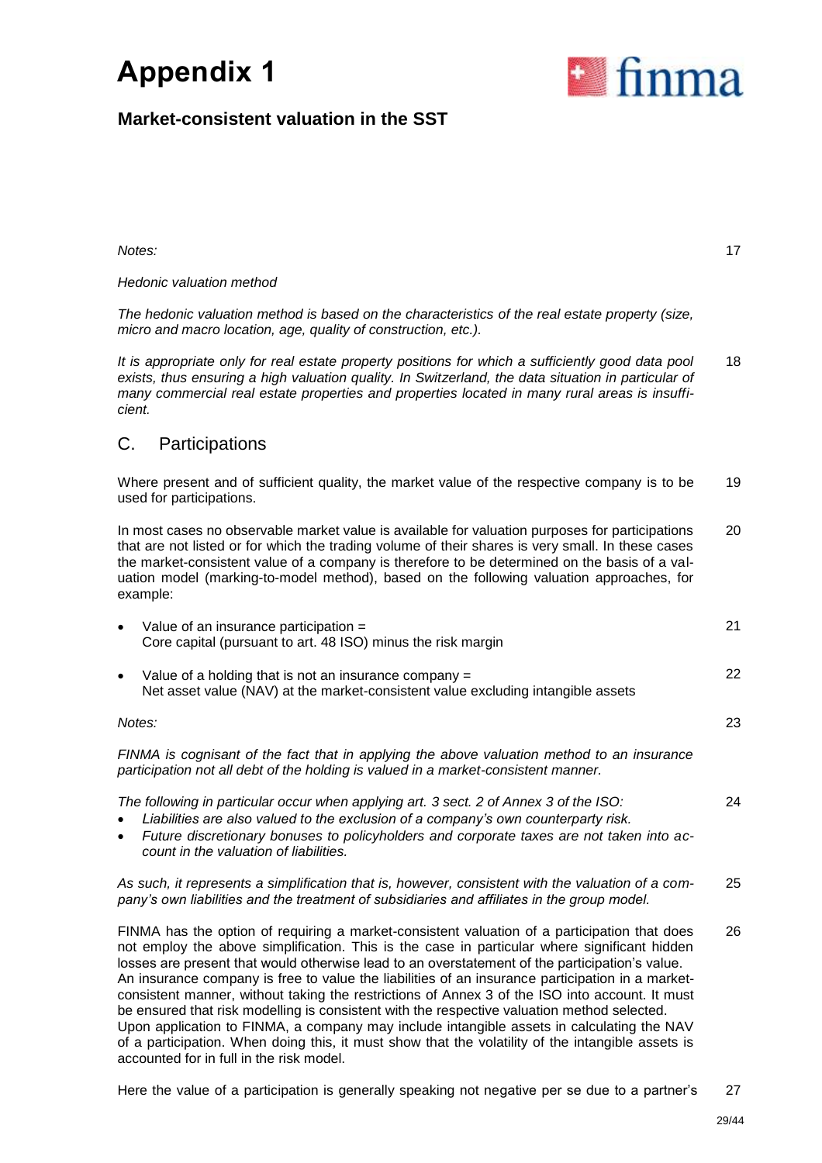

17

# **Market-consistent valuation in the SST**

*Notes:*

### *Hedonic valuation method*

*The hedonic valuation method is based on the characteristics of the real estate property (size, micro and macro location, age, quality of construction, etc.).*

*It is appropriate only for real estate property positions for which a sufficiently good data pool exists, thus ensuring a high valuation quality. In Switzerland, the data situation in particular of many commercial real estate properties and properties located in many rural areas is insufficient.*  18

## C. Participations

accounted for in full in the risk model.

Where present and of sufficient quality, the market value of the respective company is to be used for participations. 19 In most cases no observable market value is available for valuation purposes for participations that are not listed or for which the trading volume of their shares is very small. In these cases the market-consistent value of a company is therefore to be determined on the basis of a valuation model (marking-to-model method), based on the following valuation approaches, for example: 20

| $\bullet$ | Value of an insurance participation =<br>Core capital (pursuant to art. 48 ISO) minus the risk margin                                                                                                                                                                                                                                                                                                                                                                                                                                                                                                                                                                                                                                                                                                 | 21 |
|-----------|-------------------------------------------------------------------------------------------------------------------------------------------------------------------------------------------------------------------------------------------------------------------------------------------------------------------------------------------------------------------------------------------------------------------------------------------------------------------------------------------------------------------------------------------------------------------------------------------------------------------------------------------------------------------------------------------------------------------------------------------------------------------------------------------------------|----|
| $\bullet$ | Value of a holding that is not an insurance company =<br>Net asset value (NAV) at the market-consistent value excluding intangible assets                                                                                                                                                                                                                                                                                                                                                                                                                                                                                                                                                                                                                                                             | 22 |
| Notes:    |                                                                                                                                                                                                                                                                                                                                                                                                                                                                                                                                                                                                                                                                                                                                                                                                       | 23 |
|           | FINMA is cognisant of the fact that in applying the above valuation method to an insurance<br>participation not all debt of the holding is valued in a market-consistent manner.                                                                                                                                                                                                                                                                                                                                                                                                                                                                                                                                                                                                                      |    |
| $\bullet$ | The following in particular occur when applying art. 3 sect. 2 of Annex 3 of the ISO:<br>Liabilities are also valued to the exclusion of a company's own counterparty risk.<br>Future discretionary bonuses to policyholders and corporate taxes are not taken into ac-<br>count in the valuation of liabilities.                                                                                                                                                                                                                                                                                                                                                                                                                                                                                     | 24 |
|           | As such, it represents a simplification that is, however, consistent with the valuation of a com-<br>pany's own liabilities and the treatment of subsidiaries and affiliates in the group model.                                                                                                                                                                                                                                                                                                                                                                                                                                                                                                                                                                                                      | 25 |
|           | FINMA has the option of requiring a market-consistent valuation of a participation that does<br>not employ the above simplification. This is the case in particular where significant hidden<br>losses are present that would otherwise lead to an overstatement of the participation's value.<br>An insurance company is free to value the liabilities of an insurance participation in a market-<br>consistent manner, without taking the restrictions of Annex 3 of the ISO into account. It must<br>be ensured that risk modelling is consistent with the respective valuation method selected.<br>Upon application to FINMA, a company may include intangible assets in calculating the NAV<br>of a participation. When doing this, it must show that the volatility of the intangible assets is | 26 |

Here the value of a participation is generally speaking not negative per se due to a partner's 27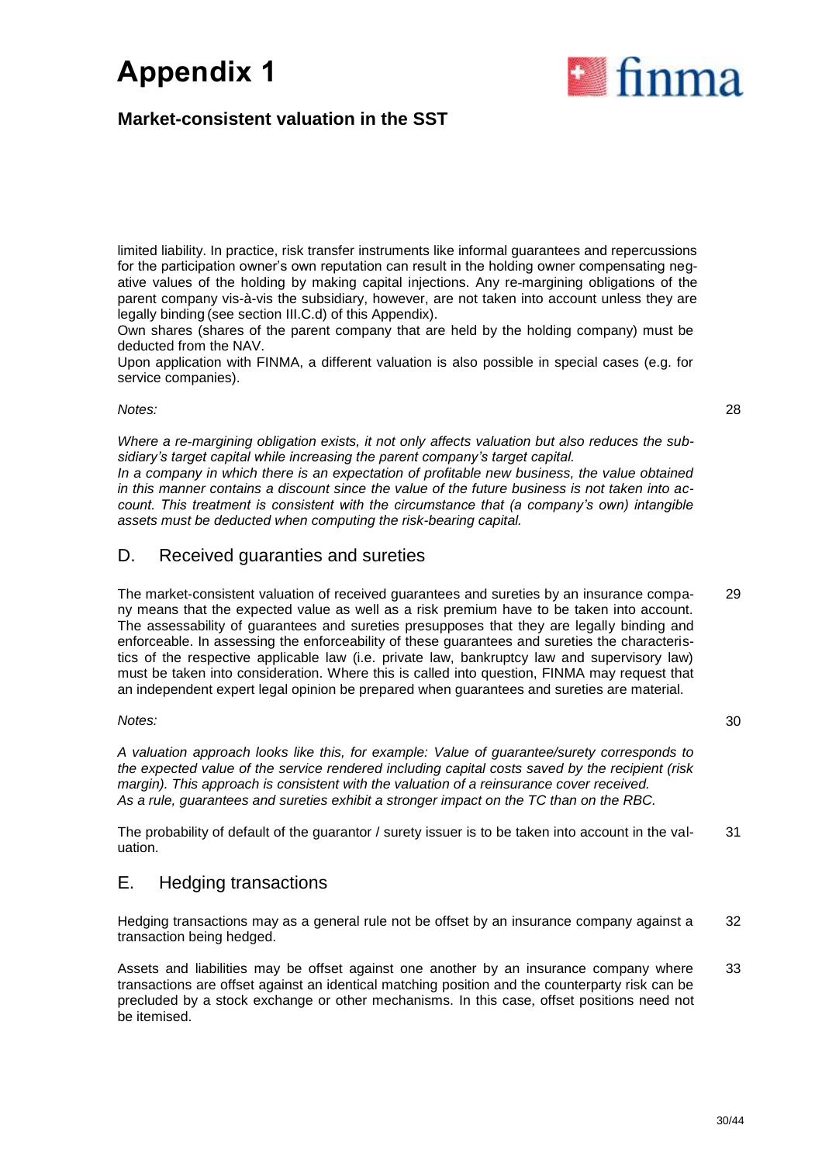# **Market-consistent valuation in the SST**

limited liability. In practice, risk transfer instruments like informal guarantees and repercussions for the participation owner's own reputation can result in the holding owner compensating negative values of the holding by making capital injections. Any re-margining obligations of the parent company vis-à-vis the subsidiary, however, are not taken into account unless they are legally binding (see section III.C.d) of this Appendix).

Own shares (shares of the parent company that are held by the holding company) must be deducted from the NAV.

Upon application with FINMA, a different valuation is also possible in special cases (e.g. for service companies).

*Notes:*

*Where a re-margining obligation exists, it not only affects valuation but also reduces the subsidiary's target capital while increasing the parent company's target capital.* 

*In a company in which there is an expectation of profitable new business, the value obtained in this manner contains a discount since the value of the future business is not taken into account. This treatment is consistent with the circumstance that (a company's own) intangible assets must be deducted when computing the risk-bearing capital.*

## D. Received guaranties and sureties

The market-consistent valuation of received guarantees and sureties by an insurance company means that the expected value as well as a risk premium have to be taken into account. The assessability of guarantees and sureties presupposes that they are legally binding and enforceable. In assessing the enforceability of these guarantees and sureties the characteristics of the respective applicable law (i.e. private law, bankruptcy law and supervisory law) must be taken into consideration. Where this is called into question, FINMA may request that an independent expert legal opinion be prepared when guarantees and sureties are material. 29

*Notes:*

*A valuation approach looks like this, for example: Value of guarantee/surety corresponds to the expected value of the service rendered including capital costs saved by the recipient (risk margin). This approach is consistent with the valuation of a reinsurance cover received. As a rule, guarantees and sureties exhibit a stronger impact on the TC than on the RBC.*

The probability of default of the guarantor / surety issuer is to be taken into account in the valuation. 31

## E. Hedging transactions

Hedging transactions may as a general rule not be offset by an insurance company against a transaction being hedged. 32

Assets and liabilities may be offset against one another by an insurance company where transactions are offset against an identical matching position and the counterparty risk can be precluded by a stock exchange or other mechanisms. In this case, offset positions need not be itemised. 33

# a finma

28

30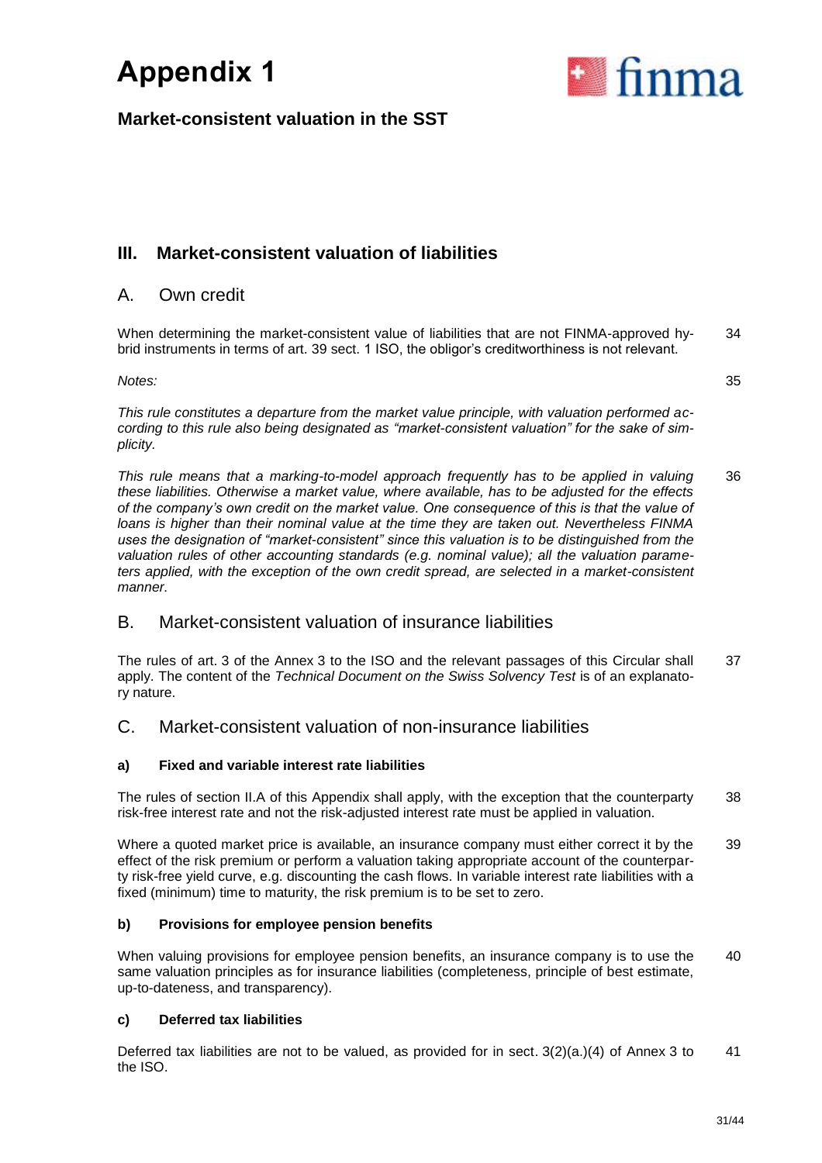

35

# **Market-consistent valuation in the SST**

# **III. Market-consistent valuation of liabilities**

## A. Own credit

When determining the market-consistent value of liabilities that are not FINMA-approved hybrid instruments in terms of art. 39 sect. 1 ISO, the obligor's creditworthiness is not relevant. 34

*Notes:*

*This rule constitutes a departure from the market value principle, with valuation performed according to this rule also being designated as "market-consistent valuation" for the sake of simplicity.*

*This rule means that a marking-to-model approach frequently has to be applied in valuing these liabilities. Otherwise a market value, where available, has to be adjusted for the effects of the company's own credit on the market value. One consequence of this is that the value of loans is higher than their nominal value at the time they are taken out. Nevertheless FINMA uses the designation of "market-consistent" since this valuation is to be distinguished from the valuation rules of other accounting standards (e.g. nominal value); all the valuation parameters applied, with the exception of the own credit spread, are selected in a market-consistent manner.* 36

# B. Market-consistent valuation of insurance liabilities

The rules of art. 3 of the Annex 3 to the ISO and the relevant passages of this Circular shall apply. The content of the *Technical Document on the Swiss Solvency Test* is of an explanatory nature. 37

## C. Market-consistent valuation of non-insurance liabilities

### **a) Fixed and variable interest rate liabilities**

The rules of section II.A of this Appendix shall apply, with the exception that the counterparty risk-free interest rate and not the risk-adjusted interest rate must be applied in valuation. 38

Where a quoted market price is available, an insurance company must either correct it by the effect of the risk premium or perform a valuation taking appropriate account of the counterparty risk-free yield curve, e.g. discounting the cash flows. In variable interest rate liabilities with a fixed (minimum) time to maturity, the risk premium is to be set to zero. 39

### **b) Provisions for employee pension benefits**

When valuing provisions for employee pension benefits, an insurance company is to use the same valuation principles as for insurance liabilities (completeness, principle of best estimate, up-to-dateness, and transparency). 40

### **c) Deferred tax liabilities**

Deferred tax liabilities are not to be valued, as provided for in sect. 3(2)(a.)(4) of Annex 3 to the ISO. 41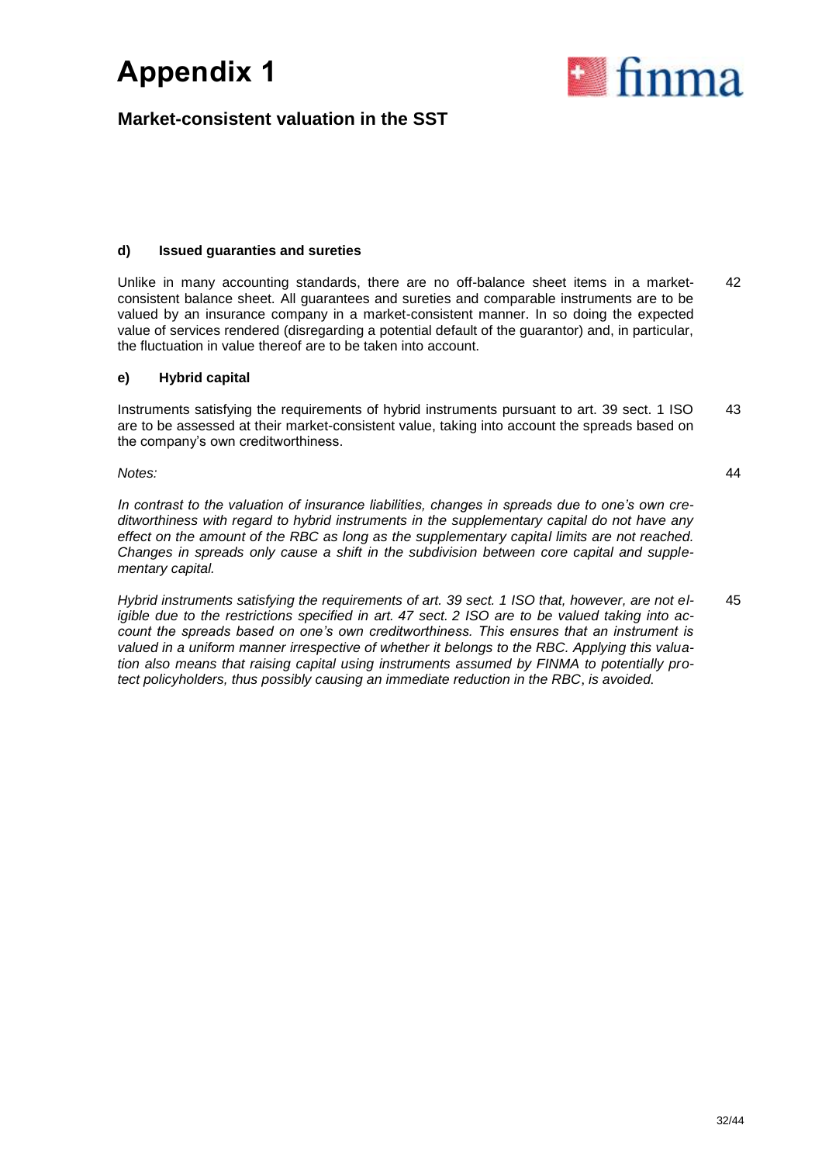

# **Market-consistent valuation in the SST**

### **d) Issued guaranties and sureties**

Unlike in many accounting standards, there are no off-balance sheet items in a marketconsistent balance sheet. All guarantees and sureties and comparable instruments are to be valued by an insurance company in a market-consistent manner. In so doing the expected value of services rendered (disregarding a potential default of the guarantor) and, in particular, the fluctuation in value thereof are to be taken into account. 42

### **e) Hybrid capital**

Instruments satisfying the requirements of hybrid instruments pursuant to art. 39 sect. 1 ISO are to be assessed at their market-consistent value, taking into account the spreads based on the company's own creditworthiness. 43

*Notes:*

*In contrast to the valuation of insurance liabilities, changes in spreads due to one's own creditworthiness with regard to hybrid instruments in the supplementary capital do not have any effect on the amount of the RBC as long as the supplementary capital limits are not reached. Changes in spreads only cause a shift in the subdivision between core capital and supplementary capital.*

*Hybrid instruments satisfying the requirements of art. 39 sect. 1 ISO that, however, are not eligible due to the restrictions specified in art. 47 sect. 2 ISO are to be valued taking into account the spreads based on one's own creditworthiness. This ensures that an instrument is valued in a uniform manner irrespective of whether it belongs to the RBC. Applying this valuation also means that raising capital using instruments assumed by FINMA to potentially protect policyholders, thus possibly causing an immediate reduction in the RBC, is avoided.* 45

44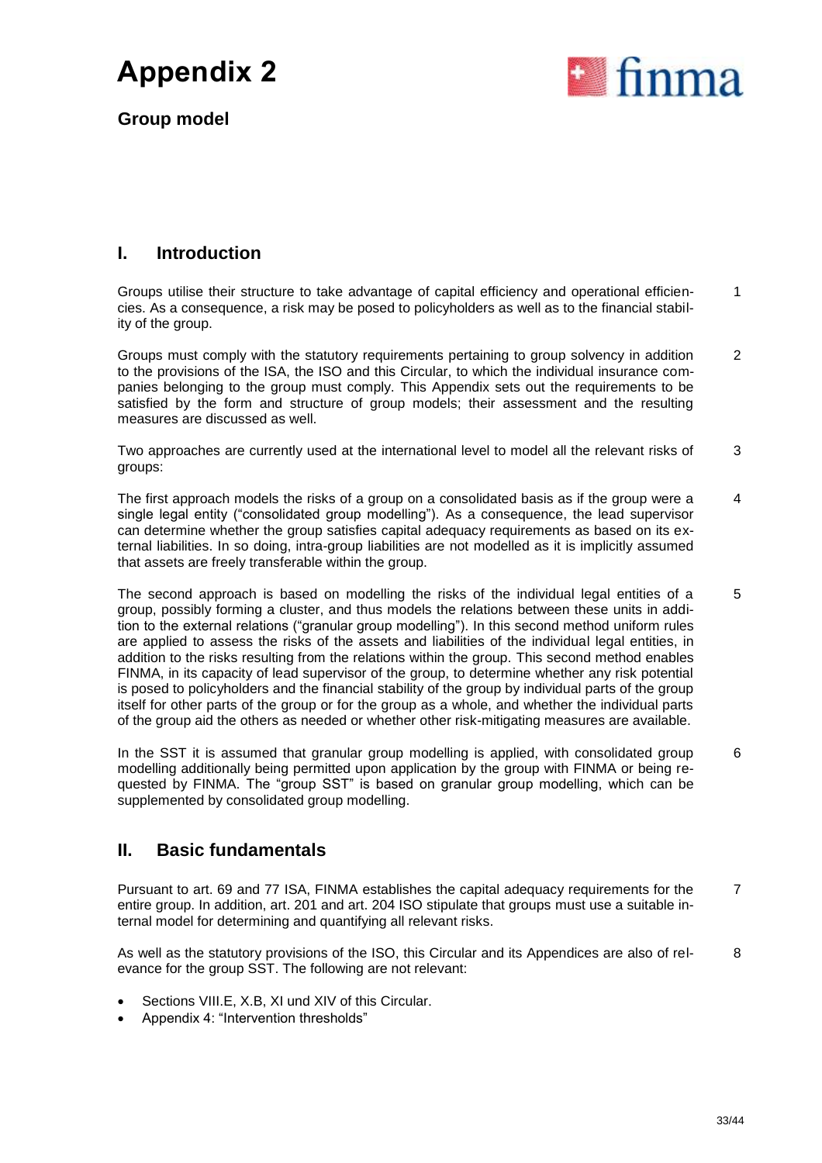

**Group model**

# **I. Introduction**

Groups utilise their structure to take advantage of capital efficiency and operational efficiencies. As a consequence, a risk may be posed to policyholders as well as to the financial stability of the group. 1

Groups must comply with the statutory requirements pertaining to group solvency in addition to the provisions of the ISA, the ISO and this Circular, to which the individual insurance companies belonging to the group must comply. This Appendix sets out the requirements to be satisfied by the form and structure of group models; their assessment and the resulting measures are discussed as well. 2

Two approaches are currently used at the international level to model all the relevant risks of groups: 3

The first approach models the risks of a group on a consolidated basis as if the group were a single legal entity ("consolidated group modelling"). As a consequence, the lead supervisor can determine whether the group satisfies capital adequacy requirements as based on its external liabilities. In so doing, intra-group liabilities are not modelled as it is implicitly assumed that assets are freely transferable within the group. 4

The second approach is based on modelling the risks of the individual legal entities of a group, possibly forming a cluster, and thus models the relations between these units in addition to the external relations ("granular group modelling"). In this second method uniform rules are applied to assess the risks of the assets and liabilities of the individual legal entities, in addition to the risks resulting from the relations within the group. This second method enables FINMA, in its capacity of lead supervisor of the group, to determine whether any risk potential is posed to policyholders and the financial stability of the group by individual parts of the group itself for other parts of the group or for the group as a whole, and whether the individual parts of the group aid the others as needed or whether other risk-mitigating measures are available. 5

In the SST it is assumed that granular group modelling is applied, with consolidated group modelling additionally being permitted upon application by the group with FINMA or being requested by FINMA. The "group SST" is based on granular group modelling, which can be supplemented by consolidated group modelling. 6

# **II. Basic fundamentals**

Pursuant to art. 69 and 77 ISA, FINMA establishes the capital adequacy requirements for the entire group. In addition, art. 201 and art. 204 ISO stipulate that groups must use a suitable internal model for determining and quantifying all relevant risks. 7

As well as the statutory provisions of the ISO, this Circular and its Appendices are also of relevance for the group SST. The following are not relevant: 8

- Sections VIII.E, X.B, XI und XIV of this Circular.
- Appendix 4: "Intervention thresholds"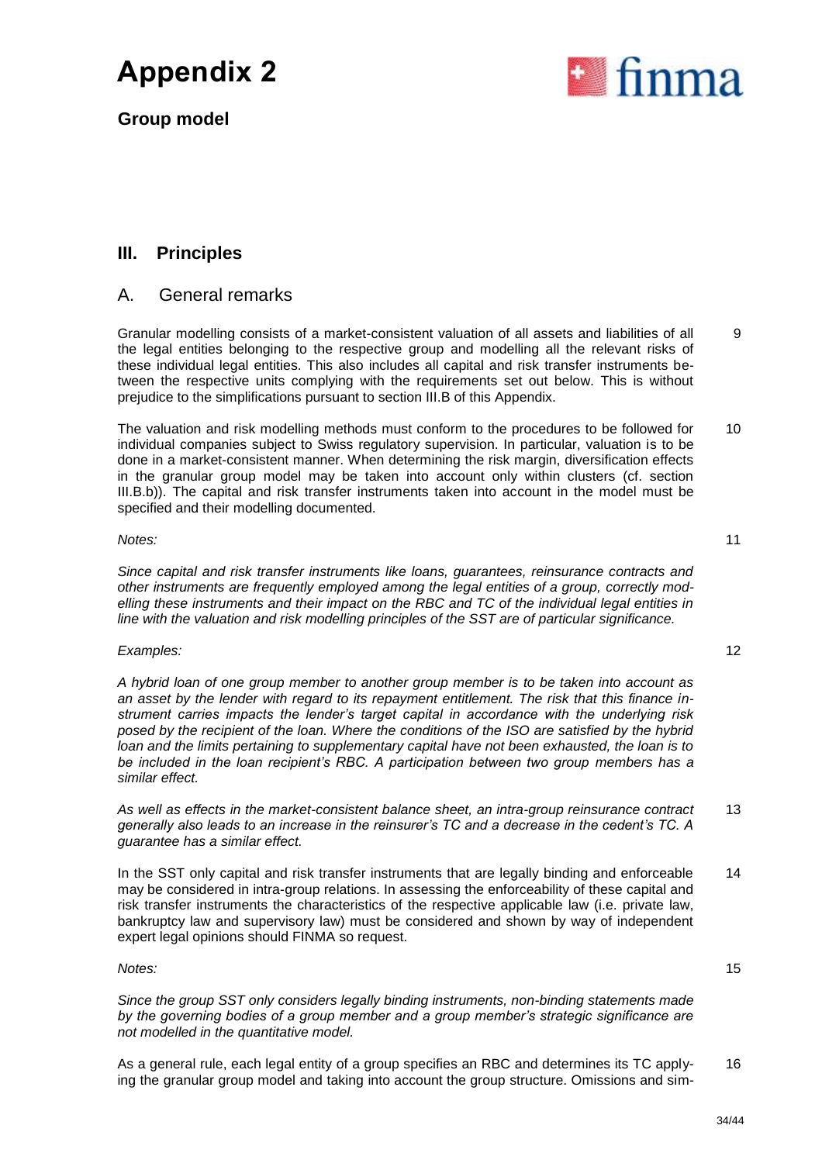**Group model**



## A. General remarks

Granular modelling consists of a market-consistent valuation of all assets and liabilities of all the legal entities belonging to the respective group and modelling all the relevant risks of these individual legal entities. This also includes all capital and risk transfer instruments between the respective units complying with the requirements set out below. This is without prejudice to the simplifications pursuant to section III.B of this Appendix.

The valuation and risk modelling methods must conform to the procedures to be followed for individual companies subject to Swiss regulatory supervision. In particular, valuation is to be done in a market-consistent manner. When determining the risk margin, diversification effects in the granular group model may be taken into account only within clusters (cf. section III.B.b)). The capital and risk transfer instruments taken into account in the model must be specified and their modelling documented. 10

### *Notes:*

*Since capital and risk transfer instruments like loans, guarantees, reinsurance contracts and other instruments are frequently employed among the legal entities of a group, correctly modelling these instruments and their impact on the RBC and TC of the individual legal entities in line with the valuation and risk modelling principles of the SST are of particular significance.*

### *Examples:* 12

*A hybrid loan of one group member to another group member is to be taken into account as an asset by the lender with regard to its repayment entitlement. The risk that this finance instrument carries impacts the lender's target capital in accordance with the underlying risk posed by the recipient of the loan. Where the conditions of the ISO are satisfied by the hybrid loan and the limits pertaining to supplementary capital have not been exhausted, the loan is to be included in the loan recipient's RBC. A participation between two group members has a similar effect.*

*As well as effects in the market-consistent balance sheet, an intra-group reinsurance contract generally also leads to an increase in the reinsurer's TC and a decrease in the cedent's TC. A guarantee has a similar effect.* 13

In the SST only capital and risk transfer instruments that are legally binding and enforceable may be considered in intra-group relations. In assessing the enforceability of these capital and risk transfer instruments the characteristics of the respective applicable law (i.e. private law, bankruptcy law and supervisory law) must be considered and shown by way of independent expert legal opinions should FINMA so request. 14

### *Notes:*

*Since the group SST only considers legally binding instruments, non-binding statements made by the governing bodies of a group member and a group member's strategic significance are not modelled in the quantitative model.*

As a general rule, each legal entity of a group specifies an RBC and determines its TC applying the granular group model and taking into account the group structure. Omissions and sim-16



11

9

15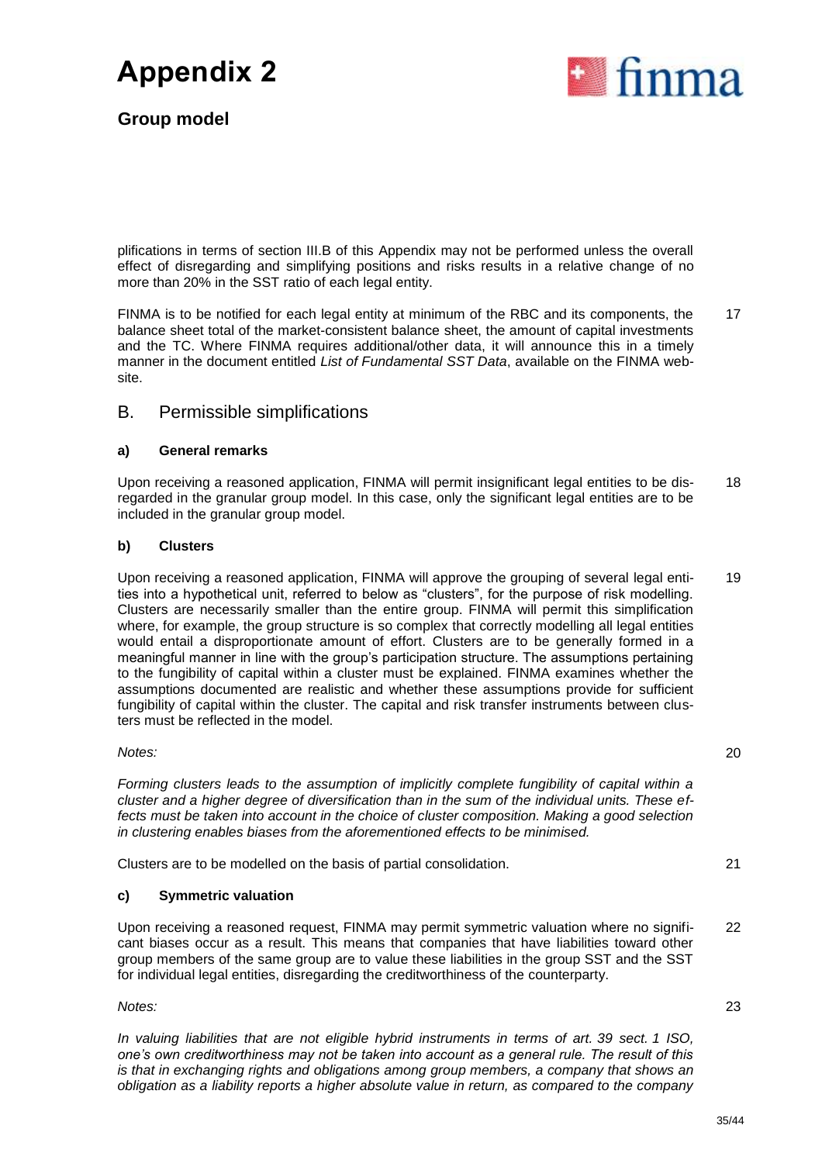



plifications in terms of section III.B of this Appendix may not be performed unless the overall effect of disregarding and simplifying positions and risks results in a relative change of no more than 20% in the SST ratio of each legal entity.

FINMA is to be notified for each legal entity at minimum of the RBC and its components, the balance sheet total of the market-consistent balance sheet, the amount of capital investments and the TC. Where FINMA requires additional/other data, it will announce this in a timely manner in the document entitled *List of Fundamental SST Data*, available on the FINMA website. 17

### B. Permissible simplifications

### **a) General remarks**

Upon receiving a reasoned application, FINMA will permit insignificant legal entities to be disregarded in the granular group model. In this case, only the significant legal entities are to be included in the granular group model. 18

### **b) Clusters**

Upon receiving a reasoned application, FINMA will approve the grouping of several legal entities into a hypothetical unit, referred to below as "clusters", for the purpose of risk modelling. Clusters are necessarily smaller than the entire group. FINMA will permit this simplification where, for example, the group structure is so complex that correctly modelling all legal entities would entail a disproportionate amount of effort. Clusters are to be generally formed in a meaningful manner in line with the group's participation structure. The assumptions pertaining to the fungibility of capital within a cluster must be explained. FINMA examines whether the assumptions documented are realistic and whether these assumptions provide for sufficient fungibility of capital within the cluster. The capital and risk transfer instruments between clusters must be reflected in the model. 19

*Notes:*

*Forming clusters leads to the assumption of implicitly complete fungibility of capital within a cluster and a higher degree of diversification than in the sum of the individual units. These ef*fects must be taken into account in the choice of cluster composition. Making a good selection *in clustering enables biases from the aforementioned effects to be minimised.* 

Clusters are to be modelled on the basis of partial consolidation. 21

### **c) Symmetric valuation**

Upon receiving a reasoned request, FINMA may permit symmetric valuation where no significant biases occur as a result. This means that companies that have liabilities toward other group members of the same group are to value these liabilities in the group SST and the SST for individual legal entities, disregarding the creditworthiness of the counterparty. 22

*Notes:*

*In valuing liabilities that are not eligible hybrid instruments in terms of art. 39 sect. 1 ISO, one's own creditworthiness may not be taken into account as a general rule. The result of this is that in exchanging rights and obligations among group members, a company that shows an obligation as a liability reports a higher absolute value in return, as compared to the company*  20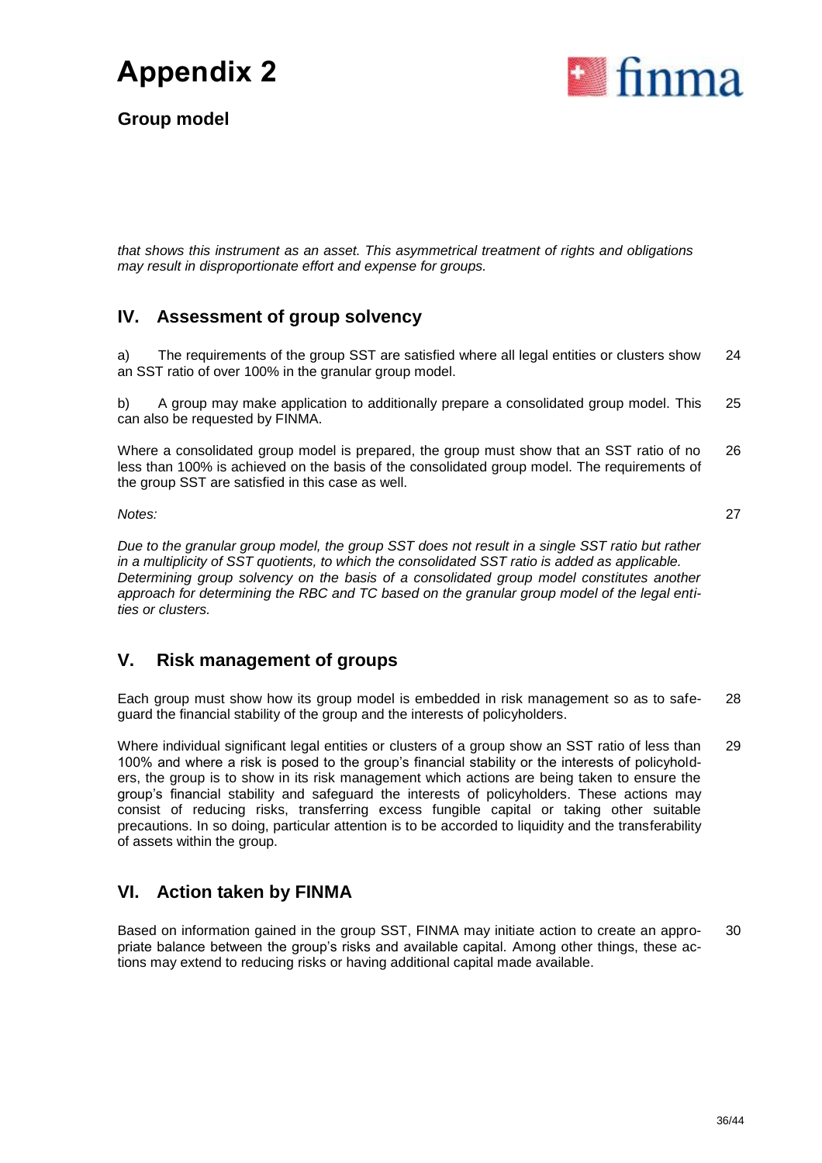

**Group model**

*that shows this instrument as an asset. This asymmetrical treatment of rights and obligations may result in disproportionate effort and expense for groups.*

# **IV. Assessment of group solvency**

a) The requirements of the group SST are satisfied where all legal entities or clusters show an SST ratio of over 100% in the granular group model. 24

b) A group may make application to additionally prepare a consolidated group model. This can also be requested by FINMA. 25

Where a consolidated group model is prepared, the group must show that an SST ratio of no less than 100% is achieved on the basis of the consolidated group model. The requirements of the group SST are satisfied in this case as well. 26

*Notes:*

27

*Due to the granular group model, the group SST does not result in a single SST ratio but rather in a multiplicity of SST quotients, to which the consolidated SST ratio is added as applicable. Determining group solvency on the basis of a consolidated group model constitutes another approach for determining the RBC and TC based on the granular group model of the legal entities or clusters.*

# **V. Risk management of groups**

Each group must show how its group model is embedded in risk management so as to safeguard the financial stability of the group and the interests of policyholders. 28

Where individual significant legal entities or clusters of a group show an SST ratio of less than 100% and where a risk is posed to the group's financial stability or the interests of policyholders, the group is to show in its risk management which actions are being taken to ensure the group's financial stability and safeguard the interests of policyholders. These actions may consist of reducing risks, transferring excess fungible capital or taking other suitable precautions. In so doing, particular attention is to be accorded to liquidity and the transferability of assets within the group. 29

# **VI. Action taken by FINMA**

Based on information gained in the group SST, FINMA may initiate action to create an appropriate balance between the group's risks and available capital. Among other things, these actions may extend to reducing risks or having additional capital made available. 30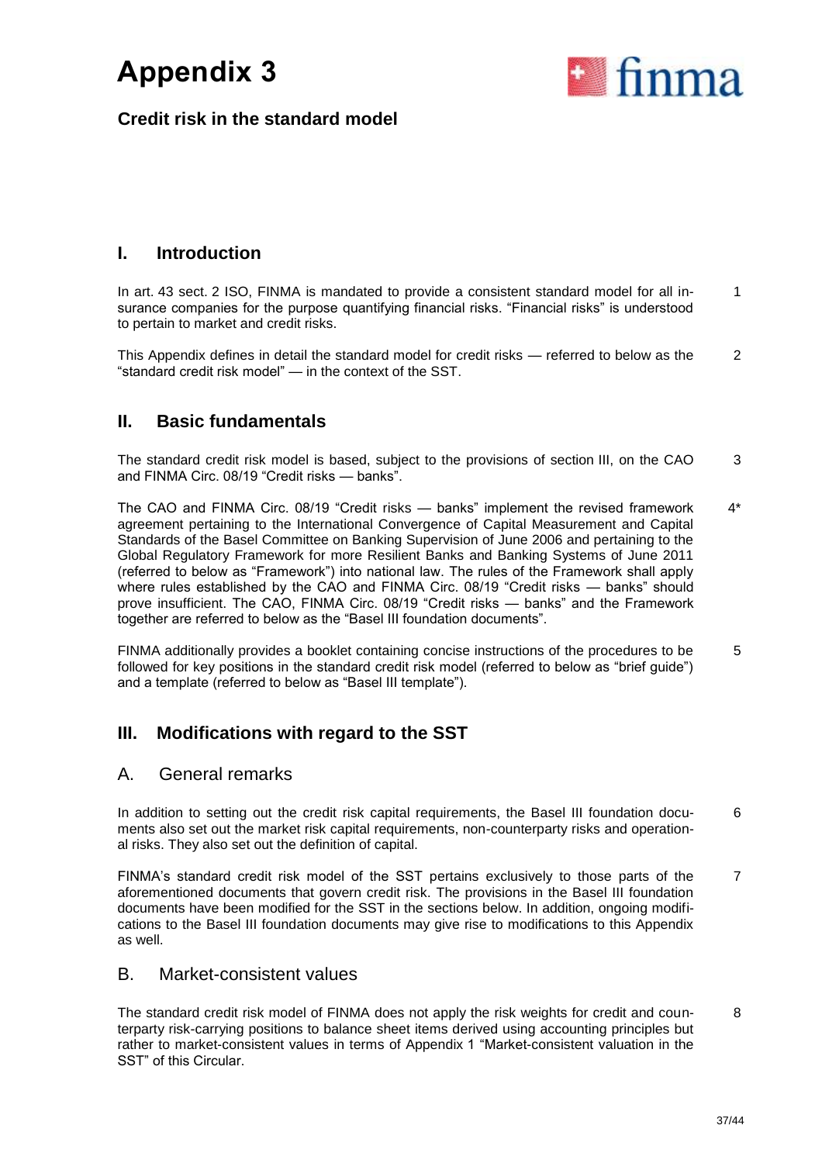

**Credit risk in the standard model**

# **I. Introduction**

In art. 43 sect. 2 ISO, FINMA is mandated to provide a consistent standard model for all insurance companies for the purpose quantifying financial risks. "Financial risks" is understood to pertain to market and credit risks. 1

This Appendix defines in detail the standard model for credit risks — referred to below as the "standard credit risk model" — in the context of the SST. 2

# **II. Basic fundamentals**

The standard credit risk model is based, subject to the provisions of section III, on the CAO and FINMA Circ. 08/19 "Credit risks — banks". 3

The CAO and FINMA Circ. 08/19 "Credit risks — banks" implement the revised framework agreement pertaining to the International Convergence of Capital Measurement and Capital Standards of the Basel Committee on Banking Supervision of June 2006 and pertaining to the Global Regulatory Framework for more Resilient Banks and Banking Systems of June 2011 (referred to below as "Framework") into national law. The rules of the Framework shall apply where rules established by the CAO and FINMA Circ. 08/19 "Credit risks — banks" should prove insufficient. The CAO, FINMA Circ. 08/19 "Credit risks — banks" and the Framework together are referred to below as the "Basel III foundation documents". 4\*

FINMA additionally provides a booklet containing concise instructions of the procedures to be followed for key positions in the standard credit risk model (referred to below as "brief guide") and a template (referred to below as "Basel III template"). 5

# **III. Modifications with regard to the SST**

## A. General remarks

In addition to setting out the credit risk capital requirements, the Basel III foundation documents also set out the market risk capital requirements, non-counterparty risks and operational risks. They also set out the definition of capital. 6

FINMA's standard credit risk model of the SST pertains exclusively to those parts of the aforementioned documents that govern credit risk. The provisions in the Basel III foundation documents have been modified for the SST in the sections below. In addition, ongoing modifications to the Basel III foundation documents may give rise to modifications to this Appendix as well. 7

## B. Market-consistent values

The standard credit risk model of FINMA does not apply the risk weights for credit and counterparty risk-carrying positions to balance sheet items derived using accounting principles but rather to market-consistent values in terms of Appendix 1 "Market-consistent valuation in the SST" of this Circular. 8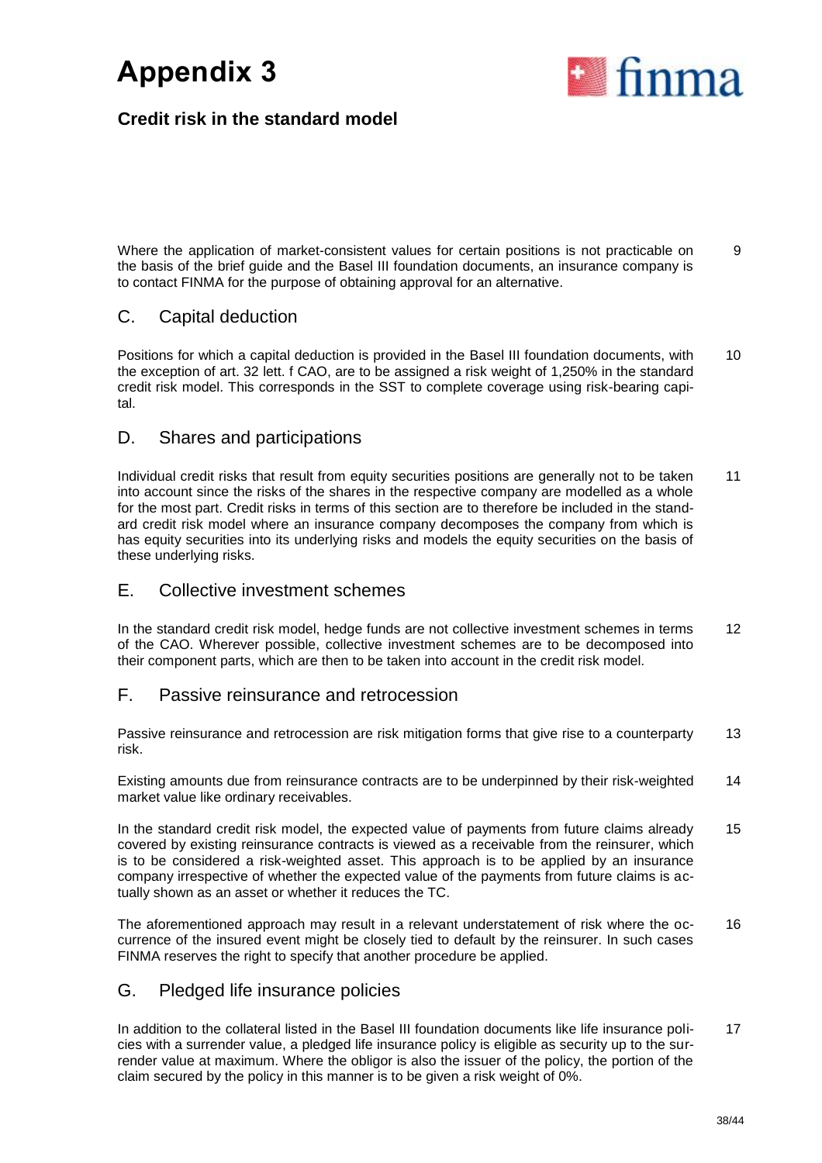

# **Credit risk in the standard model**

Where the application of market-consistent values for certain positions is not practicable on the basis of the brief guide and the Basel III foundation documents, an insurance company is to contact FINMA for the purpose of obtaining approval for an alternative. 9

## C. Capital deduction

Positions for which a capital deduction is provided in the Basel III foundation documents, with the exception of art. 32 lett. f CAO, are to be assigned a risk weight of 1,250% in the standard credit risk model. This corresponds in the SST to complete coverage using risk-bearing capital. 10

## D. Shares and participations

Individual credit risks that result from equity securities positions are generally not to be taken into account since the risks of the shares in the respective company are modelled as a whole for the most part. Credit risks in terms of this section are to therefore be included in the standard credit risk model where an insurance company decomposes the company from which is has equity securities into its underlying risks and models the equity securities on the basis of these underlying risks. 11

## E. Collective investment schemes

In the standard credit risk model, hedge funds are not collective investment schemes in terms of the CAO. Wherever possible, collective investment schemes are to be decomposed into their component parts, which are then to be taken into account in the credit risk model. 12

## F. Passive reinsurance and retrocession

Passive reinsurance and retrocession are risk mitigation forms that give rise to a counterparty risk. 13

Existing amounts due from reinsurance contracts are to be underpinned by their risk-weighted market value like ordinary receivables. 14

In the standard credit risk model, the expected value of payments from future claims already covered by existing reinsurance contracts is viewed as a receivable from the reinsurer, which is to be considered a risk-weighted asset. This approach is to be applied by an insurance company irrespective of whether the expected value of the payments from future claims is actually shown as an asset or whether it reduces the TC. 15

The aforementioned approach may result in a relevant understatement of risk where the occurrence of the insured event might be closely tied to default by the reinsurer. In such cases FINMA reserves the right to specify that another procedure be applied. 16

## G. Pledged life insurance policies

In addition to the collateral listed in the Basel III foundation documents like life insurance policies with a surrender value, a pledged life insurance policy is eligible as security up to the surrender value at maximum. Where the obligor is also the issuer of the policy, the portion of the claim secured by the policy in this manner is to be given a risk weight of 0%. 17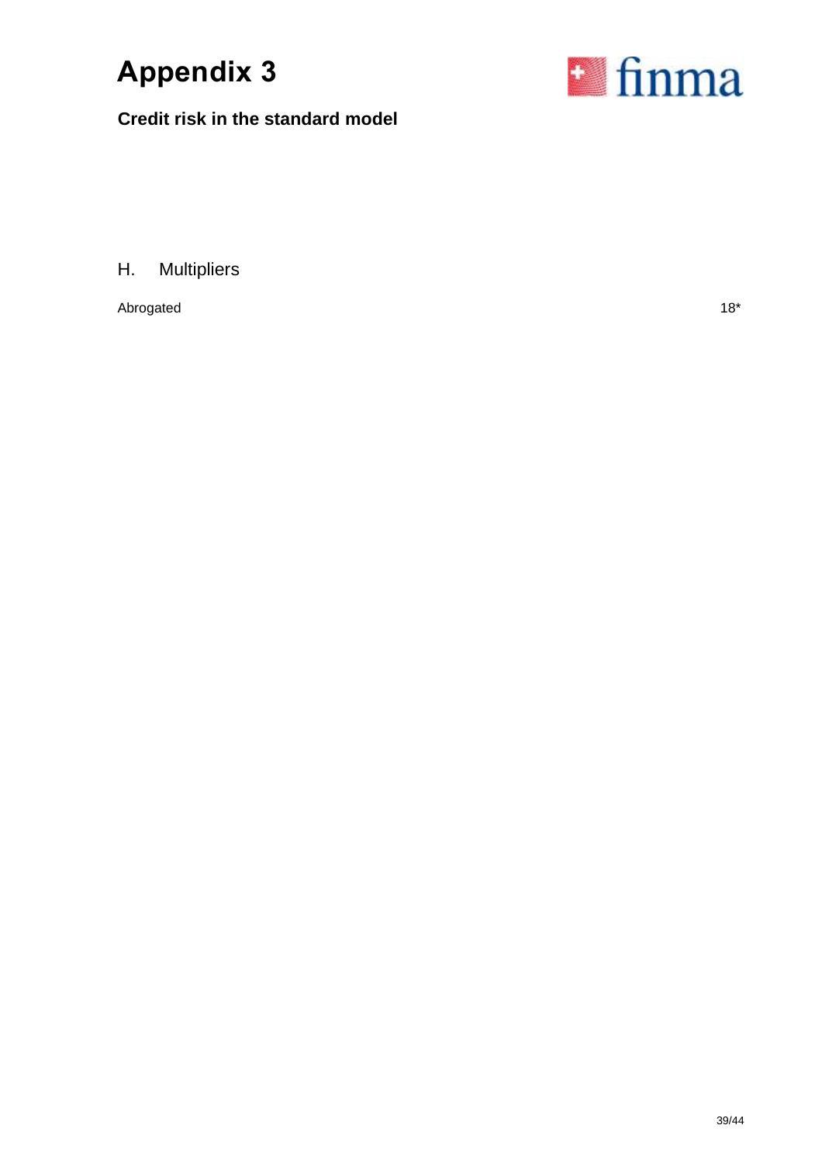

**Credit risk in the standard model**



H. Multipliers

Abrogated 18<sup>\*</sup>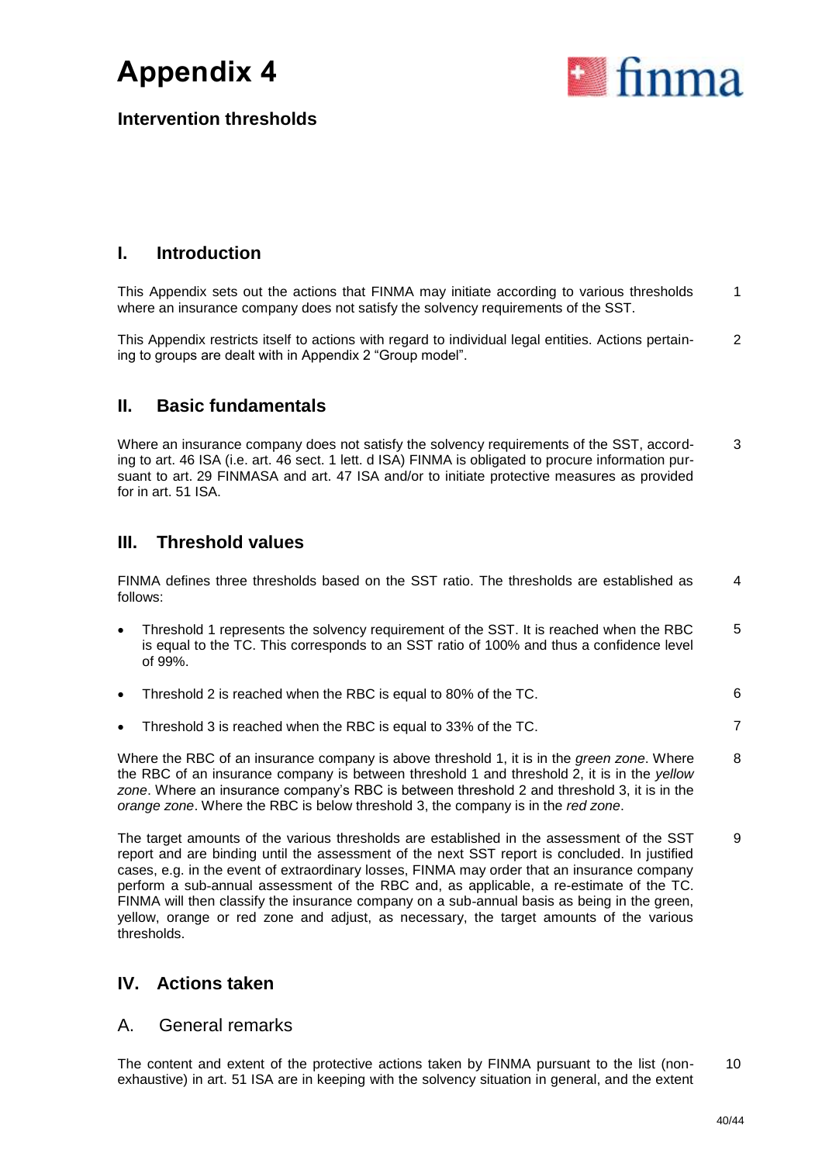

**Intervention thresholds**

# **I. Introduction**

This Appendix sets out the actions that FINMA may initiate according to various thresholds where an insurance company does not satisfy the solvency requirements of the SST. 1

This Appendix restricts itself to actions with regard to individual legal entities. Actions pertaining to groups are dealt with in Appendix 2 "Group model". 2

# **II. Basic fundamentals**

Where an insurance company does not satisfy the solvency requirements of the SST, according to art. 46 ISA (i.e. art. 46 sect. 1 lett. d ISA) FINMA is obligated to procure information pursuant to art. 29 FINMASA and art. 47 ISA and/or to initiate protective measures as provided for in art. 51 ISA. 3

# **III. Threshold values**

FINMA defines three thresholds based on the SST ratio. The thresholds are established as follows: 4

- Threshold 1 represents the solvency requirement of the SST. It is reached when the RBC is equal to the TC. This corresponds to an SST ratio of 100% and thus a confidence level of 99%. 5
- Threshold 2 is reached when the RBC is equal to 80% of the TC. 6
- Threshold 3 is reached when the RBC is equal to 33% of the TC. **7**

Where the RBC of an insurance company is above threshold 1, it is in the *green zone*. Where the RBC of an insurance company is between threshold 1 and threshold 2, it is in the *yellow zone*. Where an insurance company's RBC is between threshold 2 and threshold 3, it is in the *orange zone*. Where the RBC is below threshold 3, the company is in the *red zone*. 8

The target amounts of the various thresholds are established in the assessment of the SST report and are binding until the assessment of the next SST report is concluded. In justified cases, e.g. in the event of extraordinary losses, FINMA may order that an insurance company perform a sub-annual assessment of the RBC and, as applicable, a re-estimate of the TC. FINMA will then classify the insurance company on a sub-annual basis as being in the green, yellow, orange or red zone and adjust, as necessary, the target amounts of the various thresholds. 9

# **IV. Actions taken**

### A. General remarks

The content and extent of the protective actions taken by FINMA pursuant to the list (nonexhaustive) in art. 51 ISA are in keeping with the solvency situation in general, and the extent 10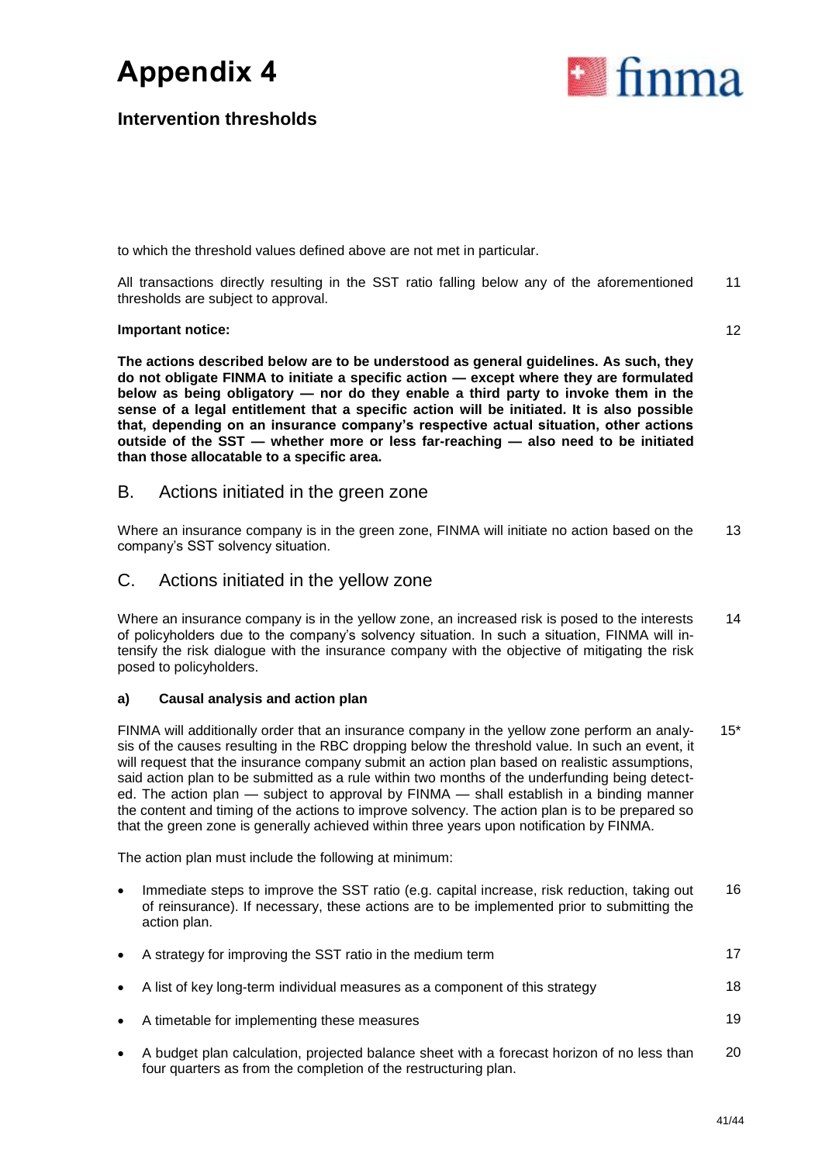

## **Intervention thresholds**

to which the threshold values defined above are not met in particular.

All transactions directly resulting in the SST ratio falling below any of the aforementioned thresholds are subject to approval. 11

### **Important notice:**

12

**The actions described below are to be understood as general guidelines. As such, they do not obligate FINMA to initiate a specific action — except where they are formulated below as being obligatory — nor do they enable a third party to invoke them in the sense of a legal entitlement that a specific action will be initiated. It is also possible that, depending on an insurance company's respective actual situation, other actions outside of the SST — whether more or less far-reaching — also need to be initiated than those allocatable to a specific area.** 

### B. Actions initiated in the green zone

Where an insurance company is in the green zone, FINMA will initiate no action based on the company's SST solvency situation. 13

## C. Actions initiated in the yellow zone

Where an insurance company is in the yellow zone, an increased risk is posed to the interests of policyholders due to the company's solvency situation. In such a situation, FINMA will intensify the risk dialogue with the insurance company with the objective of mitigating the risk posed to policyholders. 14

### **a) Causal analysis and action plan**

FINMA will additionally order that an insurance company in the yellow zone perform an analysis of the causes resulting in the RBC dropping below the threshold value. In such an event, it will request that the insurance company submit an action plan based on realistic assumptions, said action plan to be submitted as a rule within two months of the underfunding being detected. The action plan — subject to approval by FINMA — shall establish in a binding manner the content and timing of the actions to improve solvency. The action plan is to be prepared so that the green zone is generally achieved within three years upon notification by FINMA. 15\*

The action plan must include the following at minimum:

- Immediate steps to improve the SST ratio (e.g. capital increase, risk reduction, taking out of reinsurance). If necessary, these actions are to be implemented prior to submitting the action plan. 16
- A strategy for improving the SST ratio in the medium term 17
- A list of key long-term individual measures as a component of this strategy 18
- A timetable for implementing these measures 19
	-
- A budget plan calculation, projected balance sheet with a forecast horizon of no less than four quarters as from the completion of the restructuring plan. 20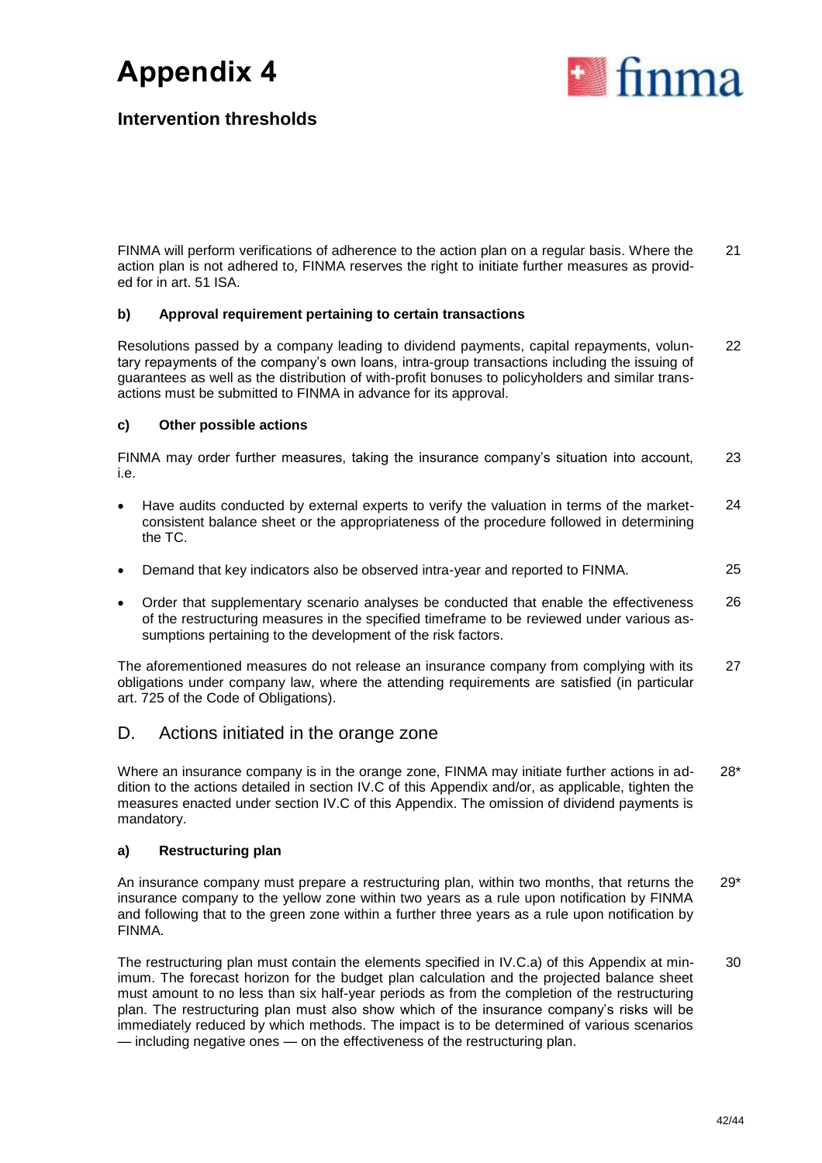

# **Intervention thresholds**

FINMA will perform verifications of adherence to the action plan on a regular basis. Where the action plan is not adhered to, FINMA reserves the right to initiate further measures as provided for in art. 51 ISA. 21

### **b) Approval requirement pertaining to certain transactions**

Resolutions passed by a company leading to dividend payments, capital repayments, voluntary repayments of the company's own loans, intra-group transactions including the issuing of guarantees as well as the distribution of with-profit bonuses to policyholders and similar transactions must be submitted to FINMA in advance for its approval. 22

### **c) Other possible actions**

FINMA may order further measures, taking the insurance company's situation into account, i.e. 23

- Have audits conducted by external experts to verify the valuation in terms of the marketconsistent balance sheet or the appropriateness of the procedure followed in determining the TC. 24
- Demand that key indicators also be observed intra-year and reported to FINMA. 25
- Order that supplementary scenario analyses be conducted that enable the effectiveness of the restructuring measures in the specified timeframe to be reviewed under various assumptions pertaining to the development of the risk factors. 26

The aforementioned measures do not release an insurance company from complying with its obligations under company law, where the attending requirements are satisfied (in particular art. 725 of the Code of Obligations). 27

# D. Actions initiated in the orange zone

Where an insurance company is in the orange zone, FINMA may initiate further actions in addition to the actions detailed in section IV.C of this Appendix and/or, as applicable, tighten the measures enacted under section IV.C of this Appendix. The omission of dividend payments is mandatory. 28\*

### **a) Restructuring plan**

An insurance company must prepare a restructuring plan, within two months, that returns the insurance company to the yellow zone within two years as a rule upon notification by FINMA and following that to the green zone within a further three years as a rule upon notification by FINMA. 29\*

The restructuring plan must contain the elements specified in IV.C.a) of this Appendix at minimum. The forecast horizon for the budget plan calculation and the projected balance sheet must amount to no less than six half-year periods as from the completion of the restructuring plan. The restructuring plan must also show which of the insurance company's risks will be immediately reduced by which methods. The impact is to be determined of various scenarios — including negative ones — on the effectiveness of the restructuring plan. 30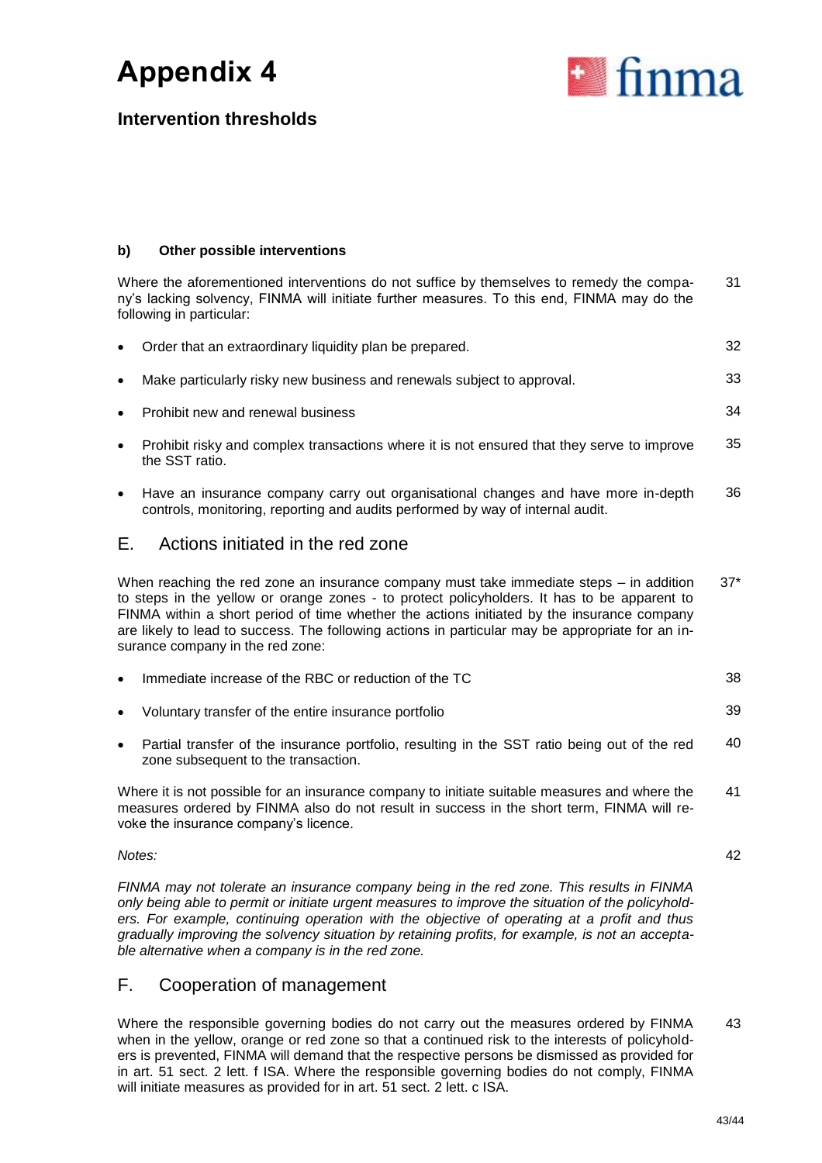

# **Intervention thresholds**

### **b) Other possible interventions**

Where the aforementioned interventions do not suffice by themselves to remedy the company's lacking solvency, FINMA will initiate further measures. To this end, FINMA may do the following in particular: 31

|           | Order that an extraordinary liquidity plan be prepared.                                                                                                                                                                                                                                                                                                                                                                        | 32    |
|-----------|--------------------------------------------------------------------------------------------------------------------------------------------------------------------------------------------------------------------------------------------------------------------------------------------------------------------------------------------------------------------------------------------------------------------------------|-------|
| $\bullet$ | Make particularly risky new business and renewals subject to approval.                                                                                                                                                                                                                                                                                                                                                         | 33    |
|           | Prohibit new and renewal business                                                                                                                                                                                                                                                                                                                                                                                              | 34    |
| $\bullet$ | Prohibit risky and complex transactions where it is not ensured that they serve to improve<br>the SST ratio.                                                                                                                                                                                                                                                                                                                   | 35    |
| $\bullet$ | Have an insurance company carry out organisational changes and have more in-depth<br>controls, monitoring, reporting and audits performed by way of internal audit.                                                                                                                                                                                                                                                            | 36    |
| Е.        | Actions initiated in the red zone                                                                                                                                                                                                                                                                                                                                                                                              |       |
|           | When reaching the red zone an insurance company must take immediate steps $-$ in addition<br>to steps in the yellow or orange zones - to protect policyholders. It has to be apparent to<br>FINMA within a short period of time whether the actions initiated by the insurance company<br>are likely to lead to success. The following actions in particular may be appropriate for an in-<br>surance company in the red zone: | $37*$ |
|           | Immediate increase of the RBC or reduction of the TC                                                                                                                                                                                                                                                                                                                                                                           | 38    |
|           | Voluntary transfer of the entire insurance portfolio                                                                                                                                                                                                                                                                                                                                                                           | 39    |
| $\bullet$ | Partial transfer of the insurance portfolio, resulting in the SST ratio being out of the red<br>zone subsequent to the transaction.                                                                                                                                                                                                                                                                                            | 40    |
|           | Where it is not possible for an insurance company to initiate suitable measures and where the<br>measures ordered by FINMA also do not result in success in the short term, FINMA will re-<br>voke the insurance company's licence.                                                                                                                                                                                            | 41    |

### *Notes:*

42

*FINMA may not tolerate an insurance company being in the red zone. This results in FINMA only being able to permit or initiate urgent measures to improve the situation of the policyholders. For example, continuing operation with the objective of operating at a profit and thus gradually improving the solvency situation by retaining profits, for example, is not an acceptable alternative when a company is in the red zone.* 

# F. Cooperation of management

Where the responsible governing bodies do not carry out the measures ordered by FINMA when in the yellow, orange or red zone so that a continued risk to the interests of policyholders is prevented, FINMA will demand that the respective persons be dismissed as provided for in art. 51 sect. 2 lett. f ISA. Where the responsible governing bodies do not comply, FINMA will initiate measures as provided for in art. 51 sect. 2 lett. c ISA. 43